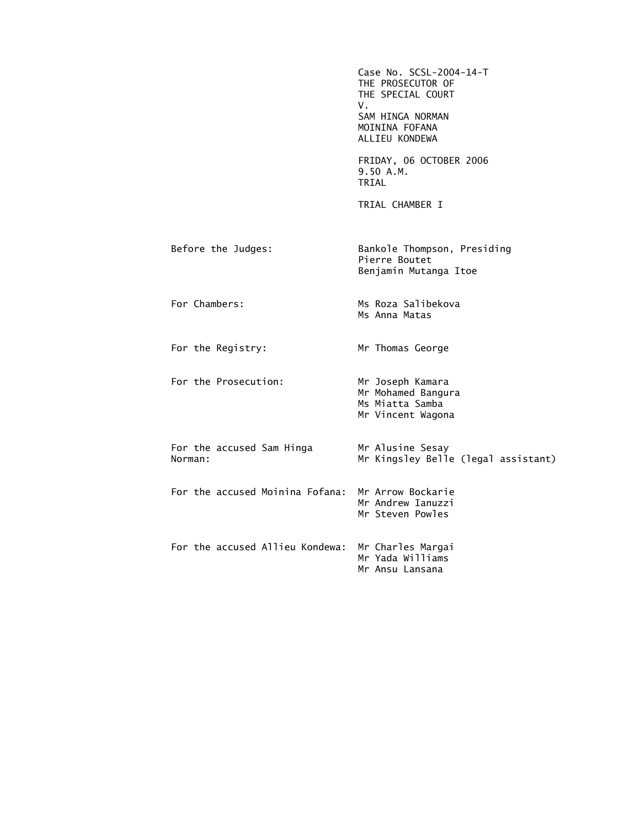|                                      | Case No. SCSL-2004-14-T<br>THE PROSECUTOR OF<br>THE SPECIAL COURT<br>V.<br>SAM HINGA NORMAN<br>MOININA FOFANA<br>ALLIEU KONDEWA |
|--------------------------------------|---------------------------------------------------------------------------------------------------------------------------------|
|                                      | FRIDAY, 06 OCTOBER 2006<br>9.50 A.M.<br>TRIAL                                                                                   |
|                                      | TRIAL CHAMBER I                                                                                                                 |
| Before the Judges:                   | Bankole Thompson, Presiding<br>Pierre Boutet<br>Benjamin Mutanga Itoe                                                           |
| For Chambers:                        | Ms Roza Salibekova<br>Ms Anna Matas                                                                                             |
| For the Registry:                    | Mr Thomas George                                                                                                                |
| For the Prosecution:                 | Mr Joseph Kamara<br>Mr Mohamed Bangura<br>Ms Miatta Samba<br>Mr Vincent Wagona                                                  |
| For the accused Sam Hinga<br>Norman: | Mr Alusine Sesay<br>Mr Kingsley Belle (legal assistant)                                                                         |
| For the accused Moinina Fofana:      | Mr Arrow Bockarie<br>Mr Andrew Ianuzzi<br>Mr Steven Powles                                                                      |
| For the accused Allieu Kondewa:      | Mr Charles Margai<br>Mr Yada Williams<br>Mr Ansu Lansana                                                                        |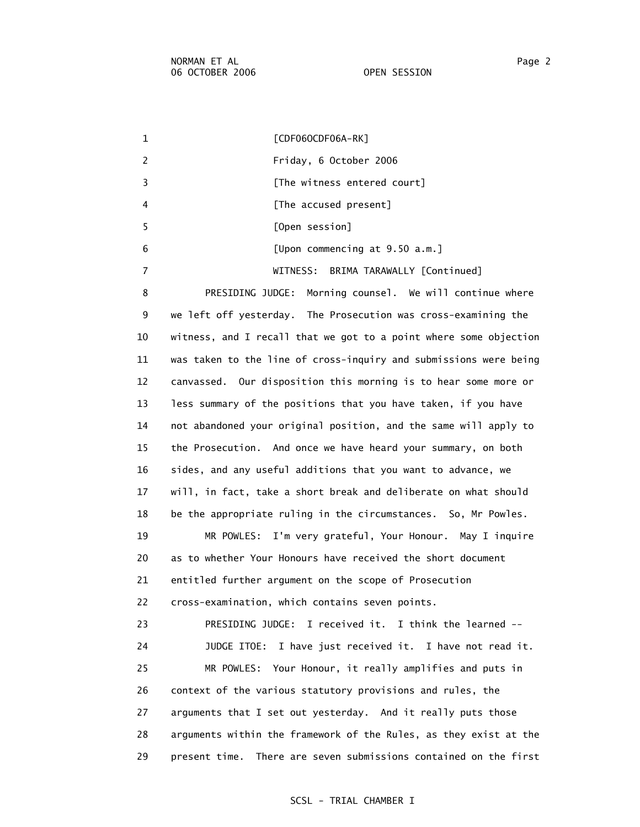1 [CDF06OCDF06A-RK] 2 Friday, 6 October 2006 3 **Example 2** [The witness entered court] 4 **A EXECUSE [The accused present]**  5 [Open session] 6 [Upon commencing at 9.50 a.m.] 7 WITNESS: BRIMA TARAWALLY [Continued] 8 PRESIDING JUDGE: Morning counsel. We will continue where 9 we left off yesterday. The Prosecution was cross-examining the 10 witness, and I recall that we got to a point where some objection 11 was taken to the line of cross-inquiry and submissions were being 12 canvassed. Our disposition this morning is to hear some more or 13 less summary of the positions that you have taken, if you have 14 not abandoned your original position, and the same will apply to 15 the Prosecution. And once we have heard your summary, on both 16 sides, and any useful additions that you want to advance, we 17 will, in fact, take a short break and deliberate on what should 18 be the appropriate ruling in the circumstances. So, Mr Powles. 19 MR POWLES: I'm very grateful, Your Honour. May I inquire 20 as to whether Your Honours have received the short document 21 entitled further argument on the scope of Prosecution 22 cross-examination, which contains seven points. 23 PRESIDING JUDGE: I received it. I think the learned -- 24 JUDGE ITOE: I have just received it. I have not read it. 25 MR POWLES: Your Honour, it really amplifies and puts in 26 context of the various statutory provisions and rules, the 27 arguments that I set out yesterday. And it really puts those 28 arguments within the framework of the Rules, as they exist at the 29 present time. There are seven submissions contained on the first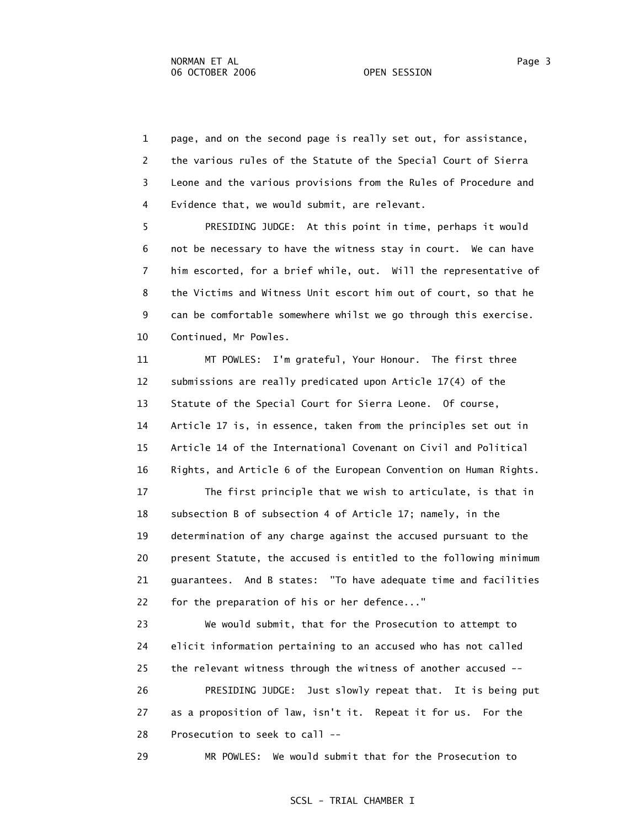1 page, and on the second page is really set out, for assistance, 2 the various rules of the Statute of the Special Court of Sierra 3 Leone and the various provisions from the Rules of Procedure and 4 Evidence that, we would submit, are relevant.

 5 PRESIDING JUDGE: At this point in time, perhaps it would 6 not be necessary to have the witness stay in court. We can have 7 him escorted, for a brief while, out. Will the representative of 8 the Victims and Witness Unit escort him out of court, so that he 9 can be comfortable somewhere whilst we go through this exercise. 10 Continued, Mr Powles.

 11 MT POWLES: I'm grateful, Your Honour. The first three 12 submissions are really predicated upon Article 17(4) of the 13 Statute of the Special Court for Sierra Leone. Of course, 14 Article 17 is, in essence, taken from the principles set out in 15 Article 14 of the International Covenant on Civil and Political 16 Rights, and Article 6 of the European Convention on Human Rights. 17 The first principle that we wish to articulate, is that in 18 subsection B of subsection 4 of Article 17; namely, in the

 19 determination of any charge against the accused pursuant to the 20 present Statute, the accused is entitled to the following minimum 21 guarantees. And B states: "To have adequate time and facilities 22 for the preparation of his or her defence..."

 23 We would submit, that for the Prosecution to attempt to 24 elicit information pertaining to an accused who has not called 25 the relevant witness through the witness of another accused -- 26 PRESIDING JUDGE: Just slowly repeat that. It is being put 27 as a proposition of law, isn't it. Repeat it for us. For the 28 Prosecution to seek to call --

29 MR POWLES: We would submit that for the Prosecution to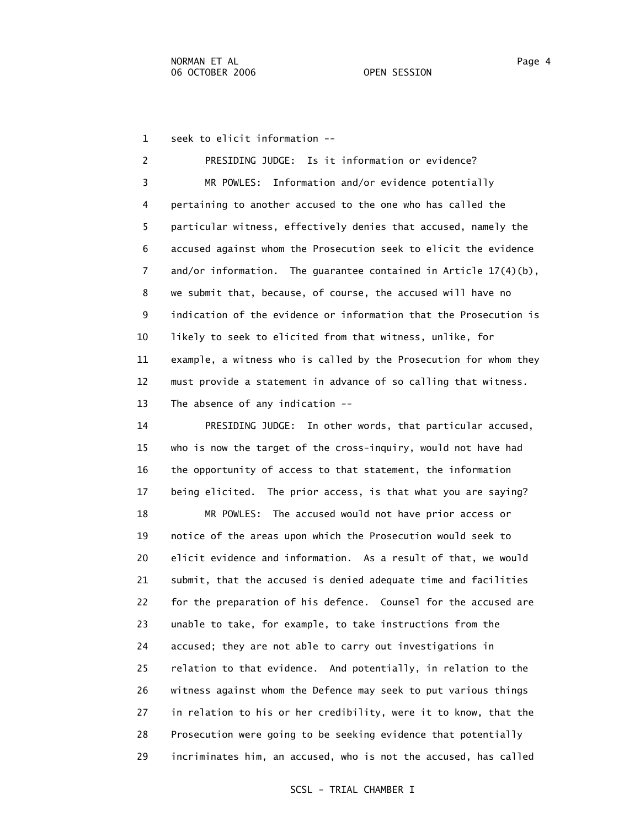1 seek to elicit information --

 2 PRESIDING JUDGE: Is it information or evidence? 3 MR POWLES: Information and/or evidence potentially 4 pertaining to another accused to the one who has called the 5 particular witness, effectively denies that accused, namely the 6 accused against whom the Prosecution seek to elicit the evidence 7 and/or information. The guarantee contained in Article 17(4)(b), 8 we submit that, because, of course, the accused will have no 9 indication of the evidence or information that the Prosecution is 10 likely to seek to elicited from that witness, unlike, for 11 example, a witness who is called by the Prosecution for whom they 12 must provide a statement in advance of so calling that witness. 13 The absence of any indication --

 14 PRESIDING JUDGE: In other words, that particular accused, 15 who is now the target of the cross-inquiry, would not have had 16 the opportunity of access to that statement, the information 17 being elicited. The prior access, is that what you are saying?

 18 MR POWLES: The accused would not have prior access or 19 notice of the areas upon which the Prosecution would seek to 20 elicit evidence and information. As a result of that, we would 21 submit, that the accused is denied adequate time and facilities 22 for the preparation of his defence. Counsel for the accused are 23 unable to take, for example, to take instructions from the 24 accused; they are not able to carry out investigations in 25 relation to that evidence. And potentially, in relation to the 26 witness against whom the Defence may seek to put various things 27 in relation to his or her credibility, were it to know, that the 28 Prosecution were going to be seeking evidence that potentially 29 incriminates him, an accused, who is not the accused, has called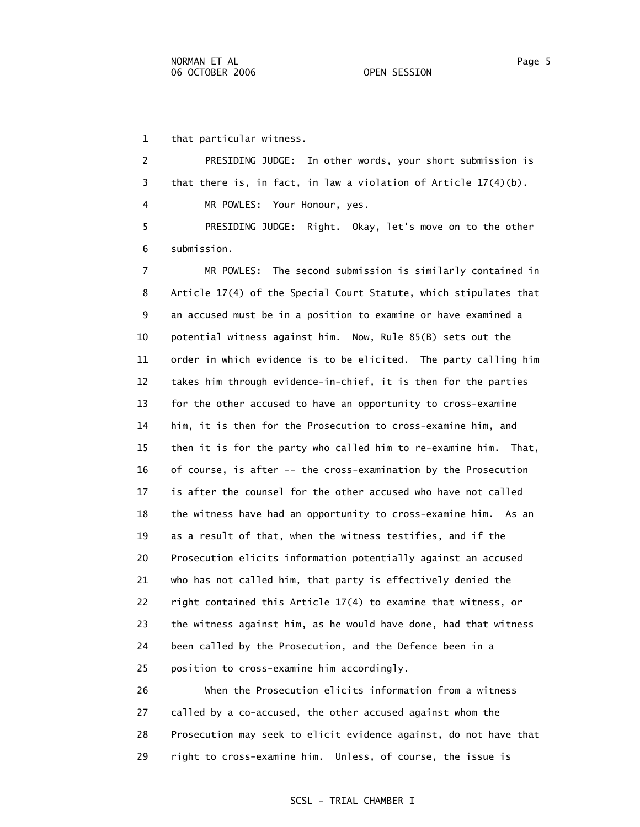1 that particular witness.

 2 PRESIDING JUDGE: In other words, your short submission is 3 that there is, in fact, in law a violation of Article 17(4)(b). 4 MR POWLES: Your Honour, yes.

 5 PRESIDING JUDGE: Right. Okay, let's move on to the other 6 submission.

 7 MR POWLES: The second submission is similarly contained in 8 Article 17(4) of the Special Court Statute, which stipulates that 9 an accused must be in a position to examine or have examined a 10 potential witness against him. Now, Rule 85(B) sets out the 11 order in which evidence is to be elicited. The party calling him 12 takes him through evidence-in-chief, it is then for the parties 13 for the other accused to have an opportunity to cross-examine 14 him, it is then for the Prosecution to cross-examine him, and 15 then it is for the party who called him to re-examine him. That, 16 of course, is after -- the cross-examination by the Prosecution 17 is after the counsel for the other accused who have not called 18 the witness have had an opportunity to cross-examine him. As an 19 as a result of that, when the witness testifies, and if the 20 Prosecution elicits information potentially against an accused 21 who has not called him, that party is effectively denied the 22 right contained this Article 17(4) to examine that witness, or 23 the witness against him, as he would have done, had that witness 24 been called by the Prosecution, and the Defence been in a 25 position to cross-examine him accordingly.

 26 When the Prosecution elicits information from a witness 27 called by a co-accused, the other accused against whom the 28 Prosecution may seek to elicit evidence against, do not have that 29 right to cross-examine him. Unless, of course, the issue is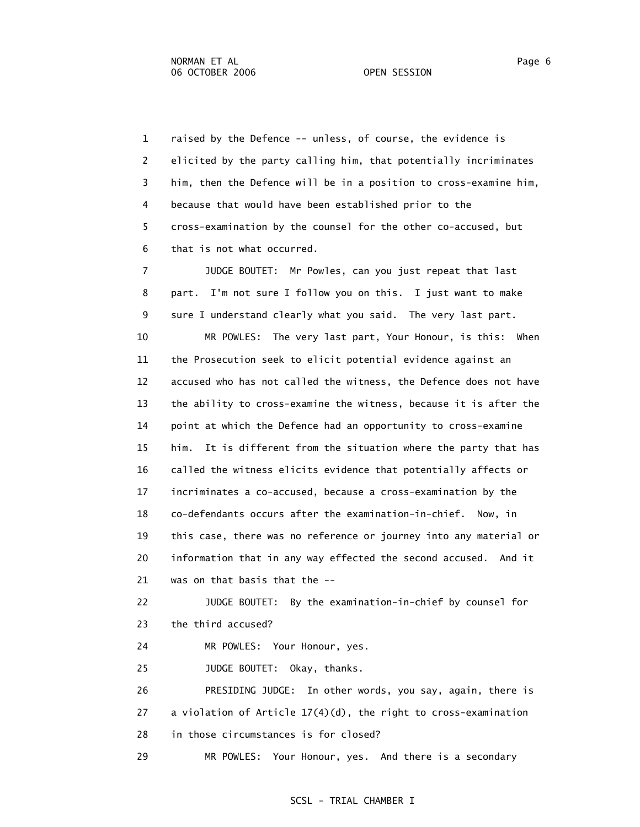1 raised by the Defence -- unless, of course, the evidence is 2 elicited by the party calling him, that potentially incriminates 3 him, then the Defence will be in a position to cross-examine him, 4 because that would have been established prior to the 5 cross-examination by the counsel for the other co-accused, but 6 that is not what occurred.

 7 JUDGE BOUTET: Mr Powles, can you just repeat that last 8 part. I'm not sure I follow you on this. I just want to make 9 sure I understand clearly what you said. The very last part.

 10 MR POWLES: The very last part, Your Honour, is this: When 11 the Prosecution seek to elicit potential evidence against an 12 accused who has not called the witness, the Defence does not have 13 the ability to cross-examine the witness, because it is after the 14 point at which the Defence had an opportunity to cross-examine 15 him. It is different from the situation where the party that has 16 called the witness elicits evidence that potentially affects or 17 incriminates a co-accused, because a cross-examination by the 18 co-defendants occurs after the examination-in-chief. Now, in 19 this case, there was no reference or journey into any material or 20 information that in any way effected the second accused. And it 21 was on that basis that the --

 22 JUDGE BOUTET: By the examination-in-chief by counsel for 23 the third accused?

24 MR POWLES: Your Honour, yes.

25 JUDGE BOUTET: Okay, thanks.

 26 PRESIDING JUDGE: In other words, you say, again, there is 27 a violation of Article 17(4)(d), the right to cross-examination 28 in those circumstances is for closed?

29 MR POWLES: Your Honour, yes. And there is a secondary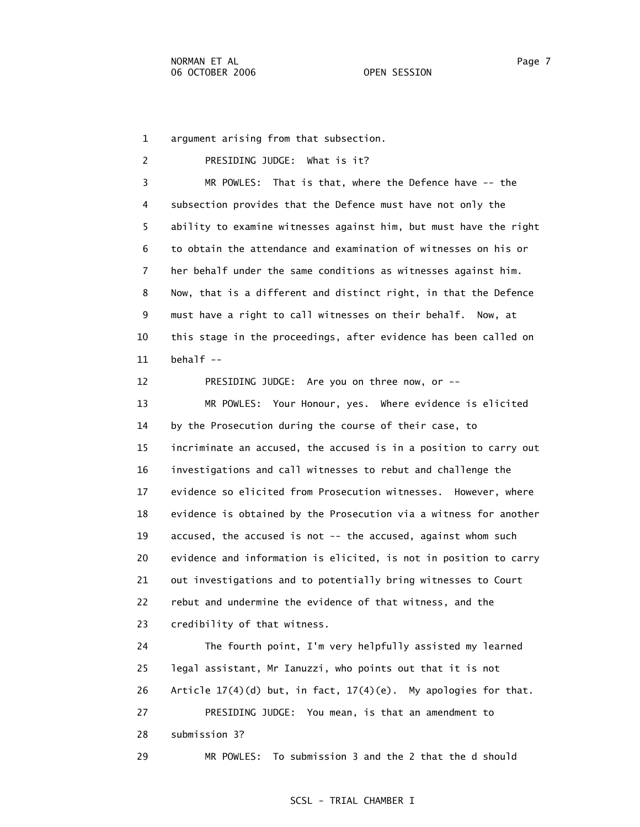1 argument arising from that subsection.

 2 PRESIDING JUDGE: What is it? 3 MR POWLES: That is that, where the Defence have -- the 4 subsection provides that the Defence must have not only the 5 ability to examine witnesses against him, but must have the right 6 to obtain the attendance and examination of witnesses on his or 7 her behalf under the same conditions as witnesses against him. 8 Now, that is a different and distinct right, in that the Defence 9 must have a right to call witnesses on their behalf. Now, at 10 this stage in the proceedings, after evidence has been called on 11  $\neq$  behalf  $\leftarrow$ 

 12 PRESIDING JUDGE: Are you on three now, or -- 13 MR POWLES: Your Honour, yes. Where evidence is elicited 14 by the Prosecution during the course of their case, to 15 incriminate an accused, the accused is in a position to carry out 16 investigations and call witnesses to rebut and challenge the 17 evidence so elicited from Prosecution witnesses. However, where 18 evidence is obtained by the Prosecution via a witness for another 19 accused, the accused is not -- the accused, against whom such 20 evidence and information is elicited, is not in position to carry 21 out investigations and to potentially bring witnesses to Court 22 rebut and undermine the evidence of that witness, and the 23 credibility of that witness.

 24 The fourth point, I'm very helpfully assisted my learned 25 legal assistant, Mr Ianuzzi, who points out that it is not 26 Article  $17(4)(d)$  but, in fact,  $17(4)(e)$ . My apologies for that. 27 PRESIDING JUDGE: You mean, is that an amendment to 28 submission 3? 29 MR POWLES: To submission 3 and the 2 that the d should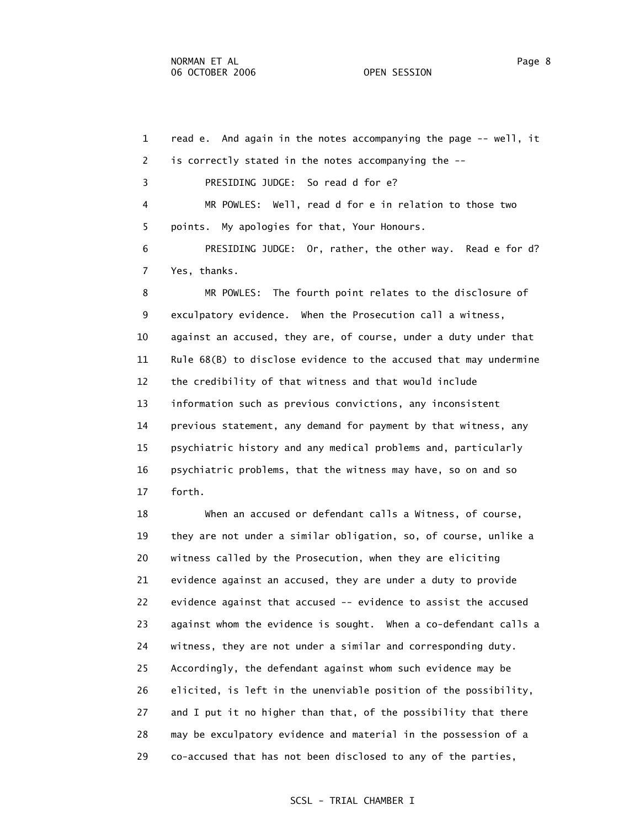1 read e. And again in the notes accompanying the page -- well, it 2 is correctly stated in the notes accompanying the -- 3 PRESIDING JUDGE: So read d for e? 4 MR POWLES: Well, read d for e in relation to those two 5 points. My apologies for that, Your Honours. 6 PRESIDING JUDGE: Or, rather, the other way. Read e for d? 7 Yes, thanks. 8 MR POWLES: The fourth point relates to the disclosure of 9 exculpatory evidence. When the Prosecution call a witness, 10 against an accused, they are, of course, under a duty under that 11 Rule 68(B) to disclose evidence to the accused that may undermine 12 the credibility of that witness and that would include 13 information such as previous convictions, any inconsistent 14 previous statement, any demand for payment by that witness, any 15 psychiatric history and any medical problems and, particularly 16 psychiatric problems, that the witness may have, so on and so 17 forth. 18 When an accused or defendant calls a Witness, of course,

 19 they are not under a similar obligation, so, of course, unlike a 20 witness called by the Prosecution, when they are eliciting 21 evidence against an accused, they are under a duty to provide 22 evidence against that accused -- evidence to assist the accused 23 against whom the evidence is sought. When a co-defendant calls a 24 witness, they are not under a similar and corresponding duty. 25 Accordingly, the defendant against whom such evidence may be 26 elicited, is left in the unenviable position of the possibility, 27 and I put it no higher than that, of the possibility that there 28 may be exculpatory evidence and material in the possession of a 29 co-accused that has not been disclosed to any of the parties,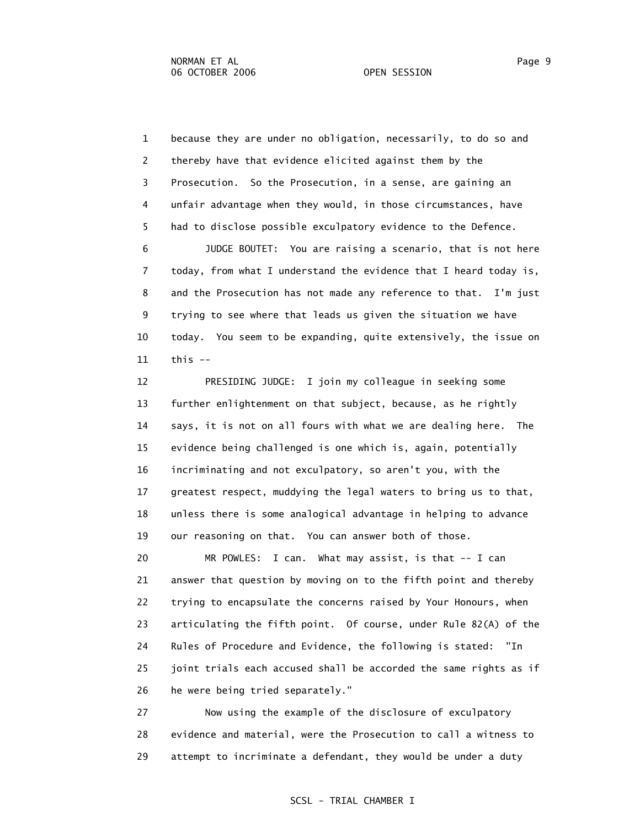1 because they are under no obligation, necessarily, to do so and 2 thereby have that evidence elicited against them by the 3 Prosecution. So the Prosecution, in a sense, are gaining an 4 unfair advantage when they would, in those circumstances, have 5 had to disclose possible exculpatory evidence to the Defence. 6 JUDGE BOUTET: You are raising a scenario, that is not here

 7 today, from what I understand the evidence that I heard today is, 8 and the Prosecution has not made any reference to that. I'm just 9 trying to see where that leads us given the situation we have 10 today. You seem to be expanding, quite extensively, the issue on  $11$  this  $-$ 

 12 PRESIDING JUDGE: I join my colleague in seeking some 13 further enlightenment on that subject, because, as he rightly 14 says, it is not on all fours with what we are dealing here. The 15 evidence being challenged is one which is, again, potentially 16 incriminating and not exculpatory, so aren't you, with the 17 greatest respect, muddying the legal waters to bring us to that, 18 unless there is some analogical advantage in helping to advance 19 our reasoning on that. You can answer both of those.

 20 MR POWLES: I can. What may assist, is that -- I can 21 answer that question by moving on to the fifth point and thereby 22 trying to encapsulate the concerns raised by Your Honours, when 23 articulating the fifth point. Of course, under Rule 82(A) of the 24 Rules of Procedure and Evidence, the following is stated: "In 25 joint trials each accused shall be accorded the same rights as if 26 he were being tried separately."

 27 Now using the example of the disclosure of exculpatory 28 evidence and material, were the Prosecution to call a witness to 29 attempt to incriminate a defendant, they would be under a duty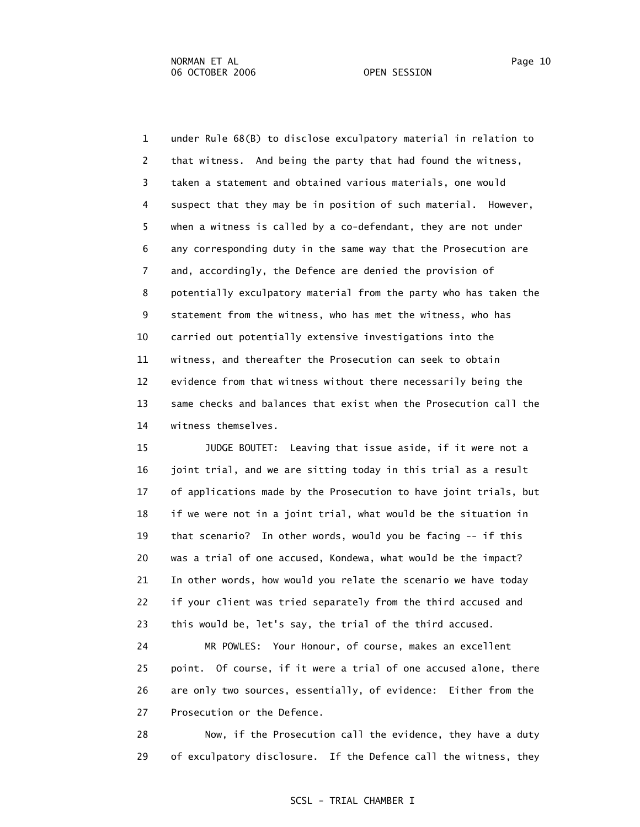1 under Rule 68(B) to disclose exculpatory material in relation to 2 that witness. And being the party that had found the witness, 3 taken a statement and obtained various materials, one would 4 suspect that they may be in position of such material. However, 5 when a witness is called by a co-defendant, they are not under 6 any corresponding duty in the same way that the Prosecution are 7 and, accordingly, the Defence are denied the provision of 8 potentially exculpatory material from the party who has taken the 9 statement from the witness, who has met the witness, who has 10 carried out potentially extensive investigations into the 11 witness, and thereafter the Prosecution can seek to obtain 12 evidence from that witness without there necessarily being the 13 same checks and balances that exist when the Prosecution call the 14 witness themselves.

 15 JUDGE BOUTET: Leaving that issue aside, if it were not a 16 joint trial, and we are sitting today in this trial as a result 17 of applications made by the Prosecution to have joint trials, but 18 if we were not in a joint trial, what would be the situation in 19 that scenario? In other words, would you be facing -- if this 20 was a trial of one accused, Kondewa, what would be the impact? 21 In other words, how would you relate the scenario we have today 22 if your client was tried separately from the third accused and 23 this would be, let's say, the trial of the third accused.

 24 MR POWLES: Your Honour, of course, makes an excellent 25 point. Of course, if it were a trial of one accused alone, there 26 are only two sources, essentially, of evidence: Either from the 27 Prosecution or the Defence.

 28 Now, if the Prosecution call the evidence, they have a duty 29 of exculpatory disclosure. If the Defence call the witness, they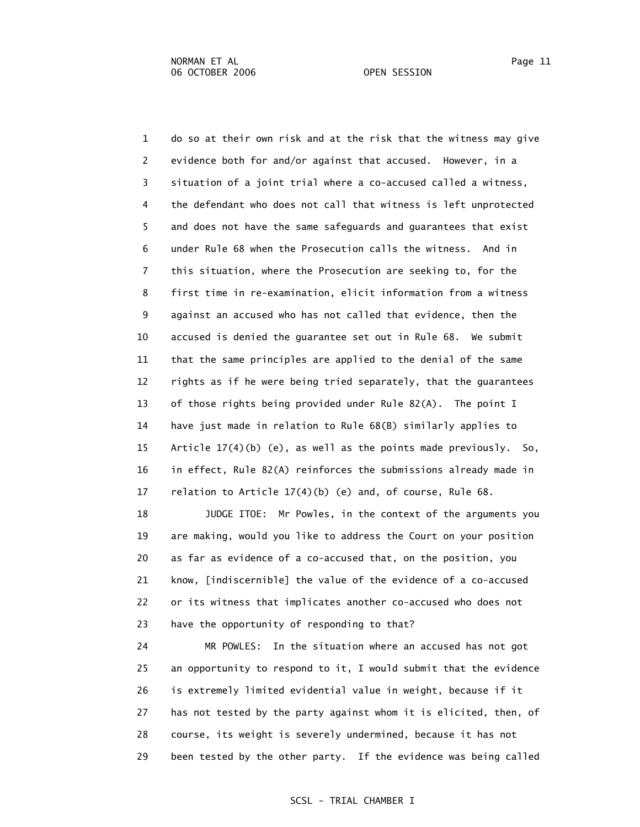1 do so at their own risk and at the risk that the witness may give 2 evidence both for and/or against that accused. However, in a 3 situation of a joint trial where a co-accused called a witness, 4 the defendant who does not call that witness is left unprotected 5 and does not have the same safeguards and guarantees that exist 6 under Rule 68 when the Prosecution calls the witness. And in 7 this situation, where the Prosecution are seeking to, for the 8 first time in re-examination, elicit information from a witness 9 against an accused who has not called that evidence, then the 10 accused is denied the guarantee set out in Rule 68. We submit 11 that the same principles are applied to the denial of the same 12 rights as if he were being tried separately, that the guarantees 13 of those rights being provided under Rule 82(A). The point I 14 have just made in relation to Rule 68(B) similarly applies to 15 Article 17(4)(b) (e), as well as the points made previously. So, 16 in effect, Rule 82(A) reinforces the submissions already made in 17 relation to Article 17(4)(b) (e) and, of course, Rule 68.

 18 JUDGE ITOE: Mr Powles, in the context of the arguments you 19 are making, would you like to address the Court on your position 20 as far as evidence of a co-accused that, on the position, you 21 know, [indiscernible] the value of the evidence of a co-accused 22 or its witness that implicates another co-accused who does not 23 have the opportunity of responding to that?

 24 MR POWLES: In the situation where an accused has not got 25 an opportunity to respond to it, I would submit that the evidence 26 is extremely limited evidential value in weight, because if it 27 has not tested by the party against whom it is elicited, then, of 28 course, its weight is severely undermined, because it has not 29 been tested by the other party. If the evidence was being called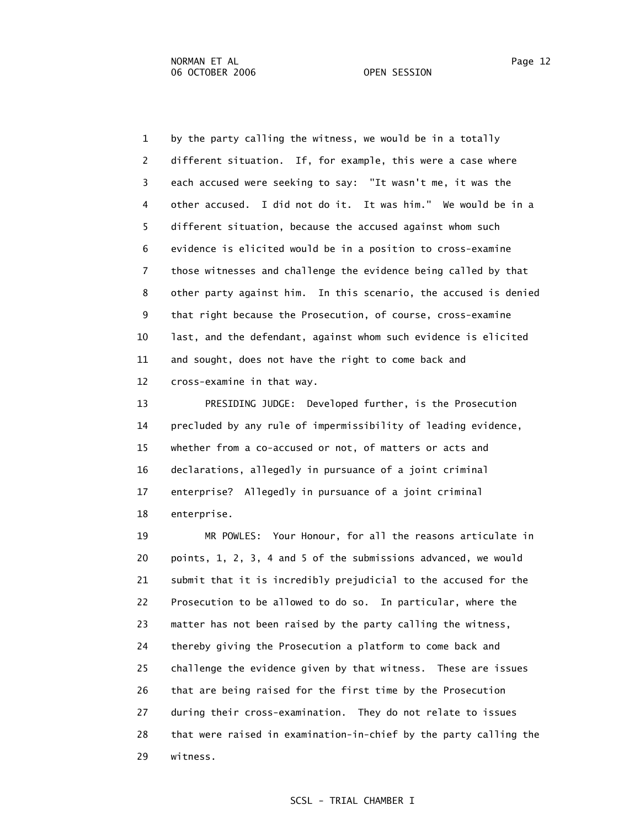1 by the party calling the witness, we would be in a totally 2 different situation. If, for example, this were a case where 3 each accused were seeking to say: "It wasn't me, it was the 4 other accused. I did not do it. It was him." We would be in a 5 different situation, because the accused against whom such 6 evidence is elicited would be in a position to cross-examine 7 those witnesses and challenge the evidence being called by that 8 other party against him. In this scenario, the accused is denied 9 that right because the Prosecution, of course, cross-examine 10 last, and the defendant, against whom such evidence is elicited 11 and sought, does not have the right to come back and 12 cross-examine in that way.

 13 PRESIDING JUDGE: Developed further, is the Prosecution 14 precluded by any rule of impermissibility of leading evidence, 15 whether from a co-accused or not, of matters or acts and 16 declarations, allegedly in pursuance of a joint criminal 17 enterprise? Allegedly in pursuance of a joint criminal 18 enterprise.

 19 MR POWLES: Your Honour, for all the reasons articulate in 20 points, 1, 2, 3, 4 and 5 of the submissions advanced, we would 21 submit that it is incredibly prejudicial to the accused for the 22 Prosecution to be allowed to do so. In particular, where the 23 matter has not been raised by the party calling the witness, 24 thereby giving the Prosecution a platform to come back and 25 challenge the evidence given by that witness. These are issues 26 that are being raised for the first time by the Prosecution 27 during their cross-examination. They do not relate to issues 28 that were raised in examination-in-chief by the party calling the 29 witness.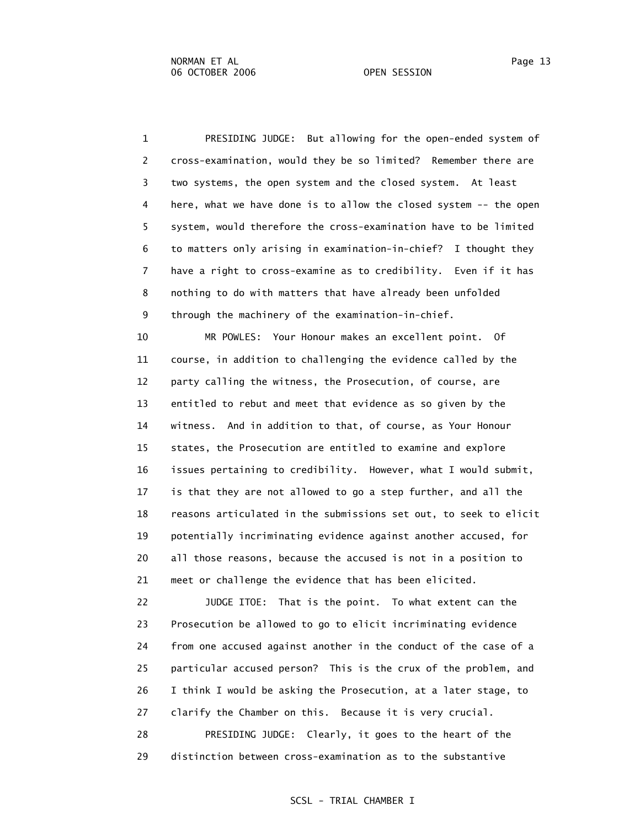1 PRESIDING JUDGE: But allowing for the open-ended system of 2 cross-examination, would they be so limited? Remember there are 3 two systems, the open system and the closed system. At least 4 here, what we have done is to allow the closed system -- the open 5 system, would therefore the cross-examination have to be limited 6 to matters only arising in examination-in-chief? I thought they 7 have a right to cross-examine as to credibility. Even if it has 8 nothing to do with matters that have already been unfolded 9 through the machinery of the examination-in-chief.

 10 MR POWLES: Your Honour makes an excellent point. Of 11 course, in addition to challenging the evidence called by the 12 party calling the witness, the Prosecution, of course, are 13 entitled to rebut and meet that evidence as so given by the 14 witness. And in addition to that, of course, as Your Honour 15 states, the Prosecution are entitled to examine and explore 16 issues pertaining to credibility. However, what I would submit, 17 is that they are not allowed to go a step further, and all the 18 reasons articulated in the submissions set out, to seek to elicit 19 potentially incriminating evidence against another accused, for 20 all those reasons, because the accused is not in a position to 21 meet or challenge the evidence that has been elicited.

 22 JUDGE ITOE: That is the point. To what extent can the 23 Prosecution be allowed to go to elicit incriminating evidence 24 from one accused against another in the conduct of the case of a 25 particular accused person? This is the crux of the problem, and 26 I think I would be asking the Prosecution, at a later stage, to 27 clarify the Chamber on this. Because it is very crucial. 28 PRESIDING JUDGE: Clearly, it goes to the heart of the

29 distinction between cross-examination as to the substantive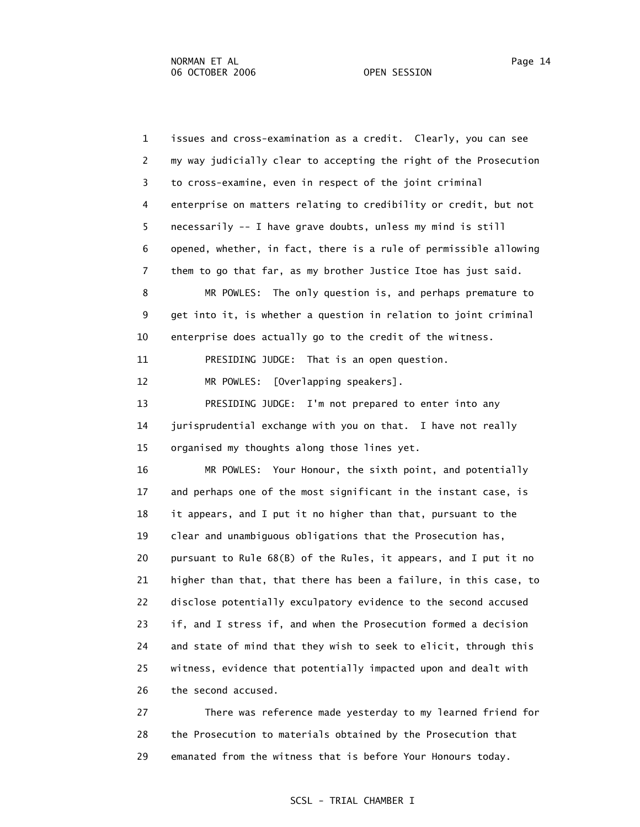1 issues and cross-examination as a credit. Clearly, you can see 2 my way judicially clear to accepting the right of the Prosecution 3 to cross-examine, even in respect of the joint criminal 4 enterprise on matters relating to credibility or credit, but not 5 necessarily -- I have grave doubts, unless my mind is still 6 opened, whether, in fact, there is a rule of permissible allowing 7 them to go that far, as my brother Justice Itoe has just said. 8 MR POWLES: The only question is, and perhaps premature to 9 get into it, is whether a question in relation to joint criminal 10 enterprise does actually go to the credit of the witness. 11 PRESIDING JUDGE: That is an open question. 12 MR POWLES: [Overlapping speakers]. 13 PRESIDING JUDGE: I'm not prepared to enter into any 14 jurisprudential exchange with you on that. I have not really 15 organised my thoughts along those lines yet. 16 MR POWLES: Your Honour, the sixth point, and potentially 17 and perhaps one of the most significant in the instant case, is 18 it appears, and I put it no higher than that, pursuant to the 19 clear and unambiguous obligations that the Prosecution has, 20 pursuant to Rule 68(B) of the Rules, it appears, and I put it no 21 higher than that, that there has been a failure, in this case, to 22 disclose potentially exculpatory evidence to the second accused 23 if, and I stress if, and when the Prosecution formed a decision 24 and state of mind that they wish to seek to elicit, through this 25 witness, evidence that potentially impacted upon and dealt with 26 the second accused.

 27 There was reference made yesterday to my learned friend for 28 the Prosecution to materials obtained by the Prosecution that 29 emanated from the witness that is before Your Honours today.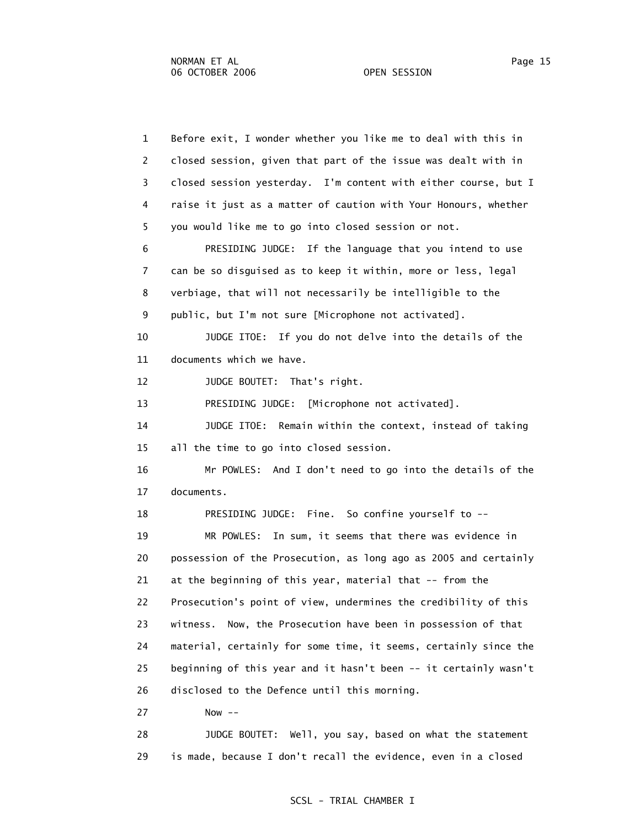1 Before exit, I wonder whether you like me to deal with this in 2 closed session, given that part of the issue was dealt with in 3 closed session yesterday. I'm content with either course, but I 4 raise it just as a matter of caution with Your Honours, whether 5 you would like me to go into closed session or not. 6 PRESIDING JUDGE: If the language that you intend to use 7 can be so disguised as to keep it within, more or less, legal 8 verbiage, that will not necessarily be intelligible to the 9 public, but I'm not sure [Microphone not activated]. 10 JUDGE ITOE: If you do not delve into the details of the 11 documents which we have. 12 JUDGE BOUTET: That's right. 13 PRESIDING JUDGE: [Microphone not activated]. 14 JUDGE ITOE: Remain within the context, instead of taking 15 all the time to go into closed session. 16 Mr POWLES: And I don't need to go into the details of the 17 documents. 18 PRESIDING JUDGE: Fine. So confine yourself to -- 19 MR POWLES: In sum, it seems that there was evidence in 20 possession of the Prosecution, as long ago as 2005 and certainly 21 at the beginning of this year, material that -- from the 22 Prosecution's point of view, undermines the credibility of this 23 witness. Now, the Prosecution have been in possession of that 24 material, certainly for some time, it seems, certainly since the 25 beginning of this year and it hasn't been -- it certainly wasn't 26 disclosed to the Defence until this morning. 27 Now -- 28 JUDGE BOUTET: Well, you say, based on what the statement 29 is made, because I don't recall the evidence, even in a closed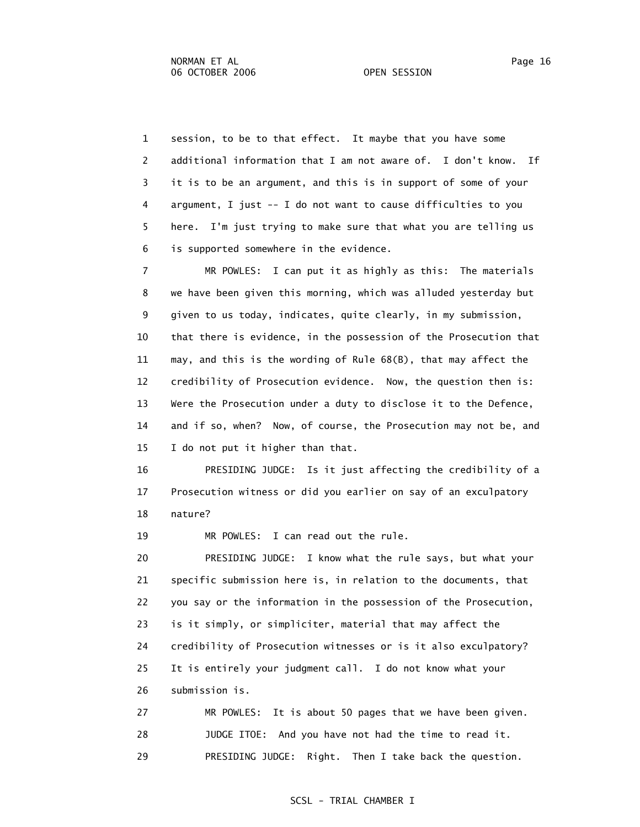1 session, to be to that effect. It maybe that you have some 2 additional information that I am not aware of. I don't know. If 3 it is to be an argument, and this is in support of some of your 4 argument, I just -- I do not want to cause difficulties to you 5 here. I'm just trying to make sure that what you are telling us 6 is supported somewhere in the evidence.

 7 MR POWLES: I can put it as highly as this: The materials 8 we have been given this morning, which was alluded yesterday but 9 given to us today, indicates, quite clearly, in my submission, 10 that there is evidence, in the possession of the Prosecution that 11 may, and this is the wording of Rule 68(B), that may affect the 12 credibility of Prosecution evidence. Now, the question then is: 13 Were the Prosecution under a duty to disclose it to the Defence, 14 and if so, when? Now, of course, the Prosecution may not be, and 15 I do not put it higher than that.

 16 PRESIDING JUDGE: Is it just affecting the credibility of a 17 Prosecution witness or did you earlier on say of an exculpatory 18 nature?

19 MR POWLES: I can read out the rule.

 20 PRESIDING JUDGE: I know what the rule says, but what your 21 specific submission here is, in relation to the documents, that 22 you say or the information in the possession of the Prosecution, 23 is it simply, or simpliciter, material that may affect the 24 credibility of Prosecution witnesses or is it also exculpatory? 25 It is entirely your judgment call. I do not know what your 26 submission is.

 27 MR POWLES: It is about 50 pages that we have been given. 28 JUDGE ITOE: And you have not had the time to read it. 29 PRESIDING JUDGE: Right. Then I take back the question.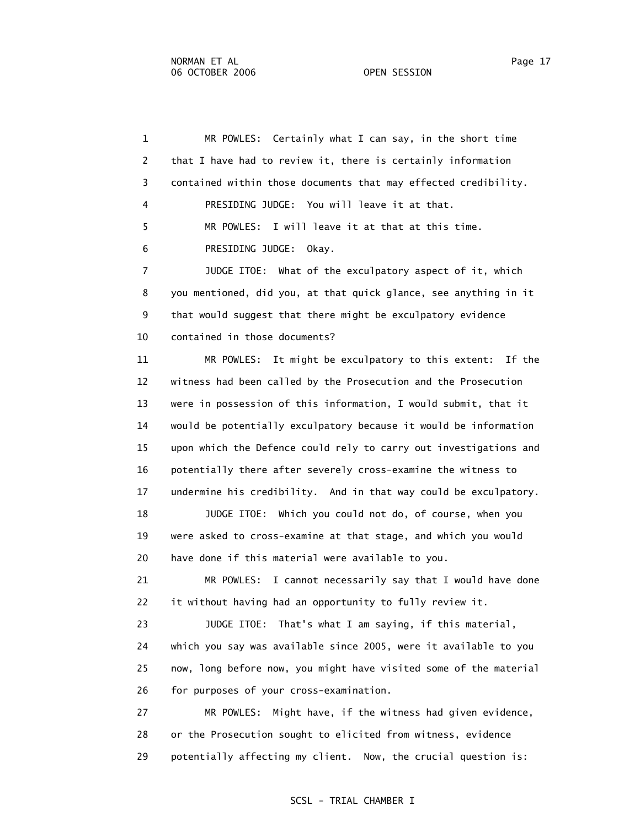1 MR POWLES: Certainly what I can say, in the short time 2 that I have had to review it, there is certainly information 3 contained within those documents that may effected credibility. 4 PRESIDING JUDGE: You will leave it at that. 5 MR POWLES: I will leave it at that at this time. 6 PRESIDING JUDGE: Okay. 7 JUDGE ITOE: What of the exculpatory aspect of it, which 8 you mentioned, did you, at that quick glance, see anything in it 9 that would suggest that there might be exculpatory evidence 10 contained in those documents? 11 MR POWLES: It might be exculpatory to this extent: If the 12 witness had been called by the Prosecution and the Prosecution 13 were in possession of this information, I would submit, that it 14 would be potentially exculpatory because it would be information 15 upon which the Defence could rely to carry out investigations and 16 potentially there after severely cross-examine the witness to 17 undermine his credibility. And in that way could be exculpatory. 18 JUDGE ITOE: Which you could not do, of course, when you 19 were asked to cross-examine at that stage, and which you would 20 have done if this material were available to you. 21 MR POWLES: I cannot necessarily say that I would have done 22 it without having had an opportunity to fully review it. 23 JUDGE ITOE: That's what I am saying, if this material, 24 which you say was available since 2005, were it available to you 25 now, long before now, you might have visited some of the material 26 for purposes of your cross-examination. 27 MR POWLES: Might have, if the witness had given evidence, 28 or the Prosecution sought to elicited from witness, evidence 29 potentially affecting my client. Now, the crucial question is: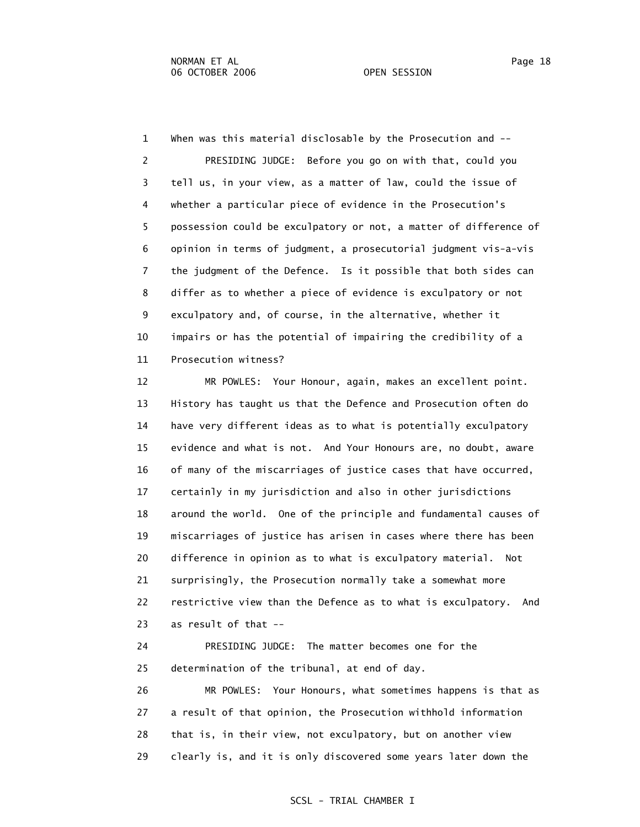1 When was this material disclosable by the Prosecution and -- 2 PRESIDING JUDGE: Before you go on with that, could you 3 tell us, in your view, as a matter of law, could the issue of 4 whether a particular piece of evidence in the Prosecution's 5 possession could be exculpatory or not, a matter of difference of 6 opinion in terms of judgment, a prosecutorial judgment vis-a-vis 7 the judgment of the Defence. Is it possible that both sides can 8 differ as to whether a piece of evidence is exculpatory or not 9 exculpatory and, of course, in the alternative, whether it 10 impairs or has the potential of impairing the credibility of a 11 Prosecution witness?

 12 MR POWLES: Your Honour, again, makes an excellent point. 13 History has taught us that the Defence and Prosecution often do 14 have very different ideas as to what is potentially exculpatory 15 evidence and what is not. And Your Honours are, no doubt, aware 16 of many of the miscarriages of justice cases that have occurred, 17 certainly in my jurisdiction and also in other jurisdictions 18 around the world. One of the principle and fundamental causes of 19 miscarriages of justice has arisen in cases where there has been 20 difference in opinion as to what is exculpatory material. Not 21 surprisingly, the Prosecution normally take a somewhat more 22 restrictive view than the Defence as to what is exculpatory. And 23 as result of that --

 24 PRESIDING JUDGE: The matter becomes one for the 25 determination of the tribunal, at end of day.

 26 MR POWLES: Your Honours, what sometimes happens is that as 27 a result of that opinion, the Prosecution withhold information 28 that is, in their view, not exculpatory, but on another view 29 clearly is, and it is only discovered some years later down the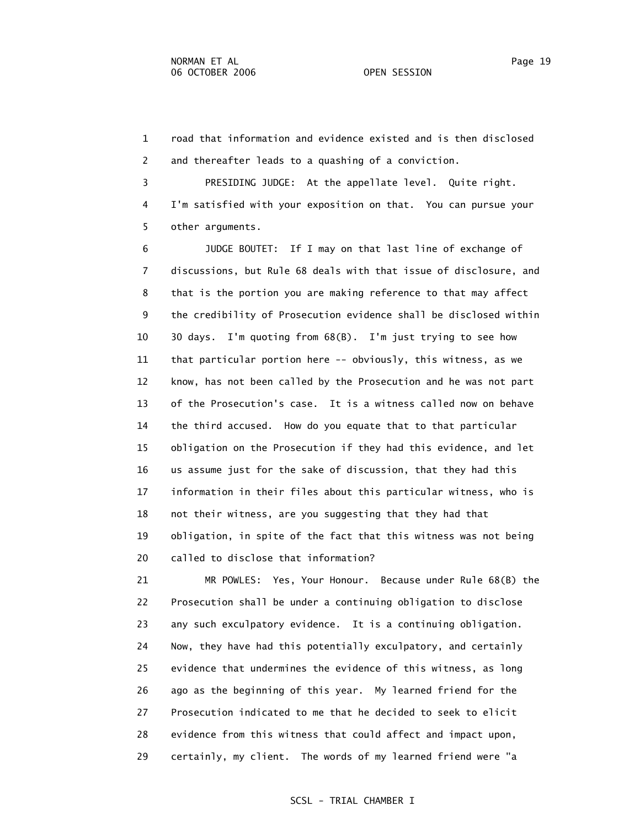1 road that information and evidence existed and is then disclosed 2 and thereafter leads to a quashing of a conviction.

 3 PRESIDING JUDGE: At the appellate level. Quite right. 4 I'm satisfied with your exposition on that. You can pursue your 5 other arguments.

 6 JUDGE BOUTET: If I may on that last line of exchange of 7 discussions, but Rule 68 deals with that issue of disclosure, and 8 that is the portion you are making reference to that may affect 9 the credibility of Prosecution evidence shall be disclosed within 10 30 days. I'm quoting from 68(B). I'm just trying to see how 11 that particular portion here -- obviously, this witness, as we 12 know, has not been called by the Prosecution and he was not part 13 of the Prosecution's case. It is a witness called now on behave 14 the third accused. How do you equate that to that particular 15 obligation on the Prosecution if they had this evidence, and let 16 us assume just for the sake of discussion, that they had this 17 information in their files about this particular witness, who is 18 not their witness, are you suggesting that they had that 19 obligation, in spite of the fact that this witness was not being 20 called to disclose that information?

 21 MR POWLES: Yes, Your Honour. Because under Rule 68(B) the 22 Prosecution shall be under a continuing obligation to disclose 23 any such exculpatory evidence. It is a continuing obligation. 24 Now, they have had this potentially exculpatory, and certainly 25 evidence that undermines the evidence of this witness, as long 26 ago as the beginning of this year. My learned friend for the 27 Prosecution indicated to me that he decided to seek to elicit 28 evidence from this witness that could affect and impact upon, 29 certainly, my client. The words of my learned friend were "a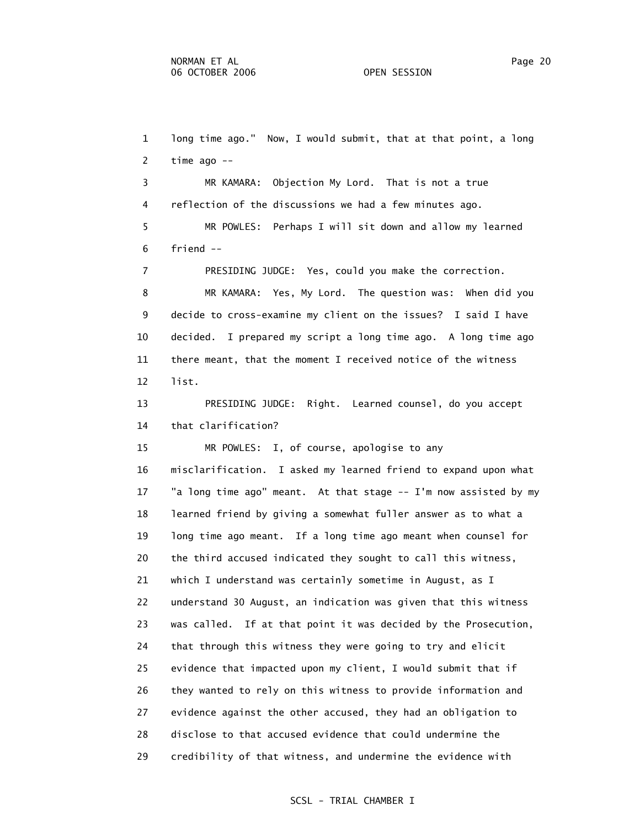1 long time ago." Now, I would submit, that at that point, a long 2 time ago -- 3 MR KAMARA: Objection My Lord. That is not a true 4 reflection of the discussions we had a few minutes ago. 5 MR POWLES: Perhaps I will sit down and allow my learned 6 friend -- 7 PRESIDING JUDGE: Yes, could you make the correction. 8 MR KAMARA: Yes, My Lord. The question was: When did you 9 decide to cross-examine my client on the issues? I said I have 10 decided. I prepared my script a long time ago. A long time ago 11 there meant, that the moment I received notice of the witness 12 list. 13 PRESIDING JUDGE: Right. Learned counsel, do you accept 14 that clarification? 15 MR POWLES: I, of course, apologise to any 16 misclarification. I asked my learned friend to expand upon what 17 "a long time ago" meant. At that stage -- I'm now assisted by my 18 learned friend by giving a somewhat fuller answer as to what a 19 long time ago meant. If a long time ago meant when counsel for 20 the third accused indicated they sought to call this witness, 21 which I understand was certainly sometime in August, as I 22 understand 30 August, an indication was given that this witness 23 was called. If at that point it was decided by the Prosecution, 24 that through this witness they were going to try and elicit 25 evidence that impacted upon my client, I would submit that if 26 they wanted to rely on this witness to provide information and 27 evidence against the other accused, they had an obligation to 28 disclose to that accused evidence that could undermine the 29 credibility of that witness, and undermine the evidence with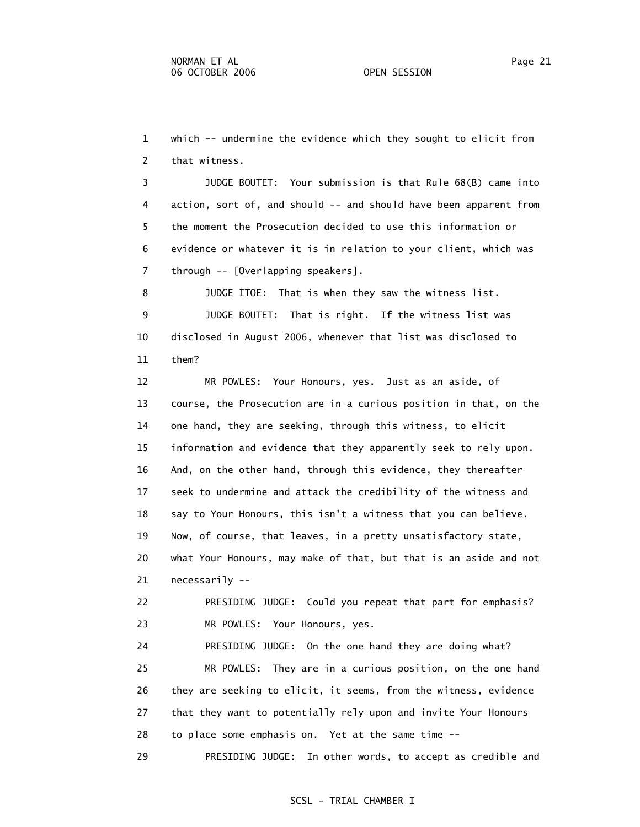1 which -- undermine the evidence which they sought to elicit from 2 that witness.

 3 JUDGE BOUTET: Your submission is that Rule 68(B) came into 4 action, sort of, and should -- and should have been apparent from 5 the moment the Prosecution decided to use this information or 6 evidence or whatever it is in relation to your client, which was 7 through -- [Overlapping speakers].

 8 JUDGE ITOE: That is when they saw the witness list. 9 JUDGE BOUTET: That is right. If the witness list was 10 disclosed in August 2006, whenever that list was disclosed to 11 them?

 12 MR POWLES: Your Honours, yes. Just as an aside, of 13 course, the Prosecution are in a curious position in that, on the 14 one hand, they are seeking, through this witness, to elicit 15 information and evidence that they apparently seek to rely upon. 16 And, on the other hand, through this evidence, they thereafter 17 seek to undermine and attack the credibility of the witness and 18 say to Your Honours, this isn't a witness that you can believe. 19 Now, of course, that leaves, in a pretty unsatisfactory state, 20 what Your Honours, may make of that, but that is an aside and not 21 necessarily --

 22 PRESIDING JUDGE: Could you repeat that part for emphasis? 23 MR POWLES: Your Honours, yes.

 24 PRESIDING JUDGE: On the one hand they are doing what? 25 MR POWLES: They are in a curious position, on the one hand 26 they are seeking to elicit, it seems, from the witness, evidence 27 that they want to potentially rely upon and invite Your Honours 28 to place some emphasis on. Yet at the same time --

29 PRESIDING JUDGE: In other words, to accept as credible and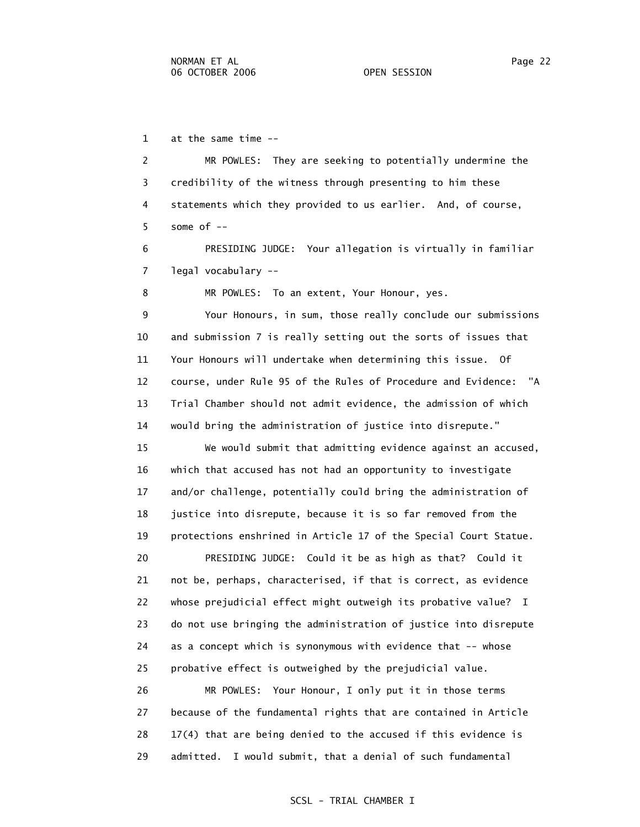1 at the same time --

 2 MR POWLES: They are seeking to potentially undermine the 3 credibility of the witness through presenting to him these 4 statements which they provided to us earlier. And, of course,  $5$  some of  $-$ 

 6 PRESIDING JUDGE: Your allegation is virtually in familiar 7 legal vocabulary --

8 MR POWLES: To an extent, Your Honour, yes.

 9 Your Honours, in sum, those really conclude our submissions 10 and submission 7 is really setting out the sorts of issues that 11 Your Honours will undertake when determining this issue. Of 12 course, under Rule 95 of the Rules of Procedure and Evidence: "A 13 Trial Chamber should not admit evidence, the admission of which 14 would bring the administration of justice into disrepute."

 15 We would submit that admitting evidence against an accused, 16 which that accused has not had an opportunity to investigate 17 and/or challenge, potentially could bring the administration of 18 justice into disrepute, because it is so far removed from the 19 protections enshrined in Article 17 of the Special Court Statue.

 20 PRESIDING JUDGE: Could it be as high as that? Could it 21 not be, perhaps, characterised, if that is correct, as evidence 22 whose prejudicial effect might outweigh its probative value? I 23 do not use bringing the administration of justice into disrepute 24 as a concept which is synonymous with evidence that -- whose 25 probative effect is outweighed by the prejudicial value.

 26 MR POWLES: Your Honour, I only put it in those terms 27 because of the fundamental rights that are contained in Article 28 17(4) that are being denied to the accused if this evidence is 29 admitted. I would submit, that a denial of such fundamental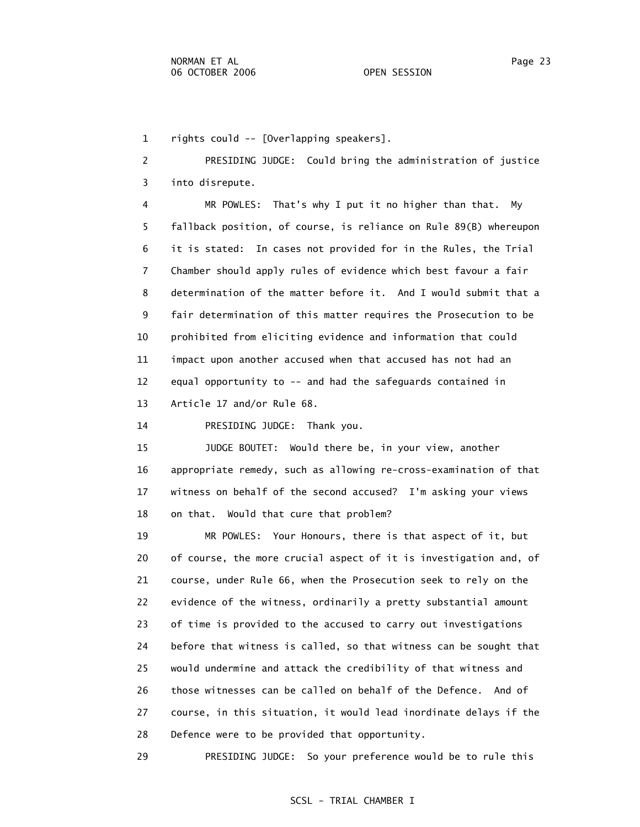1 rights could -- [Overlapping speakers].

 2 PRESIDING JUDGE: Could bring the administration of justice 3 into disrepute.

 4 MR POWLES: That's why I put it no higher than that. My 5 fallback position, of course, is reliance on Rule 89(B) whereupon 6 it is stated: In cases not provided for in the Rules, the Trial 7 Chamber should apply rules of evidence which best favour a fair 8 determination of the matter before it. And I would submit that a 9 fair determination of this matter requires the Prosecution to be 10 prohibited from eliciting evidence and information that could 11 impact upon another accused when that accused has not had an 12 equal opportunity to -- and had the safeguards contained in 13 Article 17 and/or Rule 68.

14 PRESIDING JUDGE: Thank you.

 15 JUDGE BOUTET: Would there be, in your view, another 16 appropriate remedy, such as allowing re-cross-examination of that 17 witness on behalf of the second accused? I'm asking your views 18 on that. Would that cure that problem?

 19 MR POWLES: Your Honours, there is that aspect of it, but 20 of course, the more crucial aspect of it is investigation and, of 21 course, under Rule 66, when the Prosecution seek to rely on the 22 evidence of the witness, ordinarily a pretty substantial amount 23 of time is provided to the accused to carry out investigations 24 before that witness is called, so that witness can be sought that 25 would undermine and attack the credibility of that witness and 26 those witnesses can be called on behalf of the Defence. And of 27 course, in this situation, it would lead inordinate delays if the 28 Defence were to be provided that opportunity.

29 PRESIDING JUDGE: So your preference would be to rule this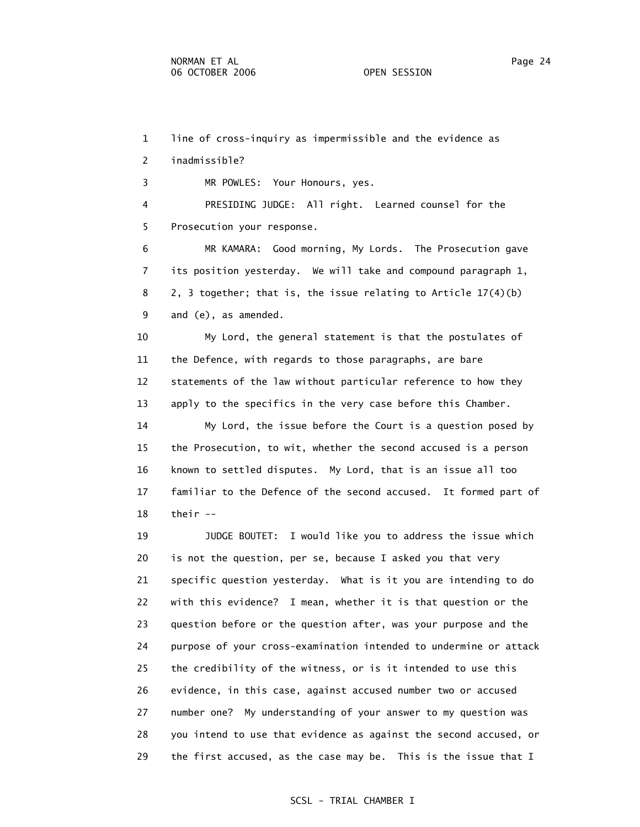1 line of cross-inquiry as impermissible and the evidence as 2 inadmissible?

3 MR POWLES: Your Honours, yes.

 4 PRESIDING JUDGE: All right. Learned counsel for the 5 Prosecution your response.

 6 MR KAMARA: Good morning, My Lords. The Prosecution gave 7 its position yesterday. We will take and compound paragraph 1, 8 2, 3 together; that is, the issue relating to Article 17(4)(b) 9 and (e), as amended.

 10 My Lord, the general statement is that the postulates of 11 the Defence, with regards to those paragraphs, are bare 12 statements of the law without particular reference to how they 13 apply to the specifics in the very case before this Chamber.

 14 My Lord, the issue before the Court is a question posed by 15 the Prosecution, to wit, whether the second accused is a person 16 known to settled disputes. My Lord, that is an issue all too 17 familiar to the Defence of the second accused. It formed part of 18 their --

 19 JUDGE BOUTET: I would like you to address the issue which 20 is not the question, per se, because I asked you that very 21 specific question yesterday. What is it you are intending to do 22 with this evidence? I mean, whether it is that question or the 23 question before or the question after, was your purpose and the 24 purpose of your cross-examination intended to undermine or attack 25 the credibility of the witness, or is it intended to use this 26 evidence, in this case, against accused number two or accused 27 number one? My understanding of your answer to my question was 28 you intend to use that evidence as against the second accused, or 29 the first accused, as the case may be. This is the issue that I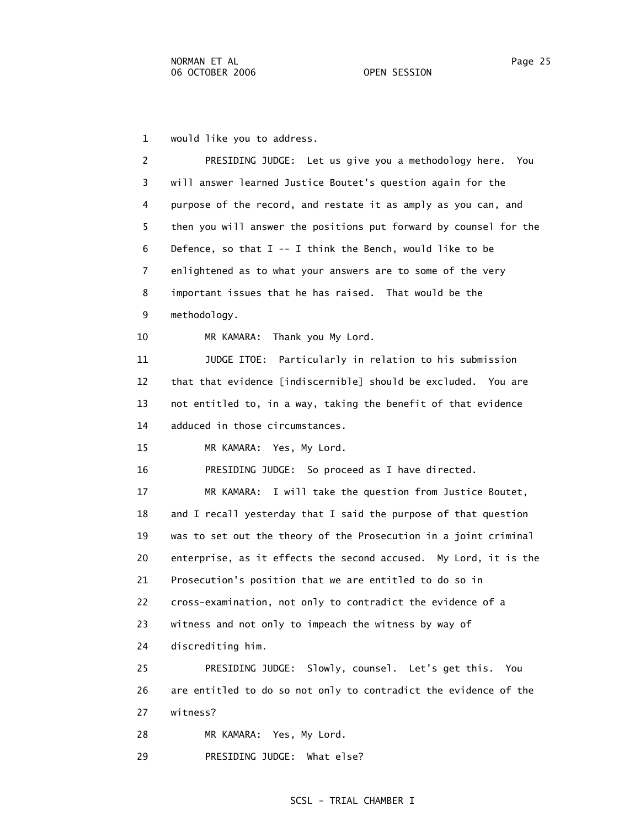1 would like you to address.

| 2  | PRESIDING JUDGE: Let us give you a methodology here.<br>You       |  |
|----|-------------------------------------------------------------------|--|
| 3  | will answer learned Justice Boutet's question again for the       |  |
| 4  | purpose of the record, and restate it as amply as you can, and    |  |
| 5  | then you will answer the positions put forward by counsel for the |  |
| 6  | Defence, so that $I - - I$ think the Bench, would like to be      |  |
| 7  | enlightened as to what your answers are to some of the very       |  |
| 8  | important issues that he has raised. That would be the            |  |
| 9  | methodology.                                                      |  |
| 10 | Thank you My Lord.<br>MR KAMARA:                                  |  |
| 11 | JUDGE ITOE: Particularly in relation to his submission            |  |
| 12 | that that evidence [indiscernible] should be excluded. You are    |  |
| 13 | not entitled to, in a way, taking the benefit of that evidence    |  |
| 14 | adduced in those circumstances.                                   |  |
| 15 | MR KAMARA: Yes, My Lord.                                          |  |
| 16 | PRESIDING JUDGE: So proceed as I have directed.                   |  |
| 17 | MR KAMARA: I will take the question from Justice Boutet,          |  |
| 18 | and I recall yesterday that I said the purpose of that question   |  |
| 19 | was to set out the theory of the Prosecution in a joint criminal  |  |
| 20 | enterprise, as it effects the second accused. My Lord, it is the  |  |
| 21 | Prosecution's position that we are entitled to do so in           |  |
| 22 | cross-examination, not only to contradict the evidence of a       |  |
| 23 | witness and not only to impeach the witness by way of             |  |
| 24 | discrediting him.                                                 |  |
| 25 | PRESIDING JUDGE: Slowly, counsel. Let's get this. You             |  |
| 26 | are entitled to do so not only to contradict the evidence of the  |  |
| 27 | witness?                                                          |  |
| 28 | MR KAMARA: Yes, My Lord.                                          |  |
| 29 | PRESIDING JUDGE: What else?                                       |  |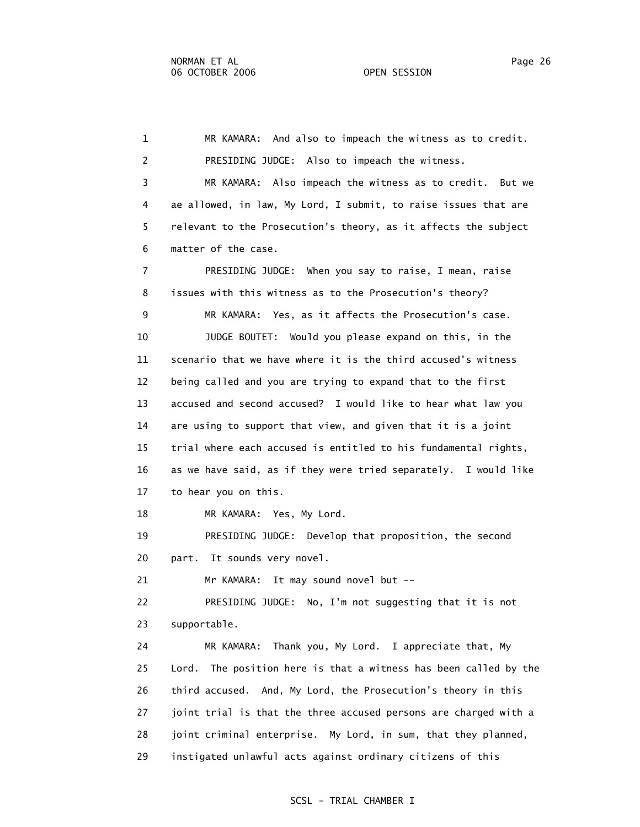1 MR KAMARA: And also to impeach the witness as to credit. 2 PRESIDING JUDGE: Also to impeach the witness. 3 MR KAMARA: Also impeach the witness as to credit. But we 4 ae allowed, in law, My Lord, I submit, to raise issues that are 5 relevant to the Prosecution's theory, as it affects the subject 6 matter of the case. 7 PRESIDING JUDGE: When you say to raise, I mean, raise 8 issues with this witness as to the Prosecution's theory? 9 MR KAMARA: Yes, as it affects the Prosecution's case. 10 JUDGE BOUTET: Would you please expand on this, in the 11 scenario that we have where it is the third accused's witness 12 being called and you are trying to expand that to the first 13 accused and second accused? I would like to hear what law you 14 are using to support that view, and given that it is a joint 15 trial where each accused is entitled to his fundamental rights, 16 as we have said, as if they were tried separately. I would like 17 to hear you on this. 18 MR KAMARA: Yes, My Lord. 19 PRESIDING JUDGE: Develop that proposition, the second 20 part. It sounds very novel. 21 Mr KAMARA: It may sound novel but -- 22 PRESIDING JUDGE: No, I'm not suggesting that it is not 23 supportable. 24 MR KAMARA: Thank you, My Lord. I appreciate that, My 25 Lord. The position here is that a witness has been called by the 26 third accused. And, My Lord, the Prosecution's theory in this 27 joint trial is that the three accused persons are charged with a 28 joint criminal enterprise. My Lord, in sum, that they planned, 29 instigated unlawful acts against ordinary citizens of this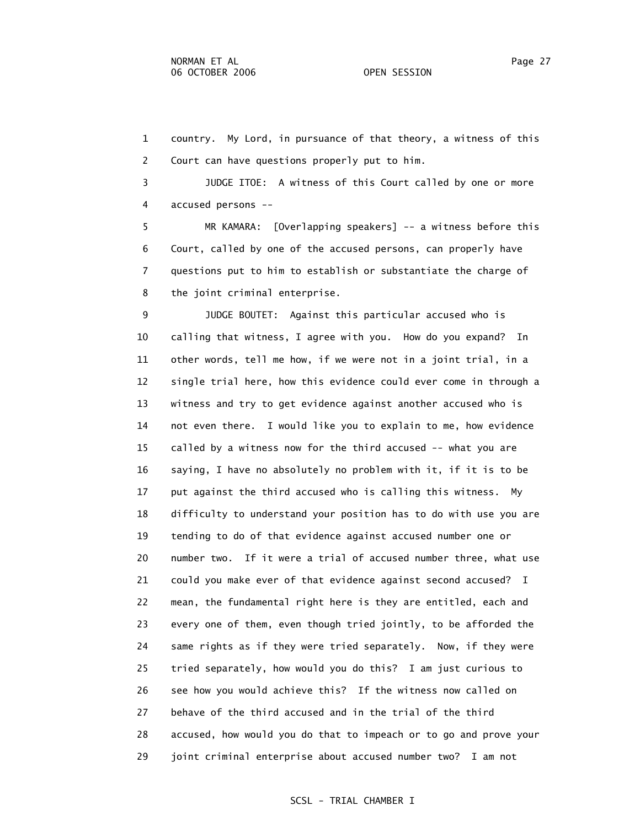1 country. My Lord, in pursuance of that theory, a witness of this 2 Court can have questions properly put to him.

 3 JUDGE ITOE: A witness of this Court called by one or more 4 accused persons --

 5 MR KAMARA: [Overlapping speakers] -- a witness before this 6 Court, called by one of the accused persons, can properly have 7 questions put to him to establish or substantiate the charge of 8 the joint criminal enterprise.

 9 JUDGE BOUTET: Against this particular accused who is 10 calling that witness, I agree with you. How do you expand? In 11 other words, tell me how, if we were not in a joint trial, in a 12 single trial here, how this evidence could ever come in through a 13 witness and try to get evidence against another accused who is 14 not even there. I would like you to explain to me, how evidence 15 called by a witness now for the third accused -- what you are 16 saying, I have no absolutely no problem with it, if it is to be 17 put against the third accused who is calling this witness. My 18 difficulty to understand your position has to do with use you are 19 tending to do of that evidence against accused number one or 20 number two. If it were a trial of accused number three, what use 21 could you make ever of that evidence against second accused? I 22 mean, the fundamental right here is they are entitled, each and 23 every one of them, even though tried jointly, to be afforded the 24 same rights as if they were tried separately. Now, if they were 25 tried separately, how would you do this? I am just curious to 26 see how you would achieve this? If the witness now called on 27 behave of the third accused and in the trial of the third 28 accused, how would you do that to impeach or to go and prove your 29 joint criminal enterprise about accused number two? I am not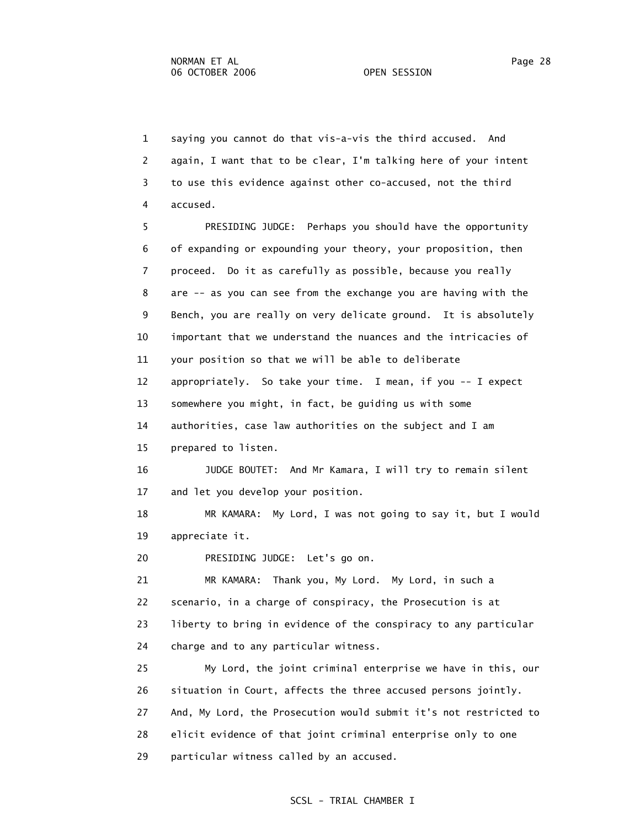1 saying you cannot do that vis-a-vis the third accused. And 2 again, I want that to be clear, I'm talking here of your intent 3 to use this evidence against other co-accused, not the third 4 accused.

 5 PRESIDING JUDGE: Perhaps you should have the opportunity 6 of expanding or expounding your theory, your proposition, then 7 proceed. Do it as carefully as possible, because you really 8 are -- as you can see from the exchange you are having with the 9 Bench, you are really on very delicate ground. It is absolutely 10 important that we understand the nuances and the intricacies of 11 your position so that we will be able to deliberate 12 appropriately. So take your time. I mean, if you -- I expect 13 somewhere you might, in fact, be guiding us with some 14 authorities, case law authorities on the subject and I am 15 prepared to listen.

 16 JUDGE BOUTET: And Mr Kamara, I will try to remain silent 17 and let you develop your position.

 18 MR KAMARA: My Lord, I was not going to say it, but I would 19 appreciate it.

20 PRESIDING JUDGE: Let's go on.

 21 MR KAMARA: Thank you, My Lord. My Lord, in such a 22 scenario, in a charge of conspiracy, the Prosecution is at 23 liberty to bring in evidence of the conspiracy to any particular 24 charge and to any particular witness.

 25 My Lord, the joint criminal enterprise we have in this, our 26 situation in Court, affects the three accused persons jointly. 27 And, My Lord, the Prosecution would submit it's not restricted to 28 elicit evidence of that joint criminal enterprise only to one 29 particular witness called by an accused.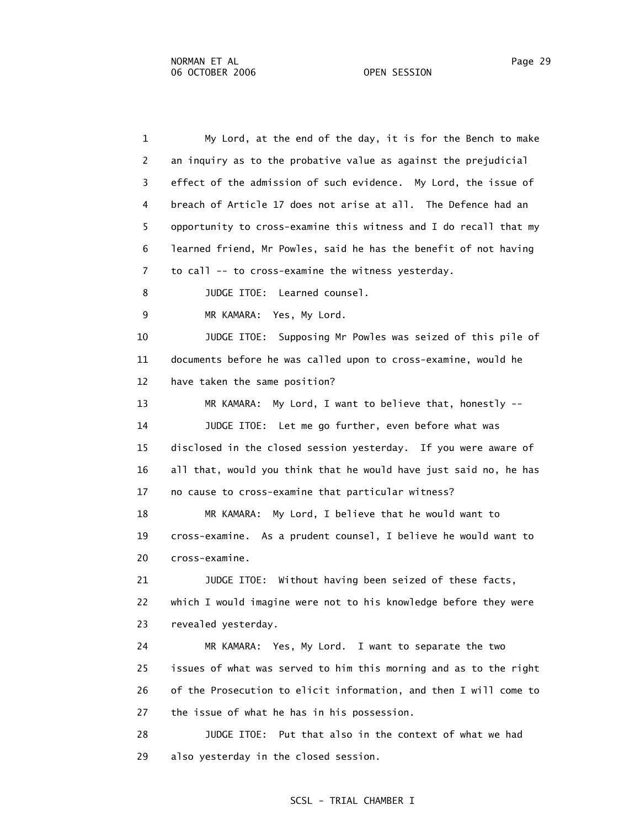1 My Lord, at the end of the day, it is for the Bench to make 2 an inquiry as to the probative value as against the prejudicial 3 effect of the admission of such evidence. My Lord, the issue of 4 breach of Article 17 does not arise at all. The Defence had an 5 opportunity to cross-examine this witness and I do recall that my 6 learned friend, Mr Powles, said he has the benefit of not having 7 to call -- to cross-examine the witness yesterday. 8 JUDGE ITOE: Learned counsel. 9 MR KAMARA: Yes, My Lord. 10 JUDGE ITOE: Supposing Mr Powles was seized of this pile of 12 have taken the same position? 13 MR KAMARA: My Lord, I want to believe that, honestly -- 18 MR KAMARA: My Lord, I believe that he would want to 21 JUDGE ITOE: Without having been seized of these facts, 22 which I would imagine were not to his knowledge before they were 24 MR KAMARA: Yes, My Lord. I want to separate the two 28 JUDGE ITOE: Put that also in the context of what we had 29 also yesterday in the closed session.

11 documents before he was called upon to cross-examine, would he

 14 JUDGE ITOE: Let me go further, even before what was 15 disclosed in the closed session yesterday. If you were aware of 16 all that, would you think that he would have just said no, he has 17 no cause to cross-examine that particular witness?

 19 cross-examine. As a prudent counsel, I believe he would want to 20 cross-examine.

23 revealed yesterday.

 25 issues of what was served to him this morning and as to the right 26 of the Prosecution to elicit information, and then I will come to 27 the issue of what he has in his possession.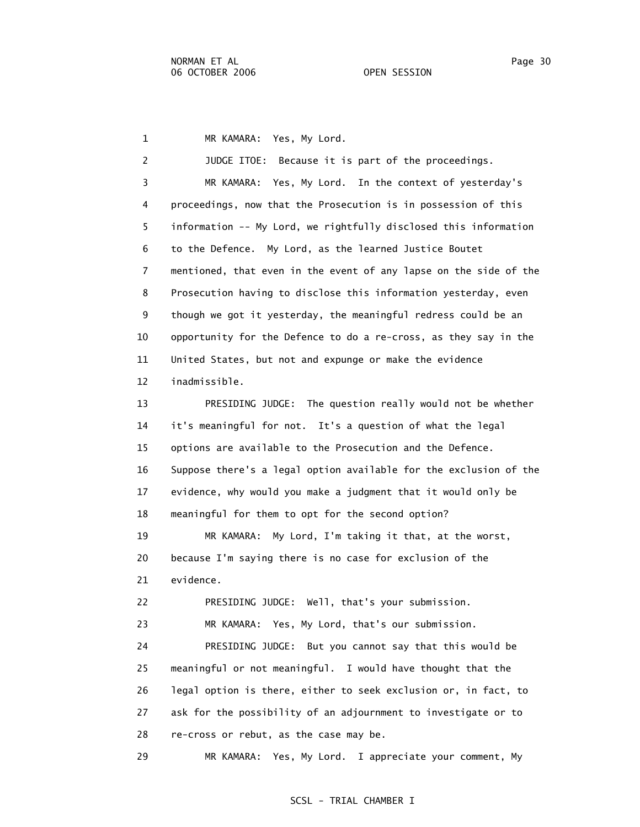1 MR KAMARA: Yes, My Lord.

 2 JUDGE ITOE: Because it is part of the proceedings. 3 MR KAMARA: Yes, My Lord. In the context of yesterday's 4 proceedings, now that the Prosecution is in possession of this 5 information -- My Lord, we rightfully disclosed this information 6 to the Defence. My Lord, as the learned Justice Boutet 7 mentioned, that even in the event of any lapse on the side of the 8 Prosecution having to disclose this information yesterday, even 9 though we got it yesterday, the meaningful redress could be an 10 opportunity for the Defence to do a re-cross, as they say in the 11 United States, but not and expunge or make the evidence 12 inadmissible. 13 PRESIDING JUDGE: The question really would not be whether 14 it's meaningful for not. It's a question of what the legal 15 options are available to the Prosecution and the Defence. 16 Suppose there's a legal option available for the exclusion of the 17 evidence, why would you make a judgment that it would only be 18 meaningful for them to opt for the second option? 19 MR KAMARA: My Lord, I'm taking it that, at the worst, 20 because I'm saying there is no case for exclusion of the 21 evidence. 22 PRESIDING JUDGE: Well, that's your submission. 23 MR KAMARA: Yes, My Lord, that's our submission. 24 PRESIDING JUDGE: But you cannot say that this would be 25 meaningful or not meaningful. I would have thought that the 26 legal option is there, either to seek exclusion or, in fact, to 27 ask for the possibility of an adjournment to investigate or to 28 re-cross or rebut, as the case may be. 29 MR KAMARA: Yes, My Lord. I appreciate your comment, My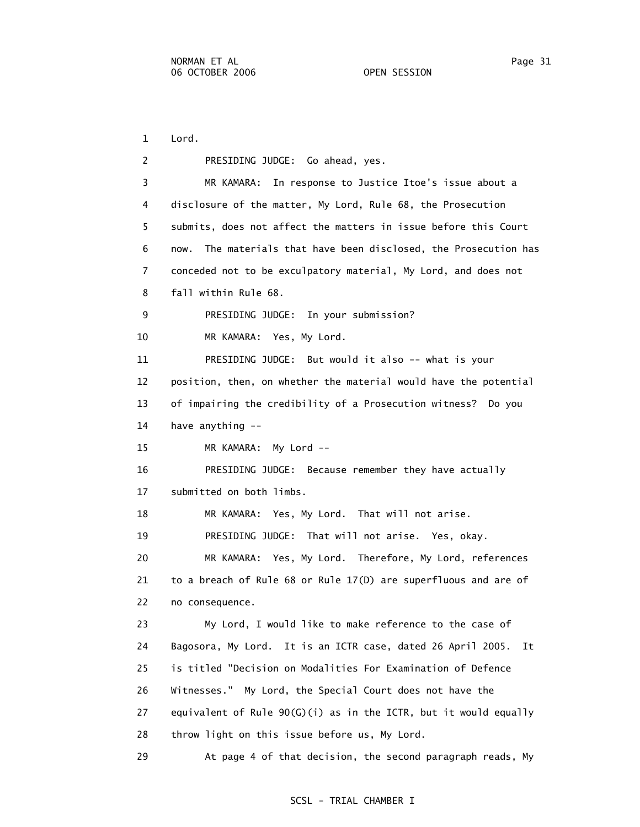1 Lord.

| 2  | PRESIDING JUDGE: Go ahead, yes.                                     |
|----|---------------------------------------------------------------------|
| 3  | In response to Justice Itoe's issue about a<br>MR KAMARA:           |
| 4  | disclosure of the matter, My Lord, Rule 68, the Prosecution         |
| 5. | submits, does not affect the matters in issue before this Court     |
| 6  | The materials that have been disclosed, the Prosecution has<br>now. |
| 7  | conceded not to be exculpatory material, My Lord, and does not      |
| 8  | fall within Rule 68.                                                |
| 9  | PRESIDING JUDGE: In your submission?                                |
| 10 | MR KAMARA: Yes, My Lord.                                            |
| 11 | PRESIDING JUDGE: But would it also -- what is your                  |
| 12 | position, then, on whether the material would have the potential    |
| 13 | of impairing the credibility of a Prosecution witness? Do you       |
| 14 | have anything --                                                    |
| 15 | MR KAMARA: My Lord --                                               |
| 16 | PRESIDING JUDGE: Because remember they have actually                |
| 17 | submitted on both limbs.                                            |
| 18 | MR KAMARA: Yes, My Lord. That will not arise.                       |
| 19 | PRESIDING JUDGE: That will not arise. Yes, okay.                    |
| 20 | MR KAMARA: Yes, My Lord. Therefore, My Lord, references             |
| 21 | to a breach of Rule 68 or Rule 17(D) are superfluous and are of     |
| 22 | no consequence.                                                     |
| 23 | My Lord, I would like to make reference to the case of              |
| 24 | Bagosora, My Lord. It is an ICTR case, dated 26 April 2005.<br>Ιt   |
| 25 | is titled "Decision on Modalities For Examination of Defence        |
| 26 | Witnesses." My Lord, the Special Court does not have the            |
| 27 | equivalent of Rule $90(G)(i)$ as in the ICTR, but it would equally  |
| 28 | throw light on this issue before us, My Lord.                       |
| 29 | At page 4 of that decision, the second paragraph reads, My          |
|    |                                                                     |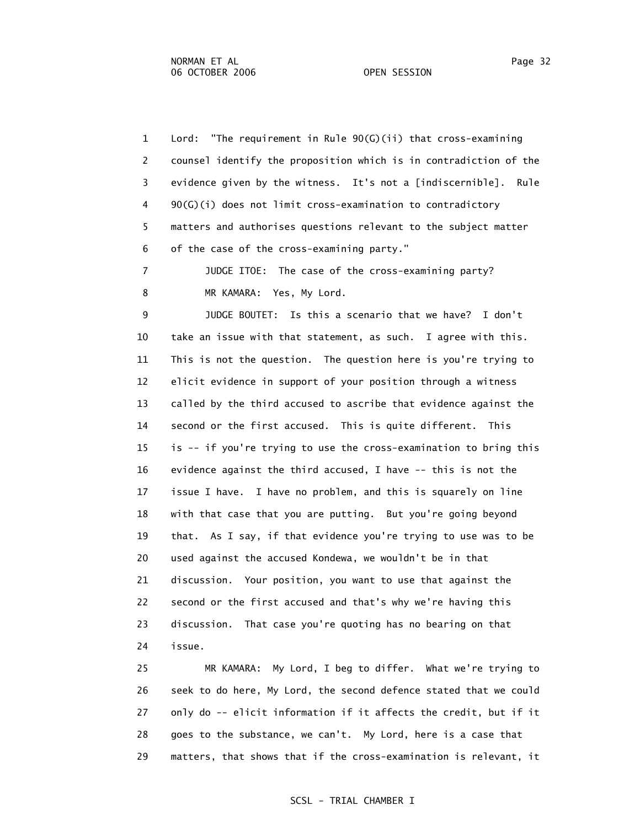1 Lord: "The requirement in Rule 90(G)(ii) that cross-examining 2 counsel identify the proposition which is in contradiction of the 3 evidence given by the witness. It's not a [indiscernible]. Rule 4 90(G)(i) does not limit cross-examination to contradictory 5 matters and authorises questions relevant to the subject matter 6 of the case of the cross-examining party."

 7 JUDGE ITOE: The case of the cross-examining party? 8 MR KAMARA: Yes, My Lord.

 9 JUDGE BOUTET: Is this a scenario that we have? I don't 10 take an issue with that statement, as such. I agree with this. 11 This is not the question. The question here is you're trying to 12 elicit evidence in support of your position through a witness 13 called by the third accused to ascribe that evidence against the 14 second or the first accused. This is quite different. This 15 is -- if you're trying to use the cross-examination to bring this 16 evidence against the third accused, I have -- this is not the 17 issue I have. I have no problem, and this is squarely on line 18 with that case that you are putting. But you're going beyond 19 that. As I say, if that evidence you're trying to use was to be 20 used against the accused Kondewa, we wouldn't be in that 21 discussion. Your position, you want to use that against the 22 second or the first accused and that's why we're having this 23 discussion. That case you're quoting has no bearing on that 24 issue.

 25 MR KAMARA: My Lord, I beg to differ. What we're trying to 26 seek to do here, My Lord, the second defence stated that we could 27 only do -- elicit information if it affects the credit, but if it 28 goes to the substance, we can't. My Lord, here is a case that 29 matters, that shows that if the cross-examination is relevant, it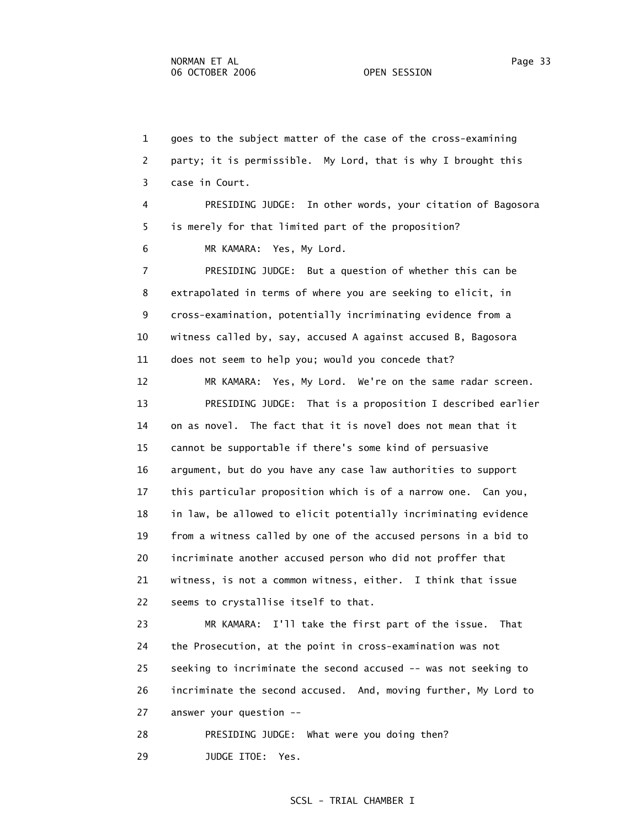1 goes to the subject matter of the case of the cross-examining 2 party; it is permissible. My Lord, that is why I brought this 3 case in Court. 4 PRESIDING JUDGE: In other words, your citation of Bagosora 5 is merely for that limited part of the proposition? 6 MR KAMARA: Yes, My Lord. 7 PRESIDING JUDGE: But a question of whether this can be 8 extrapolated in terms of where you are seeking to elicit, in 9 cross-examination, potentially incriminating evidence from a 10 witness called by, say, accused A against accused B, Bagosora 11 does not seem to help you; would you concede that? 12 MR KAMARA: Yes, My Lord. We're on the same radar screen. 13 PRESIDING JUDGE: That is a proposition I described earlier 14 on as novel. The fact that it is novel does not mean that it 15 cannot be supportable if there's some kind of persuasive 16 argument, but do you have any case law authorities to support 17 this particular proposition which is of a narrow one. Can you, 18 in law, be allowed to elicit potentially incriminating evidence 19 from a witness called by one of the accused persons in a bid to 20 incriminate another accused person who did not proffer that 21 witness, is not a common witness, either. I think that issue 22 seems to crystallise itself to that. 23 MR KAMARA: I'll take the first part of the issue. That 24 the Prosecution, at the point in cross-examination was not 25 seeking to incriminate the second accused -- was not seeking to 26 incriminate the second accused. And, moving further, My Lord to 27 answer your question -- 28 PRESIDING JUDGE: What were you doing then?

29 JUDGE ITOE: Yes.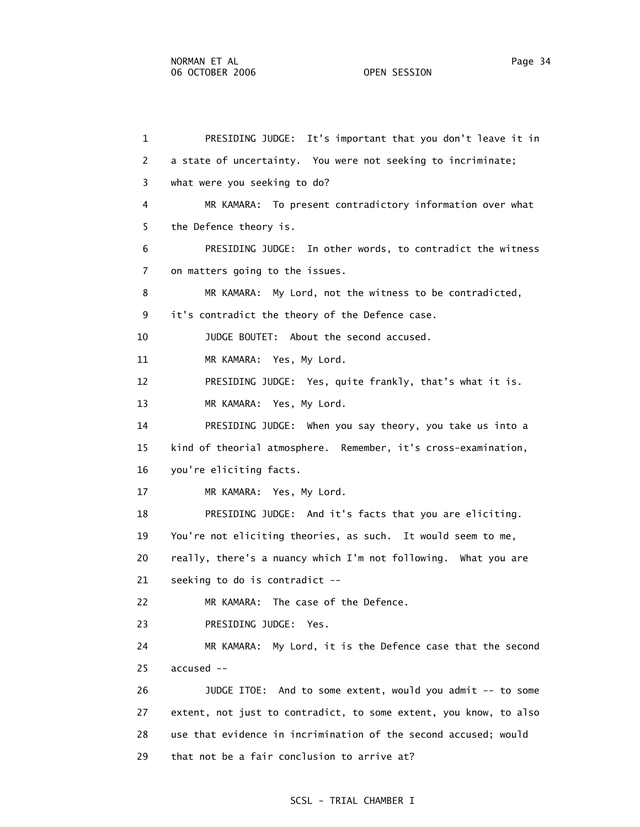1 PRESIDING JUDGE: It's important that you don't leave it in 2 a state of uncertainty. You were not seeking to incriminate; 3 what were you seeking to do? 4 MR KAMARA: To present contradictory information over what 5 the Defence theory is. 6 PRESIDING JUDGE: In other words, to contradict the witness 7 on matters going to the issues. 8 MR KAMARA: My Lord, not the witness to be contradicted, 9 it's contradict the theory of the Defence case. 10 JUDGE BOUTET: About the second accused. 11 MR KAMARA: Yes, My Lord. 12 PRESIDING JUDGE: Yes, quite frankly, that's what it is. 13 MR KAMARA: Yes, My Lord. 14 PRESIDING JUDGE: When you say theory, you take us into a 15 kind of theorial atmosphere. Remember, it's cross-examination, 16 you're eliciting facts. 17 MR KAMARA: Yes, My Lord. 18 PRESIDING JUDGE: And it's facts that you are eliciting. 19 You're not eliciting theories, as such. It would seem to me, 20 really, there's a nuancy which I'm not following. What you are 21 seeking to do is contradict -- 22 MR KAMARA: The case of the Defence. 23 PRESIDING JUDGE: Yes. 24 MR KAMARA: My Lord, it is the Defence case that the second 25 accused -- 26 JUDGE ITOE: And to some extent, would you admit -- to some 27 extent, not just to contradict, to some extent, you know, to also 28 use that evidence in incrimination of the second accused; would 29 that not be a fair conclusion to arrive at?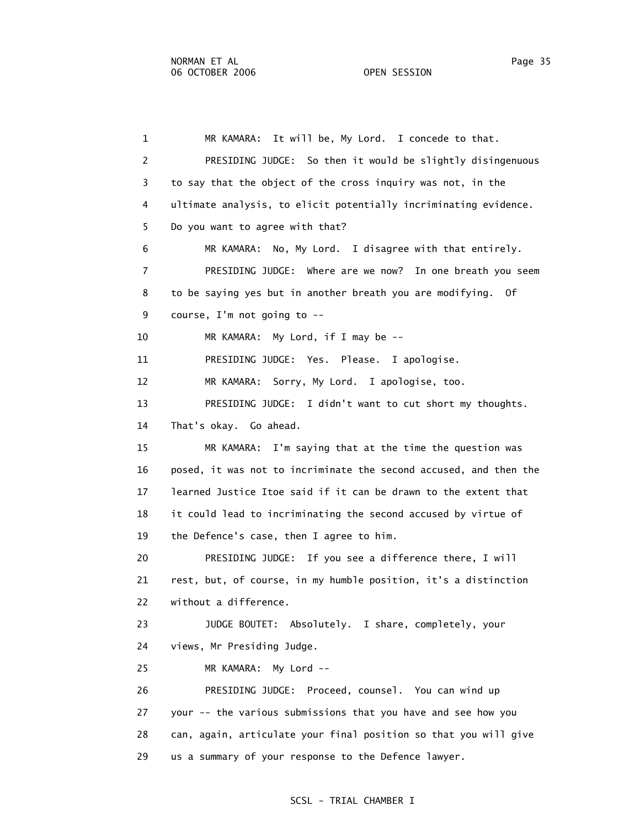1 MR KAMARA: It will be, My Lord. I concede to that. 2 PRESIDING JUDGE: So then it would be slightly disingenuous 3 to say that the object of the cross inquiry was not, in the 4 ultimate analysis, to elicit potentially incriminating evidence. 5 Do you want to agree with that? 6 MR KAMARA: No, My Lord. I disagree with that entirely. 7 PRESIDING JUDGE: Where are we now? In one breath you seem 8 to be saying yes but in another breath you are modifying. Of 9 course, I'm not going to -- 10 MR KAMARA: My Lord, if I may be -- 11 PRESIDING JUDGE: Yes. Please. I apologise. 12 MR KAMARA: Sorry, My Lord. I apologise, too. 13 PRESIDING JUDGE: I didn't want to cut short my thoughts. 14 That's okay. Go ahead. 15 MR KAMARA: I'm saying that at the time the question was 16 posed, it was not to incriminate the second accused, and then the 17 learned Justice Itoe said if it can be drawn to the extent that 18 it could lead to incriminating the second accused by virtue of 19 the Defence's case, then I agree to him. 20 PRESIDING JUDGE: If you see a difference there, I will 21 rest, but, of course, in my humble position, it's a distinction 22 without a difference. 23 JUDGE BOUTET: Absolutely. I share, completely, your 24 views, Mr Presiding Judge. 25 MR KAMARA: My Lord -- 26 PRESIDING JUDGE: Proceed, counsel. You can wind up 27 your -- the various submissions that you have and see how you 28 can, again, articulate your final position so that you will give 29 us a summary of your response to the Defence lawyer.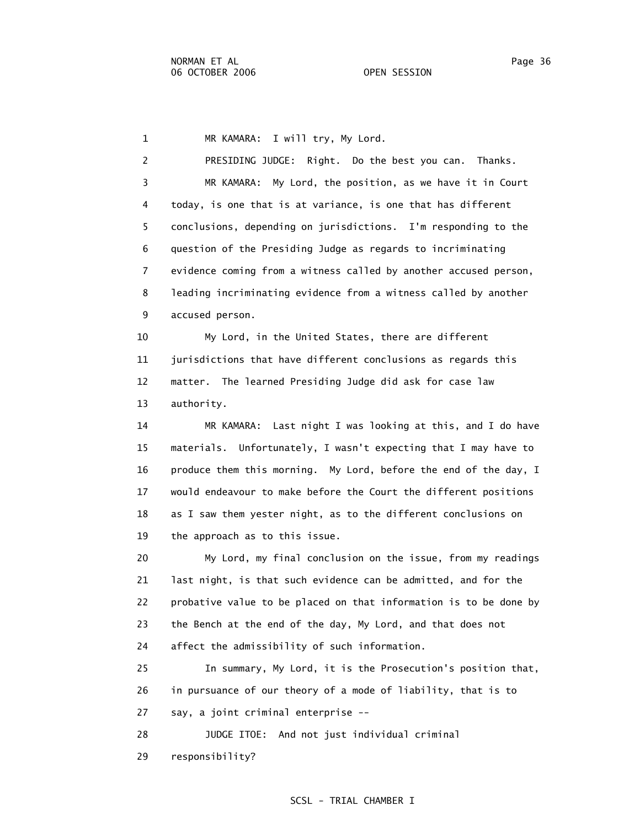1 MR KAMARA: I will try, My Lord.

 2 PRESIDING JUDGE: Right. Do the best you can. Thanks. 3 MR KAMARA: My Lord, the position, as we have it in Court 4 today, is one that is at variance, is one that has different 5 conclusions, depending on jurisdictions. I'm responding to the 6 question of the Presiding Judge as regards to incriminating 7 evidence coming from a witness called by another accused person, 8 leading incriminating evidence from a witness called by another 9 accused person.

 10 My Lord, in the United States, there are different 11 jurisdictions that have different conclusions as regards this 12 matter. The learned Presiding Judge did ask for case law 13 authority.

 14 MR KAMARA: Last night I was looking at this, and I do have 15 materials. Unfortunately, I wasn't expecting that I may have to 16 produce them this morning. My Lord, before the end of the day, I 17 would endeavour to make before the Court the different positions 18 as I saw them yester night, as to the different conclusions on 19 the approach as to this issue.

 20 My Lord, my final conclusion on the issue, from my readings 21 last night, is that such evidence can be admitted, and for the 22 probative value to be placed on that information is to be done by 23 the Bench at the end of the day, My Lord, and that does not 24 affect the admissibility of such information.

 25 In summary, My Lord, it is the Prosecution's position that, 26 in pursuance of our theory of a mode of liability, that is to 27 say, a joint criminal enterprise --

 28 JUDGE ITOE: And not just individual criminal 29 responsibility?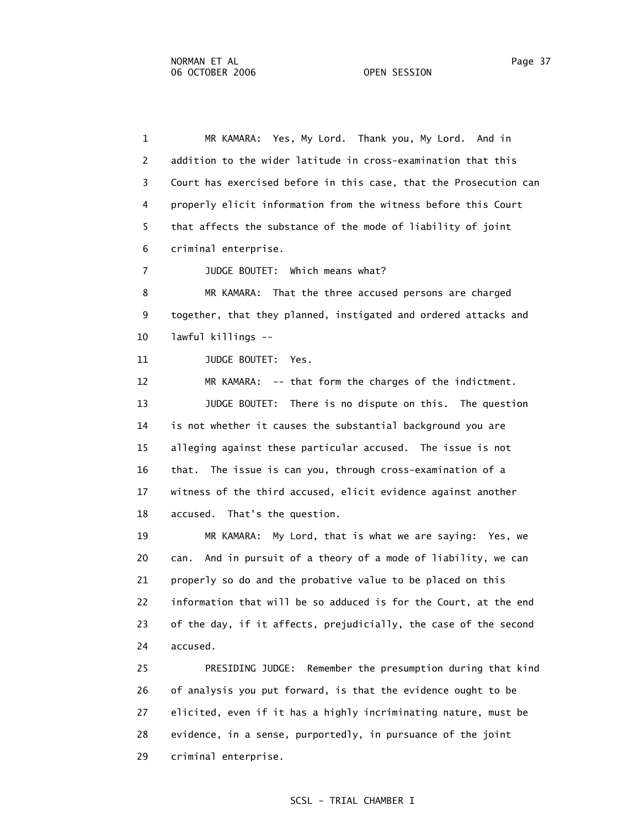1 MR KAMARA: Yes, My Lord. Thank you, My Lord. And in 2 addition to the wider latitude in cross-examination that this 3 Court has exercised before in this case, that the Prosecution can 4 properly elicit information from the witness before this Court 5 that affects the substance of the mode of liability of joint 6 criminal enterprise.

7 JUDGE BOUTET: Which means what?

 8 MR KAMARA: That the three accused persons are charged 9 together, that they planned, instigated and ordered attacks and 10 lawful killings --

11 JUDGE BOUTET: Yes.

 12 MR KAMARA: -- that form the charges of the indictment. 13 JUDGE BOUTET: There is no dispute on this. The question 14 is not whether it causes the substantial background you are 15 alleging against these particular accused. The issue is not 16 that. The issue is can you, through cross-examination of a 17 witness of the third accused, elicit evidence against another 18 accused. That's the question.

 19 MR KAMARA: My Lord, that is what we are saying: Yes, we 20 can. And in pursuit of a theory of a mode of liability, we can 21 properly so do and the probative value to be placed on this 22 information that will be so adduced is for the Court, at the end 23 of the day, if it affects, prejudicially, the case of the second 24 accused.

 25 PRESIDING JUDGE: Remember the presumption during that kind 26 of analysis you put forward, is that the evidence ought to be 27 elicited, even if it has a highly incriminating nature, must be 28 evidence, in a sense, purportedly, in pursuance of the joint 29 criminal enterprise.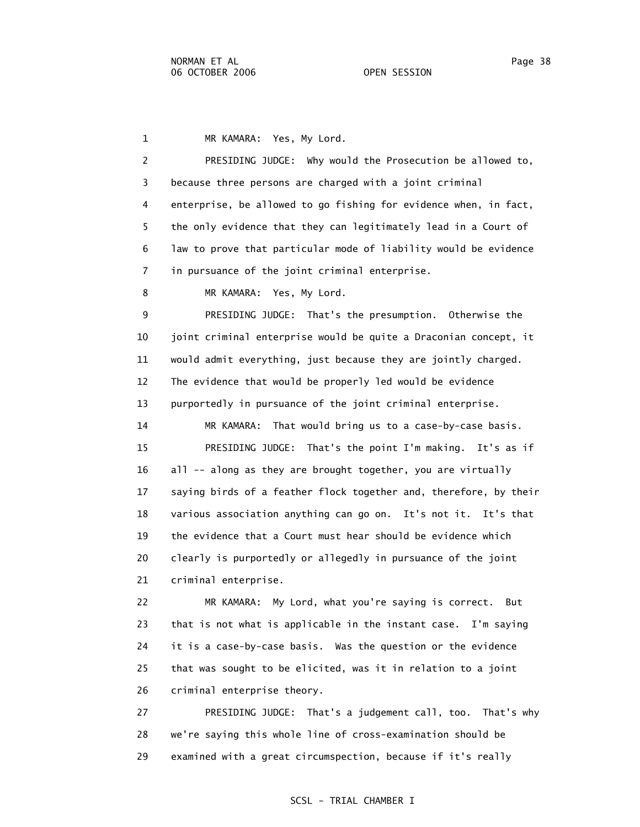1 MR KAMARA: Yes, My Lord.

 2 PRESIDING JUDGE: Why would the Prosecution be allowed to, 3 because three persons are charged with a joint criminal 4 enterprise, be allowed to go fishing for evidence when, in fact, 5 the only evidence that they can legitimately lead in a Court of 6 law to prove that particular mode of liability would be evidence 7 in pursuance of the joint criminal enterprise.

8 MR KAMARA: Yes, My Lord.

 9 PRESIDING JUDGE: That's the presumption. Otherwise the 10 joint criminal enterprise would be quite a Draconian concept, it 11 would admit everything, just because they are jointly charged. 12 The evidence that would be properly led would be evidence 13 purportedly in pursuance of the joint criminal enterprise.

 14 MR KAMARA: That would bring us to a case-by-case basis. 15 PRESIDING JUDGE: That's the point I'm making. It's as if 16 all -- along as they are brought together, you are virtually 17 saying birds of a feather flock together and, therefore, by their 18 various association anything can go on. It's not it. It's that 19 the evidence that a Court must hear should be evidence which 20 clearly is purportedly or allegedly in pursuance of the joint 21 criminal enterprise.

 22 MR KAMARA: My Lord, what you're saying is correct. But 23 that is not what is applicable in the instant case. I'm saying 24 it is a case-by-case basis. Was the question or the evidence 25 that was sought to be elicited, was it in relation to a joint 26 criminal enterprise theory.

 27 PRESIDING JUDGE: That's a judgement call, too. That's why 28 we're saying this whole line of cross-examination should be 29 examined with a great circumspection, because if it's really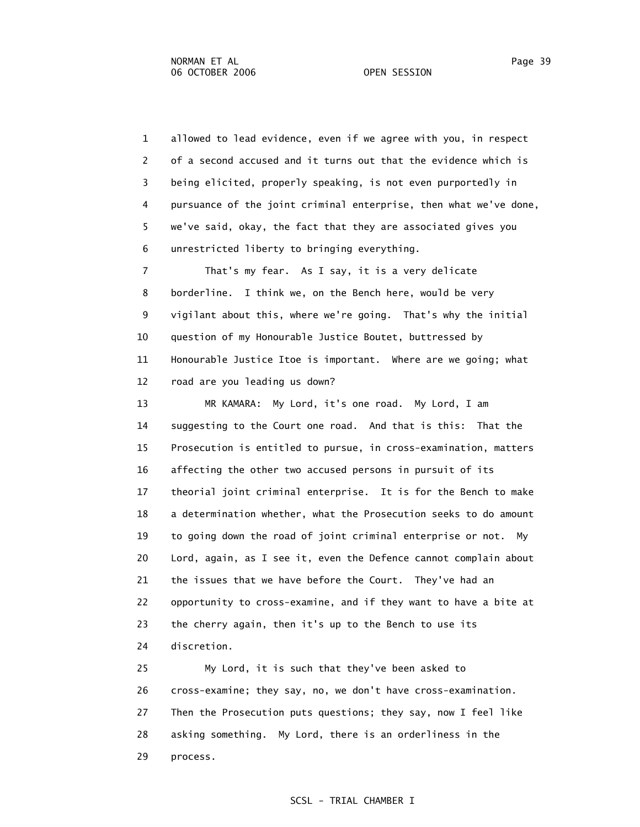1 allowed to lead evidence, even if we agree with you, in respect 2 of a second accused and it turns out that the evidence which is 3 being elicited, properly speaking, is not even purportedly in 4 pursuance of the joint criminal enterprise, then what we've done, 5 we've said, okay, the fact that they are associated gives you 6 unrestricted liberty to bringing everything. 7 That's my fear. As I say, it is a very delicate 8 borderline. I think we, on the Bench here, would be very 9 vigilant about this, where we're going. That's why the initial 10 question of my Honourable Justice Boutet, buttressed by 11 Honourable Justice Itoe is important. Where are we going; what 12 road are you leading us down? 13 MR KAMARA: My Lord, it's one road. My Lord, I am 14 suggesting to the Court one road. And that is this: That the 15 Prosecution is entitled to pursue, in cross-examination, matters

 16 affecting the other two accused persons in pursuit of its 17 theorial joint criminal enterprise. It is for the Bench to make 18 a determination whether, what the Prosecution seeks to do amount 19 to going down the road of joint criminal enterprise or not. My 20 Lord, again, as I see it, even the Defence cannot complain about 21 the issues that we have before the Court. They've had an 22 opportunity to cross-examine, and if they want to have a bite at 23 the cherry again, then it's up to the Bench to use its 24 discretion.

 25 My Lord, it is such that they've been asked to 26 cross-examine; they say, no, we don't have cross-examination. 27 Then the Prosecution puts questions; they say, now I feel like 28 asking something. My Lord, there is an orderliness in the 29 process.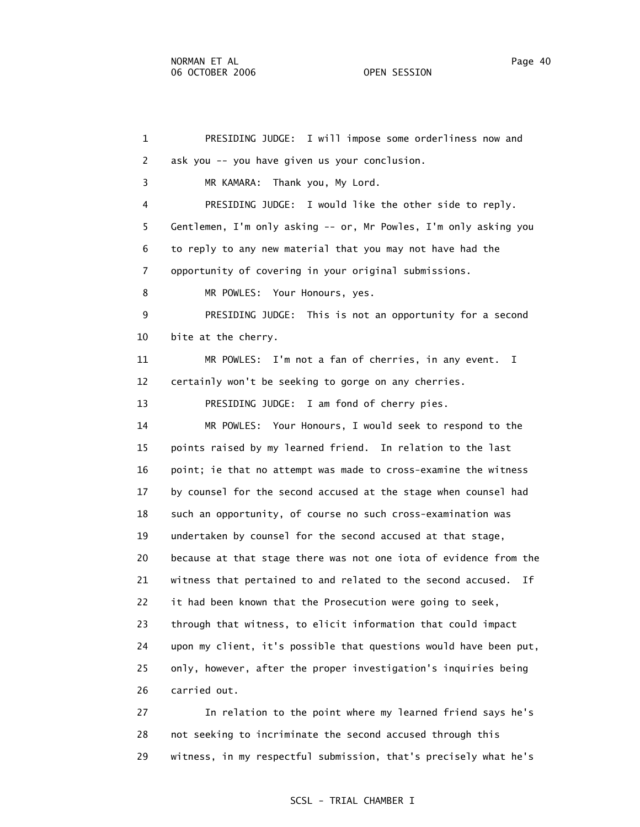1 PRESIDING JUDGE: I will impose some orderliness now and 2 ask you -- you have given us your conclusion. 3 MR KAMARA: Thank you, My Lord. 4 PRESIDING JUDGE: I would like the other side to reply. 5 Gentlemen, I'm only asking -- or, Mr Powles, I'm only asking you 6 to reply to any new material that you may not have had the 7 opportunity of covering in your original submissions. 8 MR POWLES: Your Honours, yes. 9 PRESIDING JUDGE: This is not an opportunity for a second 10 bite at the cherry. 11 MR POWLES: I'm not a fan of cherries, in any event. I 12 certainly won't be seeking to gorge on any cherries. 13 PRESIDING JUDGE: I am fond of cherry pies. 14 MR POWLES: Your Honours, I would seek to respond to the 15 points raised by my learned friend. In relation to the last 16 point; ie that no attempt was made to cross-examine the witness 17 by counsel for the second accused at the stage when counsel had 18 such an opportunity, of course no such cross-examination was 19 undertaken by counsel for the second accused at that stage, 20 because at that stage there was not one iota of evidence from the 21 witness that pertained to and related to the second accused. If 22 it had been known that the Prosecution were going to seek, 23 through that witness, to elicit information that could impact 24 upon my client, it's possible that questions would have been put, 25 only, however, after the proper investigation's inquiries being 26 carried out.

 27 In relation to the point where my learned friend says he's 28 not seeking to incriminate the second accused through this 29 witness, in my respectful submission, that's precisely what he's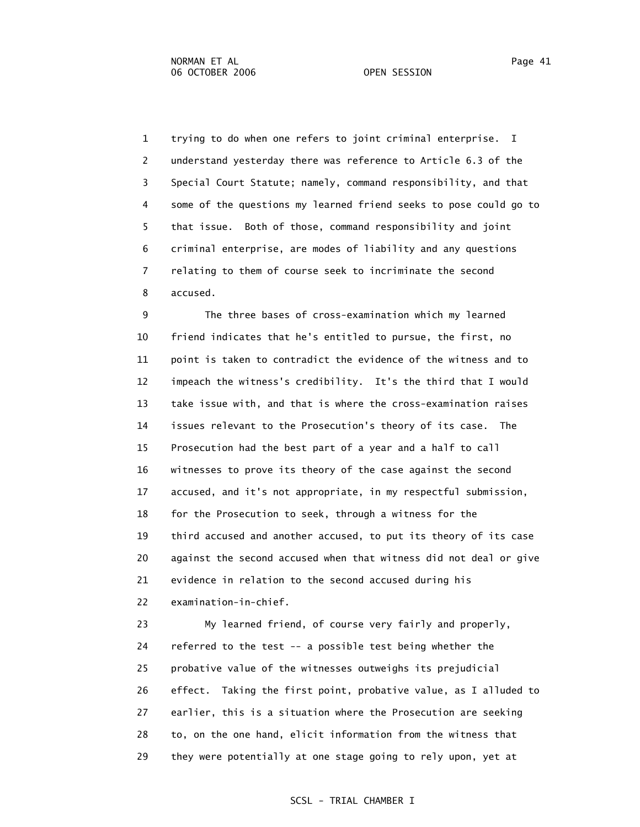1 trying to do when one refers to joint criminal enterprise. I 2 understand yesterday there was reference to Article 6.3 of the 3 Special Court Statute; namely, command responsibility, and that 4 some of the questions my learned friend seeks to pose could go to 5 that issue. Both of those, command responsibility and joint 6 criminal enterprise, are modes of liability and any questions 7 relating to them of course seek to incriminate the second 8 accused.

 9 The three bases of cross-examination which my learned 10 friend indicates that he's entitled to pursue, the first, no 11 point is taken to contradict the evidence of the witness and to 12 impeach the witness's credibility. It's the third that I would 13 take issue with, and that is where the cross-examination raises 14 issues relevant to the Prosecution's theory of its case. The 15 Prosecution had the best part of a year and a half to call 16 witnesses to prove its theory of the case against the second 17 accused, and it's not appropriate, in my respectful submission, 18 for the Prosecution to seek, through a witness for the 19 third accused and another accused, to put its theory of its case 20 against the second accused when that witness did not deal or give 21 evidence in relation to the second accused during his 22 examination-in-chief.

 23 My learned friend, of course very fairly and properly, 24 referred to the test -- a possible test being whether the 25 probative value of the witnesses outweighs its prejudicial 26 effect. Taking the first point, probative value, as I alluded to 27 earlier, this is a situation where the Prosecution are seeking 28 to, on the one hand, elicit information from the witness that 29 they were potentially at one stage going to rely upon, yet at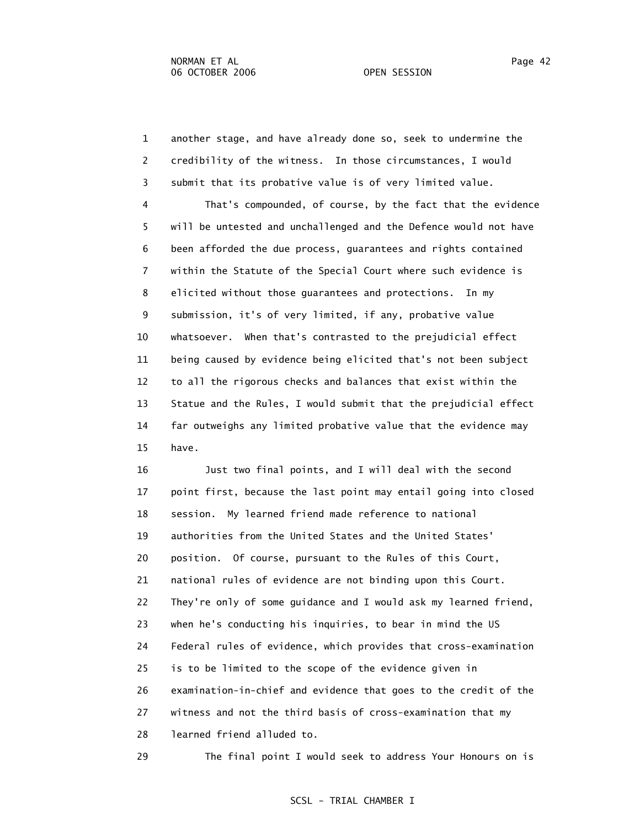1 another stage, and have already done so, seek to undermine the 2 credibility of the witness. In those circumstances, I would 3 submit that its probative value is of very limited value.

 4 That's compounded, of course, by the fact that the evidence 5 will be untested and unchallenged and the Defence would not have 6 been afforded the due process, guarantees and rights contained 7 within the Statute of the Special Court where such evidence is 8 elicited without those guarantees and protections. In my 9 submission, it's of very limited, if any, probative value 10 whatsoever. When that's contrasted to the prejudicial effect 11 being caused by evidence being elicited that's not been subject 12 to all the rigorous checks and balances that exist within the 13 Statue and the Rules, I would submit that the prejudicial effect 14 far outweighs any limited probative value that the evidence may 15 have.

 16 Just two final points, and I will deal with the second 17 point first, because the last point may entail going into closed 18 session. My learned friend made reference to national 19 authorities from the United States and the United States' 20 position. Of course, pursuant to the Rules of this Court, 21 national rules of evidence are not binding upon this Court. 22 They're only of some guidance and I would ask my learned friend, 23 when he's conducting his inquiries, to bear in mind the US 24 Federal rules of evidence, which provides that cross-examination 25 is to be limited to the scope of the evidence given in 26 examination-in-chief and evidence that goes to the credit of the 27 witness and not the third basis of cross-examination that my 28 learned friend alluded to.

29 The final point I would seek to address Your Honours on is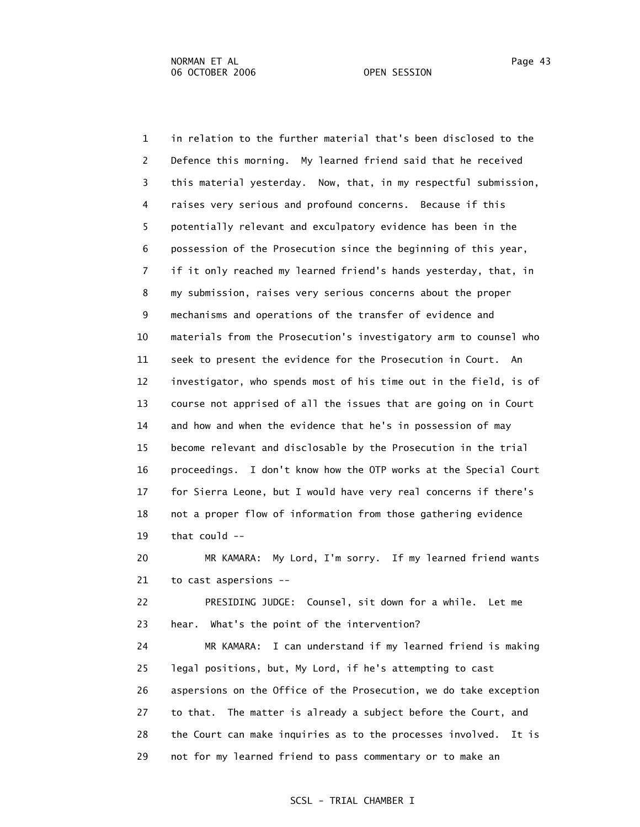1 in relation to the further material that's been disclosed to the 2 Defence this morning. My learned friend said that he received 3 this material yesterday. Now, that, in my respectful submission, 4 raises very serious and profound concerns. Because if this 5 potentially relevant and exculpatory evidence has been in the 6 possession of the Prosecution since the beginning of this year, 7 if it only reached my learned friend's hands yesterday, that, in 8 my submission, raises very serious concerns about the proper 9 mechanisms and operations of the transfer of evidence and 10 materials from the Prosecution's investigatory arm to counsel who 11 seek to present the evidence for the Prosecution in Court. An 12 investigator, who spends most of his time out in the field, is of 13 course not apprised of all the issues that are going on in Court 14 and how and when the evidence that he's in possession of may 15 become relevant and disclosable by the Prosecution in the trial 16 proceedings. I don't know how the OTP works at the Special Court 17 for Sierra Leone, but I would have very real concerns if there's 18 not a proper flow of information from those gathering evidence 19 that could --

 20 MR KAMARA: My Lord, I'm sorry. If my learned friend wants 21 to cast aspersions --

 22 PRESIDING JUDGE: Counsel, sit down for a while. Let me 23 hear. What's the point of the intervention?

 24 MR KAMARA: I can understand if my learned friend is making 25 legal positions, but, My Lord, if he's attempting to cast 26 aspersions on the Office of the Prosecution, we do take exception 27 to that. The matter is already a subject before the Court, and 28 the Court can make inquiries as to the processes involved. It is 29 not for my learned friend to pass commentary or to make an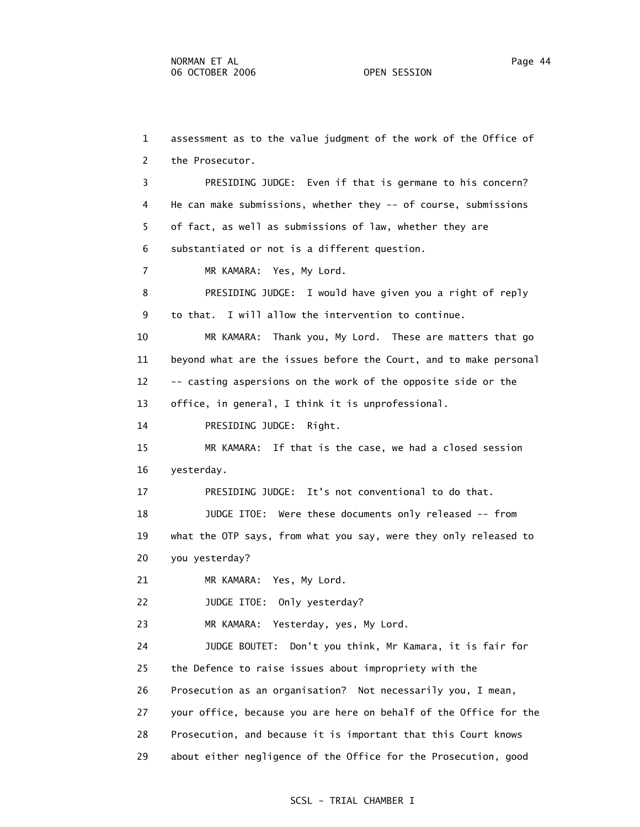1 assessment as to the value judgment of the work of the Office of 2 the Prosecutor. 3 PRESIDING JUDGE: Even if that is germane to his concern? 4 He can make submissions, whether they -- of course, submissions 5 of fact, as well as submissions of law, whether they are 6 substantiated or not is a different question. 7 MR KAMARA: Yes, My Lord. 8 PRESIDING JUDGE: I would have given you a right of reply 9 to that. I will allow the intervention to continue. 10 MR KAMARA: Thank you, My Lord. These are matters that go 11 beyond what are the issues before the Court, and to make personal 12 -- casting aspersions on the work of the opposite side or the 13 office, in general, I think it is unprofessional. 14 PRESIDING JUDGE: Right. 15 MR KAMARA: If that is the case, we had a closed session 16 yesterday. 17 PRESIDING JUDGE: It's not conventional to do that. 18 JUDGE ITOE: Were these documents only released -- from 19 what the OTP says, from what you say, were they only released to 20 you yesterday? 21 MR KAMARA: Yes, My Lord. 22 JUDGE ITOE: Only yesterday? 23 MR KAMARA: Yesterday, yes, My Lord. 24 JUDGE BOUTET: Don't you think, Mr Kamara, it is fair for 25 the Defence to raise issues about impropriety with the 26 Prosecution as an organisation? Not necessarily you, I mean, 27 your office, because you are here on behalf of the Office for the 28 Prosecution, and because it is important that this Court knows 29 about either negligence of the Office for the Prosecution, good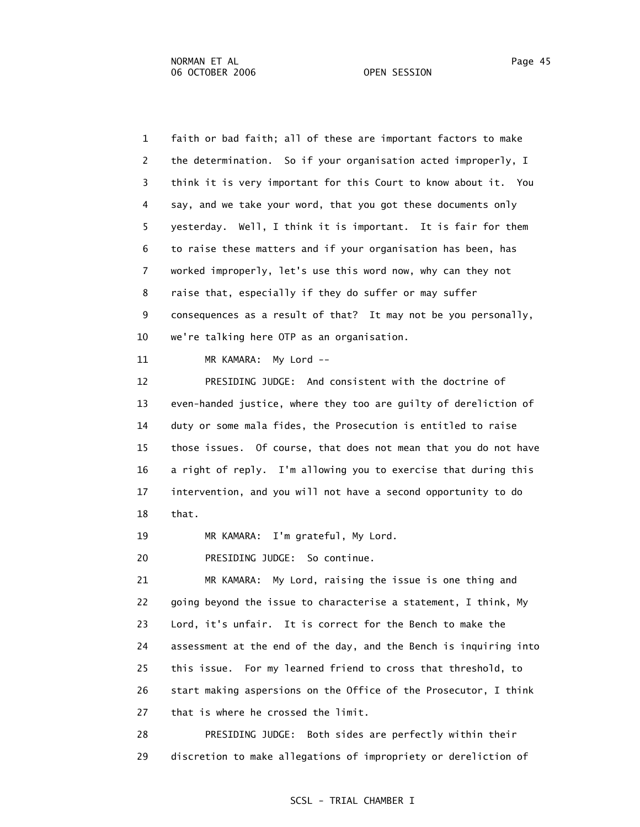1 faith or bad faith; all of these are important factors to make 2 the determination. So if your organisation acted improperly, I 3 think it is very important for this Court to know about it. You 4 say, and we take your word, that you got these documents only 5 yesterday. Well, I think it is important. It is fair for them 6 to raise these matters and if your organisation has been, has 7 worked improperly, let's use this word now, why can they not 8 raise that, especially if they do suffer or may suffer 9 consequences as a result of that? It may not be you personally, 10 we're talking here OTP as an organisation.

11 MR KAMARA: My Lord --

 12 PRESIDING JUDGE: And consistent with the doctrine of 13 even-handed justice, where they too are guilty of dereliction of 14 duty or some mala fides, the Prosecution is entitled to raise 15 those issues. Of course, that does not mean that you do not have 16 a right of reply. I'm allowing you to exercise that during this 17 intervention, and you will not have a second opportunity to do 18 that.

19 MR KAMARA: I'm grateful, My Lord.

20 PRESIDING JUDGE: So continue.

 21 MR KAMARA: My Lord, raising the issue is one thing and 22 going beyond the issue to characterise a statement, I think, My 23 Lord, it's unfair. It is correct for the Bench to make the 24 assessment at the end of the day, and the Bench is inquiring into 25 this issue. For my learned friend to cross that threshold, to 26 start making aspersions on the Office of the Prosecutor, I think 27 that is where he crossed the limit.

 28 PRESIDING JUDGE: Both sides are perfectly within their 29 discretion to make allegations of impropriety or dereliction of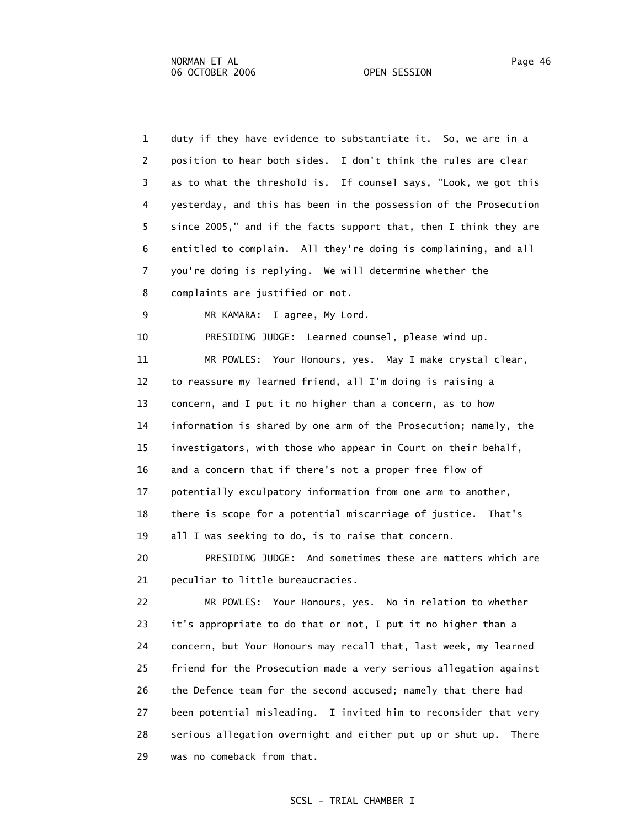| $\mathbf{1}$ | duty if they have evidence to substantiate it. So, we are in a      |
|--------------|---------------------------------------------------------------------|
| 2            | position to hear both sides. I don't think the rules are clear      |
| 3            | as to what the threshold is. If counsel says, "Look, we got this    |
| 4            | yesterday, and this has been in the possession of the Prosecution   |
| 5            | since 2005," and if the facts support that, then I think they are   |
| 6            | entitled to complain. All they're doing is complaining, and all     |
| 7            | you're doing is replying. We will determine whether the             |
| 8            | complaints are justified or not.                                    |
| 9            | MR KAMARA:<br>I agree, My Lord.                                     |
| 10           | PRESIDING JUDGE: Learned counsel, please wind up.                   |
| 11           | MR POWLES: Your Honours, yes. May I make crystal clear,             |
| 12           | to reassure my learned friend, all I'm doing is raising a           |
| 13           | concern, and I put it no higher than a concern, as to how           |
| 14           | information is shared by one arm of the Prosecution; namely, the    |
| 15           | investigators, with those who appear in Court on their behalf,      |
| 16           | and a concern that if there's not a proper free flow of             |
| 17           | potentially exculpatory information from one arm to another,        |
| 18           | there is scope for a potential miscarriage of justice. That's       |
| 19           | all I was seeking to do, is to raise that concern.                  |
| 20           | PRESIDING JUDGE: And sometimes these are matters which are          |
| 21           | peculiar to little bureaucracies.                                   |
| 22           | MR POWLES: Your Honours, yes. No in relation to whether             |
| 23           | it's appropriate to do that or not, I put it no higher than a       |
| 24           | concern, but Your Honours may recall that, last week, my learned    |
| 25           | friend for the Prosecution made a very serious allegation against   |
| 26           | the Defence team for the second accused; namely that there had      |
| 27           | been potential misleading. I invited him to reconsider that very    |
| 28           | serious allegation overnight and either put up or shut up.<br>There |

29 was no comeback from that.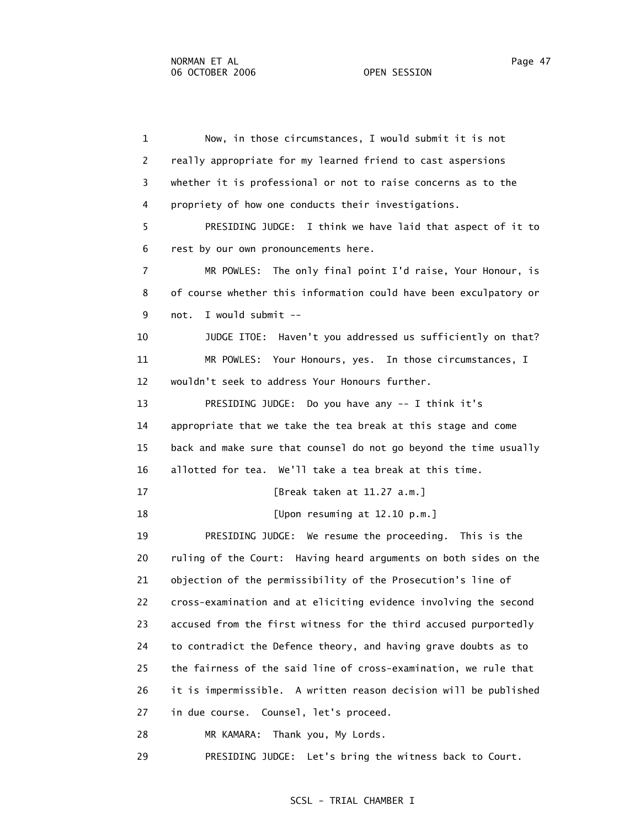1 Now, in those circumstances, I would submit it is not 2 really appropriate for my learned friend to cast aspersions 3 whether it is professional or not to raise concerns as to the 4 propriety of how one conducts their investigations. 5 PRESIDING JUDGE: I think we have laid that aspect of it to 6 rest by our own pronouncements here. 7 MR POWLES: The only final point I'd raise, Your Honour, is 8 of course whether this information could have been exculpatory or 9 not. I would submit -- 10 JUDGE ITOE: Haven't you addressed us sufficiently on that? 11 MR POWLES: Your Honours, yes. In those circumstances, I 12 wouldn't seek to address Your Honours further. 13 PRESIDING JUDGE: Do you have any -- I think it's 14 appropriate that we take the tea break at this stage and come 15 back and make sure that counsel do not go beyond the time usually 16 allotted for tea. We'll take a tea break at this time. 17 [Break taken at 11.27 a.m.] 18 [Upon resuming at 12.10 p.m.] 19 PRESIDING JUDGE: We resume the proceeding. This is the 20 ruling of the Court: Having heard arguments on both sides on the 21 objection of the permissibility of the Prosecution's line of 22 cross-examination and at eliciting evidence involving the second 23 accused from the first witness for the third accused purportedly 24 to contradict the Defence theory, and having grave doubts as to 25 the fairness of the said line of cross-examination, we rule that 26 it is impermissible. A written reason decision will be published 27 in due course. Counsel, let's proceed. 28 MR KAMARA: Thank you, My Lords. 29 PRESIDING JUDGE: Let's bring the witness back to Court.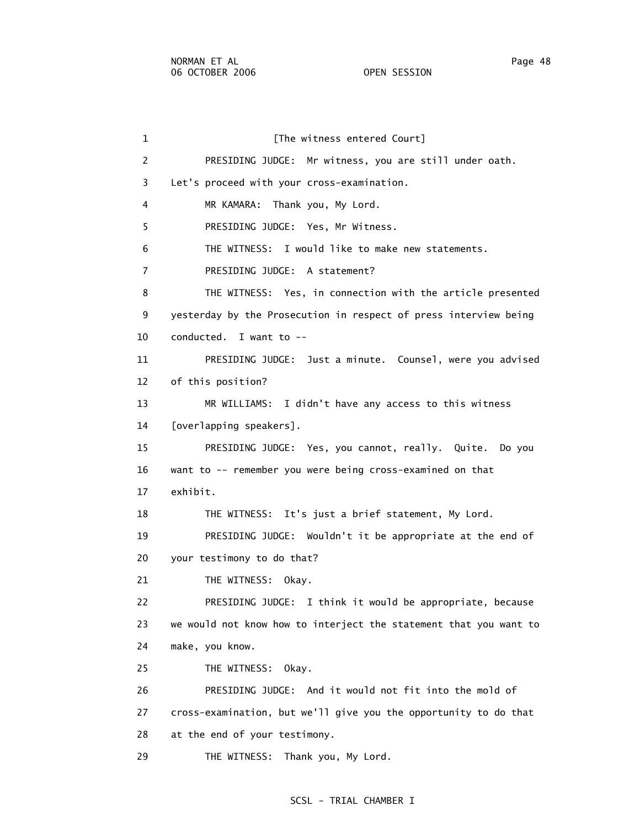1 [The witness entered Court] 2 PRESIDING JUDGE: Mr witness, you are still under oath. 3 Let's proceed with your cross-examination. 4 MR KAMARA: Thank you, My Lord. 5 PRESIDING JUDGE: Yes, Mr Witness. 6 THE WITNESS: I would like to make new statements. 7 PRESIDING JUDGE: A statement? 8 THE WITNESS: Yes, in connection with the article presented 9 yesterday by the Prosecution in respect of press interview being 10 conducted. I want to -- 11 PRESIDING JUDGE: Just a minute. Counsel, were you advised 12 of this position? 13 MR WILLIAMS: I didn't have any access to this witness 14 [overlapping speakers]. 15 PRESIDING JUDGE: Yes, you cannot, really. Quite. Do you 16 want to -- remember you were being cross-examined on that 17 exhibit. 18 THE WITNESS: It's just a brief statement, My Lord. 19 PRESIDING JUDGE: Wouldn't it be appropriate at the end of 20 your testimony to do that? 21 THE WITNESS: Okay. 22 PRESIDING JUDGE: I think it would be appropriate, because 23 we would not know how to interject the statement that you want to 24 make, you know. 25 THE WITNESS: Okay. 26 PRESIDING JUDGE: And it would not fit into the mold of 27 cross-examination, but we'll give you the opportunity to do that 28 at the end of your testimony. 29 THE WITNESS: Thank you, My Lord.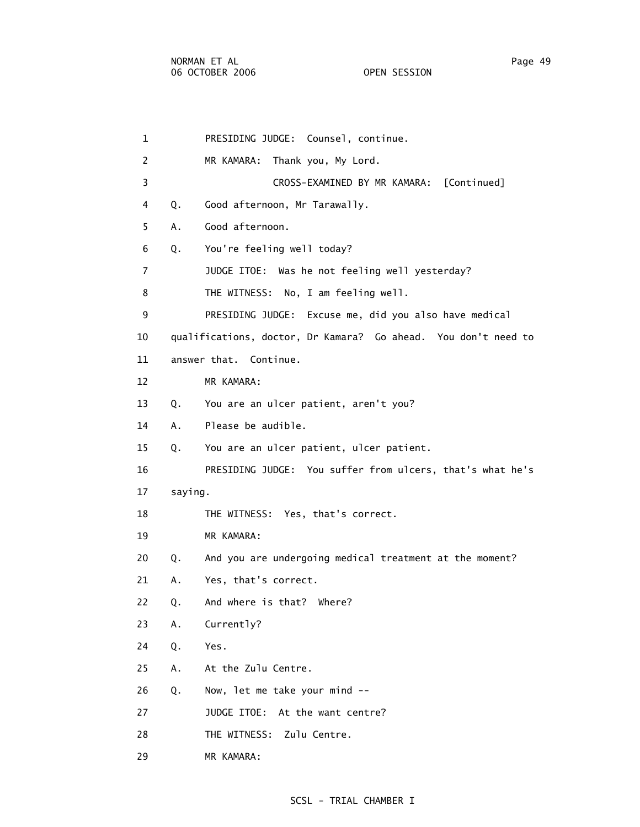29 MR KAMARA:

 1 PRESIDING JUDGE: Counsel, continue. 2 MR KAMARA: Thank you, My Lord. 3 CROSS-EXAMINED BY MR KAMARA: [Continued] 4 Q. Good afternoon, Mr Tarawally. 5 A. Good afternoon. 6 Q. You're feeling well today? 7 JUDGE ITOE: Was he not feeling well yesterday? 8 THE WITNESS: No, I am feeling well. 9 PRESIDING JUDGE: Excuse me, did you also have medical 10 qualifications, doctor, Dr Kamara? Go ahead. You don't need to 11 answer that. Continue. 12 MR KAMARA: 13 Q. You are an ulcer patient, aren't you? 14 A. Please be audible. 15 Q. You are an ulcer patient, ulcer patient. 16 PRESIDING JUDGE: You suffer from ulcers, that's what he's 17 saying. 18 THE WITNESS: Yes, that's correct. 19 MR KAMARA: 20 Q. And you are undergoing medical treatment at the moment? 21 A. Yes, that's correct. 22 Q. And where is that? Where? 23 A. Currently? 24 Q. Yes. 25 A. At the Zulu Centre. 26 Q. Now, let me take your mind -- 27 JUDGE ITOE: At the want centre? 28 THE WITNESS: Zulu Centre.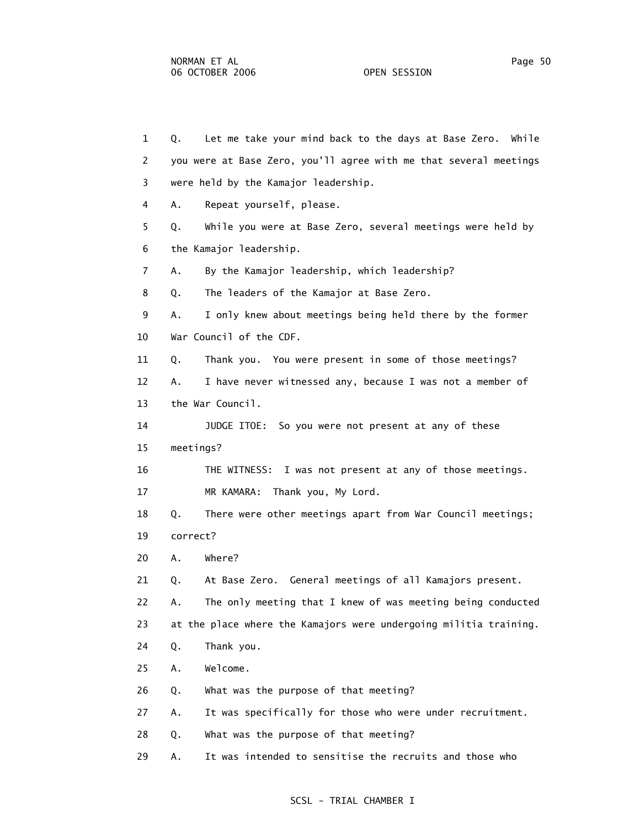6 the Kamajor leadership.

10 War Council of the CDF.

 1 Q. Let me take your mind back to the days at Base Zero. While 2 you were at Base Zero, you'll agree with me that several meetings 3 were held by the Kamajor leadership. 4 A. Repeat yourself, please. 5 Q. While you were at Base Zero, several meetings were held by 7 A. By the Kamajor leadership, which leadership? 8 Q. The leaders of the Kamajor at Base Zero. 9 A. I only knew about meetings being held there by the former 11 Q. Thank you. You were present in some of those meetings?

12 A. I have never witnessed any, because I was not a member of

13 the War Council.

14 JUDGE ITOE: So you were not present at any of these

15 meetings?

16 THE WITNESS: I was not present at any of those meetings.

17 MR KAMARA: Thank you, My Lord.

 18 Q. There were other meetings apart from War Council meetings; 19 correct?

20 A. Where?

21 Q. At Base Zero. General meetings of all Kamajors present.

22 A. The only meeting that I knew of was meeting being conducted

23 at the place where the Kamajors were undergoing militia training.

24 Q. Thank you.

25 A. Welcome.

26 Q. What was the purpose of that meeting?

27 A. It was specifically for those who were under recruitment.

28 Q. What was the purpose of that meeting?

29 A. It was intended to sensitise the recruits and those who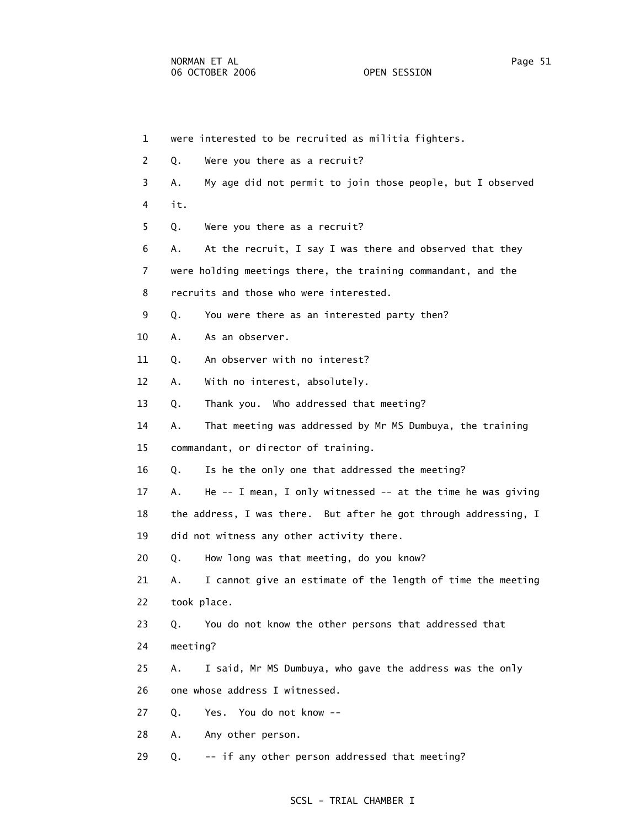| $\mathbf{1}$ |          | were interested to be recruited as militia fighters.             |
|--------------|----------|------------------------------------------------------------------|
| 2            | Q.       | Were you there as a recruit?                                     |
| 3            | А.       | My age did not permit to join those people, but I observed       |
| 4            | it.      |                                                                  |
| 5            | Q.       | Were you there as a recruit?                                     |
| 6            | А.       | At the recruit, I say I was there and observed that they         |
| 7            |          | were holding meetings there, the training commandant, and the    |
| 8            |          | recruits and those who were interested.                          |
| 9            | Q.       | You were there as an interested party then?                      |
| 10           | Α.       | As an observer.                                                  |
| 11           | Q.       | An observer with no interest?                                    |
| 12           | Α.       | With no interest, absolutely.                                    |
| 13           | Q.       | Thank you. Who addressed that meeting?                           |
| 14           | Α.       | That meeting was addressed by Mr MS Dumbuya, the training        |
| 15           |          | commandant, or director of training.                             |
| 16           | Q.       | Is he the only one that addressed the meeting?                   |
| 17           | Α.       | He $-$ - I mean, I only witnessed $-$ at the time he was giving  |
| 18           |          | the address, I was there. But after he got through addressing, I |
| 19           |          | did not witness any other activity there.                        |
| 20           | Q.       | How long was that meeting, do you know?                          |
| 21           | Α.       | I cannot give an estimate of the length of time the meeting      |
| 22           |          | took place.                                                      |
| 23           | Q.       | You do not know the other persons that addressed that            |
| 24           | meeting? |                                                                  |
| 25           | А.       | I said, Mr MS Dumbuya, who gave the address was the only         |
| 26           |          | one whose address I witnessed.                                   |
| 27           | Q.       | Yes. You do not know --                                          |
| 28           | Α.       | Any other person.                                                |
| 29           | Q.       | -- if any other person addressed that meeting?                   |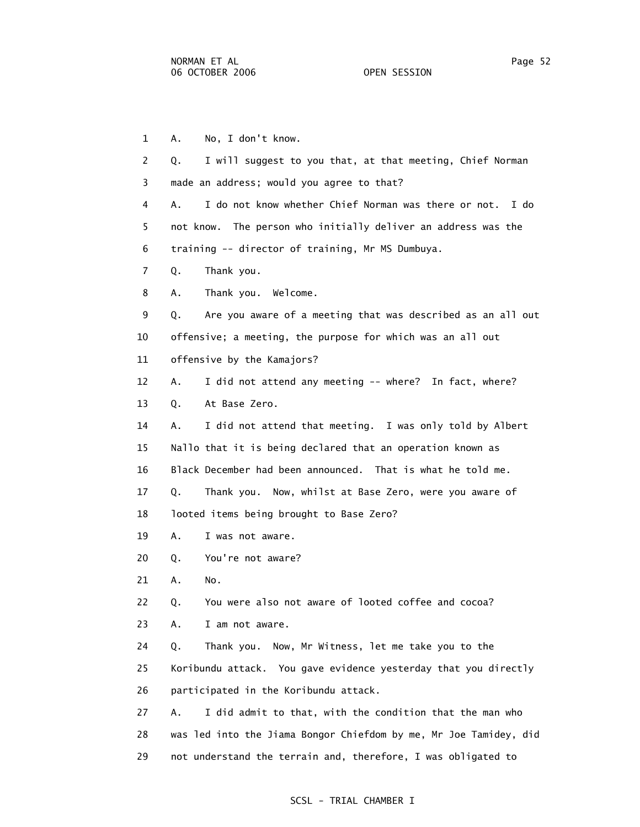1 A. No, I don't know. 2 Q. I will suggest to you that, at that meeting, Chief Norman 3 made an address; would you agree to that? 4 A. I do not know whether Chief Norman was there or not. I do 5 not know. The person who initially deliver an address was the 6 training -- director of training, Mr MS Dumbuya. 7 Q. Thank you. 8 A. Thank you. Welcome. 9 Q. Are you aware of a meeting that was described as an all out 10 offensive; a meeting, the purpose for which was an all out 11 offensive by the Kamajors? 12 A. I did not attend any meeting -- where? In fact, where? 13 Q. At Base Zero. 14 A. I did not attend that meeting. I was only told by Albert 15 Nallo that it is being declared that an operation known as 16 Black December had been announced. That is what he told me. 17 Q. Thank you. Now, whilst at Base Zero, were you aware of 18 looted items being brought to Base Zero? 19 A. I was not aware. 20 Q. You're not aware? 21 A. No. 22 Q. You were also not aware of looted coffee and cocoa? 23 A. I am not aware. 24 Q. Thank you. Now, Mr Witness, let me take you to the 25 Koribundu attack. You gave evidence yesterday that you directly 26 participated in the Koribundu attack. 27 A. I did admit to that, with the condition that the man who 28 was led into the Jiama Bongor Chiefdom by me, Mr Joe Tamidey, did 29 not understand the terrain and, therefore, I was obligated to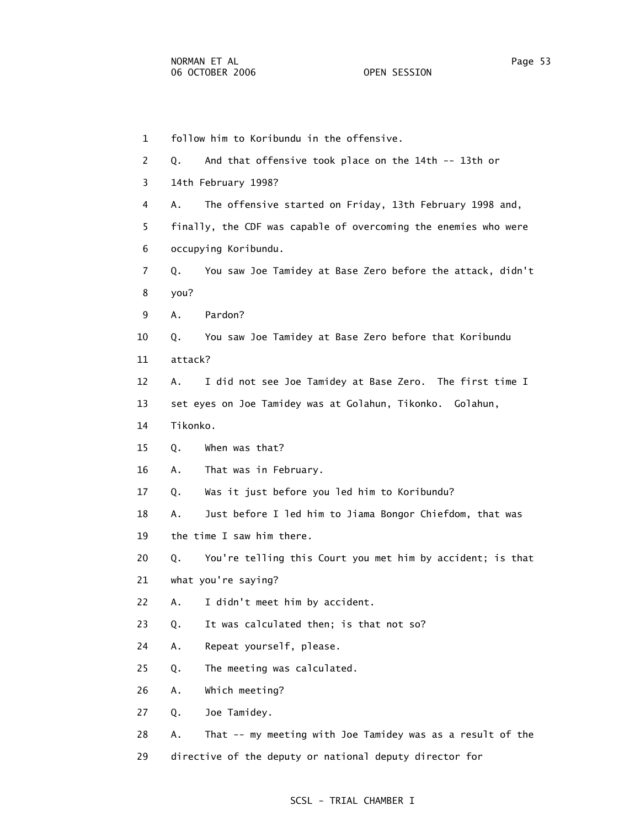1 follow him to Koribundu in the offensive. 2 Q. And that offensive took place on the 14th -- 13th or 3 14th February 1998? 4 A. The offensive started on Friday, 13th February 1998 and, 5 finally, the CDF was capable of overcoming the enemies who were 6 occupying Koribundu. 7 Q. You saw Joe Tamidey at Base Zero before the attack, didn't 8 you? 9 A. Pardon? 10 Q. You saw Joe Tamidey at Base Zero before that Koribundu 11 attack? 12 A. I did not see Joe Tamidey at Base Zero. The first time I 13 set eyes on Joe Tamidey was at Golahun, Tikonko. Golahun, 14 Tikonko. 15 Q. When was that? 16 A. That was in February. 17 Q. Was it just before you led him to Koribundu? 18 A. Just before I led him to Jiama Bongor Chiefdom, that was 19 the time I saw him there. 20 Q. You're telling this Court you met him by accident; is that 21 what you're saying? 22 A. I didn't meet him by accident. 23 Q. It was calculated then; is that not so? 24 A. Repeat yourself, please. 25 Q. The meeting was calculated. 26 A. Which meeting? 27 Q. Joe Tamidey. 28 A. That -- my meeting with Joe Tamidey was as a result of the 29 directive of the deputy or national deputy director for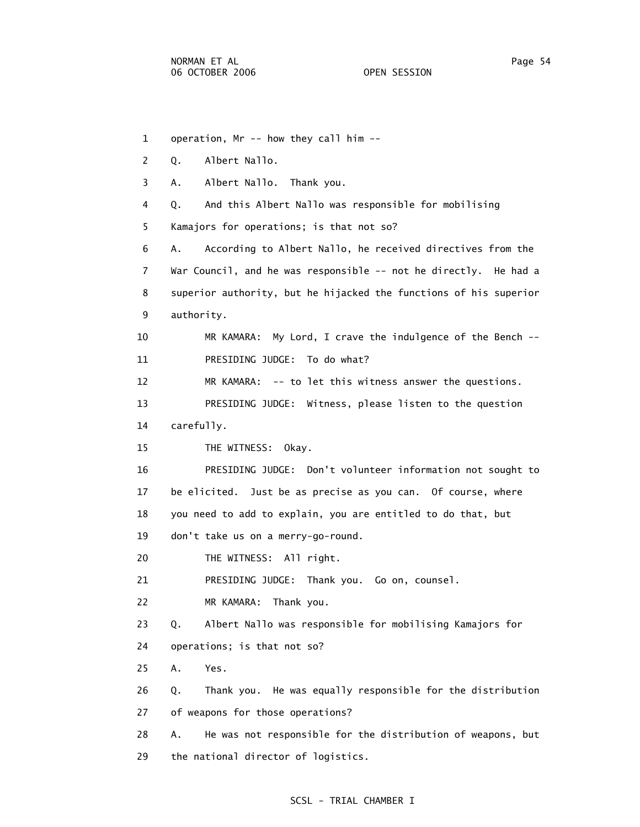1 operation, Mr -- how they call him -- 2 Q. Albert Nallo. 3 A. Albert Nallo. Thank you. 4 Q. And this Albert Nallo was responsible for mobilising 5 Kamajors for operations; is that not so? 6 A. According to Albert Nallo, he received directives from the 7 War Council, and he was responsible -- not he directly. He had a 8 superior authority, but he hijacked the functions of his superior 9 authority. 10 MR KAMARA: My Lord, I crave the indulgence of the Bench -- 11 PRESIDING JUDGE: To do what? 12 MR KAMARA: -- to let this witness answer the questions. 13 PRESIDING JUDGE: Witness, please listen to the question 14 carefully. 15 THE WITNESS: Okay. 16 PRESIDING JUDGE: Don't volunteer information not sought to 17 be elicited. Just be as precise as you can. Of course, where 18 you need to add to explain, you are entitled to do that, but 19 don't take us on a merry-go-round. 20 THE WITNESS: All right. 21 PRESIDING JUDGE: Thank you. Go on, counsel. 22 MR KAMARA: Thank you. 23 Q. Albert Nallo was responsible for mobilising Kamajors for 24 operations; is that not so? 25 A. Yes. 26 Q. Thank you. He was equally responsible for the distribution 27 of weapons for those operations? 28 A. He was not responsible for the distribution of weapons, but 29 the national director of logistics.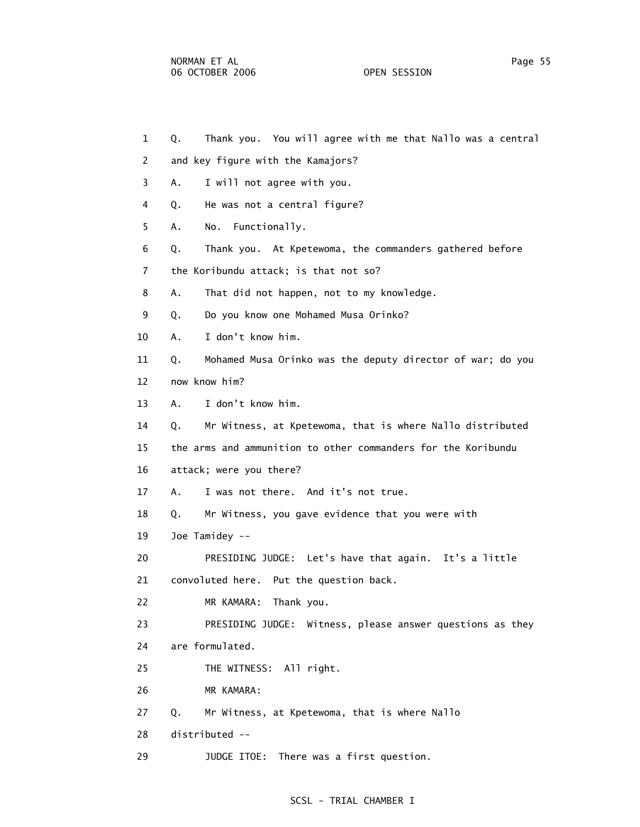- 1 Q. Thank you. You will agree with me that Nallo was a central
- 2 and key figure with the Kamajors?
- 3 A. I will not agree with you.
- 4 Q. He was not a central figure?
- 5 A. No. Functionally.
- 6 Q. Thank you. At Kpetewoma, the commanders gathered before
- 7 the Koribundu attack; is that not so?
- 8 A. That did not happen, not to my knowledge.
- 9 Q. Do you know one Mohamed Musa Orinko?
- 10 A. I don't know him.
- 11 Q. Mohamed Musa Orinko was the deputy director of war; do you
- 12 now know him?
- 13 A. I don't know him.
- 14 Q. Mr Witness, at Kpetewoma, that is where Nallo distributed
- 15 the arms and ammunition to other commanders for the Koribundu
- 16 attack; were you there?
- 17 A. I was not there. And it's not true.
- 18 Q. Mr Witness, you gave evidence that you were with
- 19 Joe Tamidey --
- 20 PRESIDING JUDGE: Let's have that again. It's a little 21 convoluted here. Put the question back.
- 22 MR KAMARA: Thank you.
- 23 PRESIDING JUDGE: Witness, please answer questions as they 24 are formulated.
- 25 THE WITNESS: All right.
- 26 MR KAMARA:
- 27 Q. Mr Witness, at Kpetewoma, that is where Nallo
- 28 distributed --
- 29 JUDGE ITOE: There was a first question.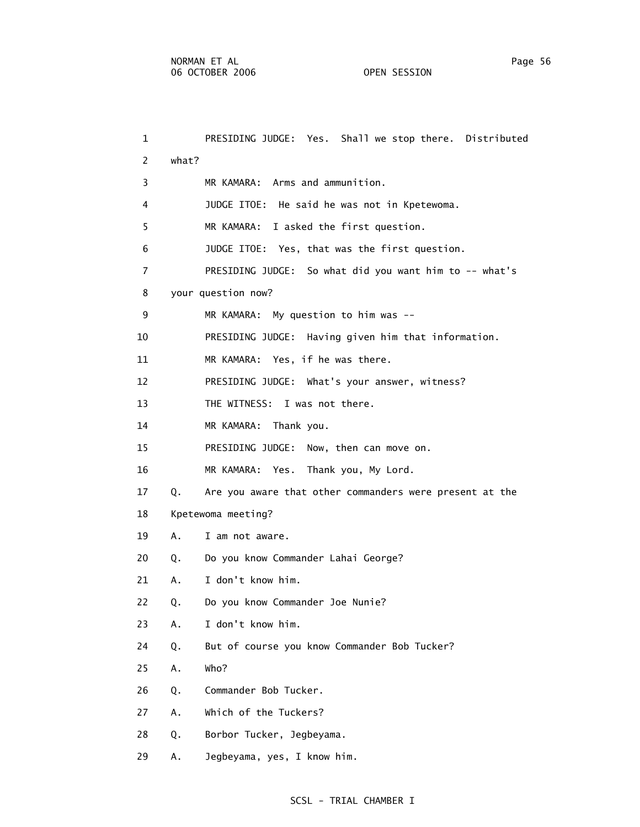1 PRESIDING JUDGE: Yes. Shall we stop there. Distributed 2 what? 3 MR KAMARA: Arms and ammunition. 4 JUDGE ITOE: He said he was not in Kpetewoma. 5 MR KAMARA: I asked the first question. 6 JUDGE ITOE: Yes, that was the first question. 7 PRESIDING JUDGE: So what did you want him to -- what's 8 your question now? 9 MR KAMARA: My question to him was -- 10 PRESIDING JUDGE: Having given him that information. 11 MR KAMARA: Yes, if he was there. 12 PRESIDING JUDGE: What's your answer, witness? 13 THE WITNESS: I was not there. 14 MR KAMARA: Thank you. 15 PRESIDING JUDGE: Now, then can move on. 16 MR KAMARA: Yes. Thank you, My Lord. 17 Q. Are you aware that other commanders were present at the 18 Kpetewoma meeting? 19 A. I am not aware. 20 Q. Do you know Commander Lahai George? 21 A. I don't know him. 22 Q. Do you know Commander Joe Nunie? 23 A. I don't know him. 24 Q. But of course you know Commander Bob Tucker? 25 A. Who?

- 26 Q. Commander Bob Tucker.
- 27 A. Which of the Tuckers?
- 28 Q. Borbor Tucker, Jegbeyama.
- 29 A. Jegbeyama, yes, I know him.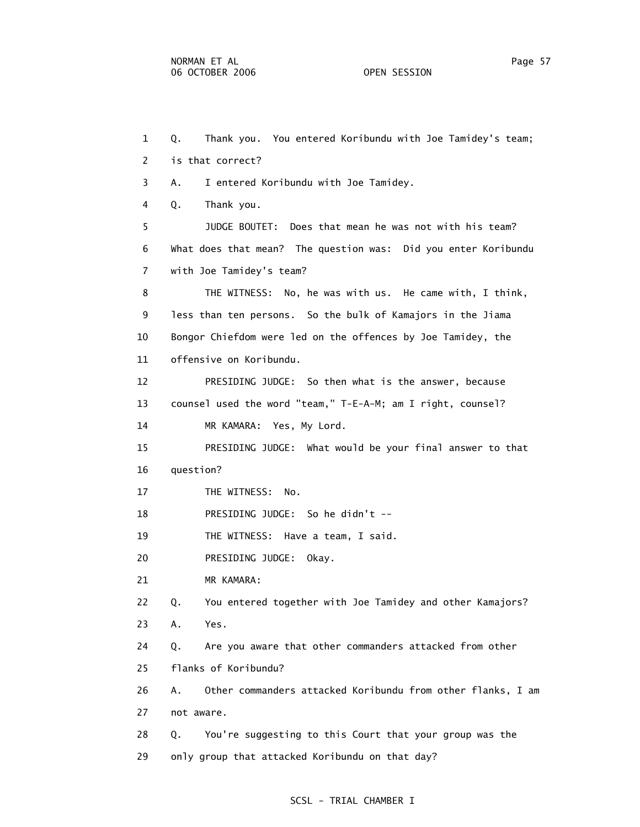1 Q. Thank you. You entered Koribundu with Joe Tamidey's team; 2 is that correct? 3 A. I entered Koribundu with Joe Tamidey. 4 Q. Thank you. 5 JUDGE BOUTET: Does that mean he was not with his team? 6 What does that mean? The question was: Did you enter Koribundu 7 with Joe Tamidey's team? 8 THE WITNESS: No, he was with us. He came with, I think, 9 less than ten persons. So the bulk of Kamajors in the Jiama 10 Bongor Chiefdom were led on the offences by Joe Tamidey, the 11 offensive on Koribundu. 12 PRESIDING JUDGE: So then what is the answer, because 13 counsel used the word "team," T-E-A-M; am I right, counsel? 14 MR KAMARA: Yes, My Lord. 15 PRESIDING JUDGE: What would be your final answer to that 16 question? 17 THE WITNESS: No. 18 PRESIDING JUDGE: So he didn't -- 19 THE WITNESS: Have a team, I said. 20 PRESIDING JUDGE: Okay. 21 MR KAMARA: 22 Q. You entered together with Joe Tamidey and other Kamajors? 23 A. Yes. 24 Q. Are you aware that other commanders attacked from other 25 flanks of Koribundu? 26 A. Other commanders attacked Koribundu from other flanks, I am 27 not aware. 28 Q. You're suggesting to this Court that your group was the 29 only group that attacked Koribundu on that day?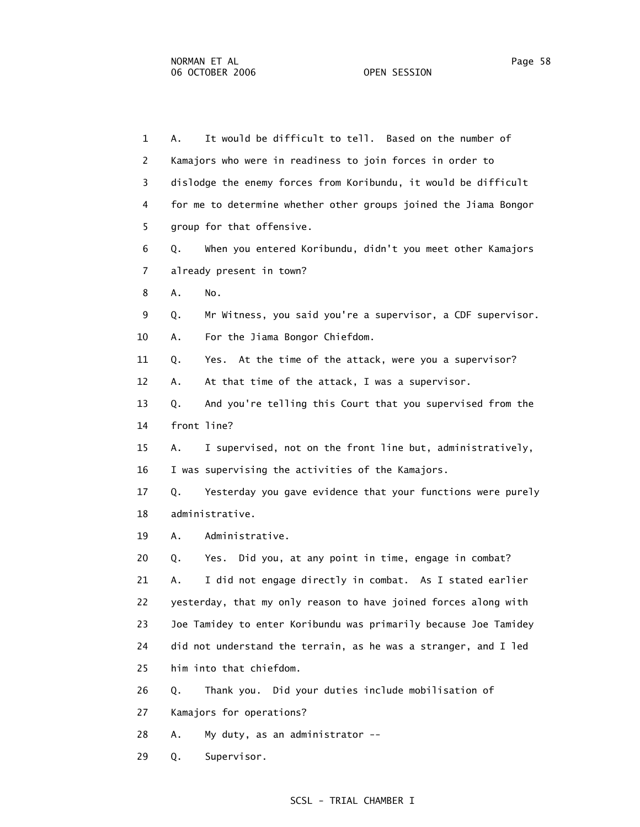1 A. It would be difficult to tell. Based on the number of 2 Kamajors who were in readiness to join forces in order to 3 dislodge the enemy forces from Koribundu, it would be difficult 4 for me to determine whether other groups joined the Jiama Bongor 5 group for that offensive. 6 Q. When you entered Koribundu, didn't you meet other Kamajors 7 already present in town? 8 A. No. 9 Q. Mr Witness, you said you're a supervisor, a CDF supervisor. 10 A. For the Jiama Bongor Chiefdom. 11 Q. Yes. At the time of the attack, were you a supervisor? 12 A. At that time of the attack, I was a supervisor. 13 Q. And you're telling this Court that you supervised from the 14 front line? 15 A. I supervised, not on the front line but, administratively, 16 I was supervising the activities of the Kamajors. 17 Q. Yesterday you gave evidence that your functions were purely 18 administrative. 19 A. Administrative. 20 Q. Yes. Did you, at any point in time, engage in combat? 21 A. I did not engage directly in combat. As I stated earlier 22 yesterday, that my only reason to have joined forces along with 23 Joe Tamidey to enter Koribundu was primarily because Joe Tamidey 24 did not understand the terrain, as he was a stranger, and I led 25 him into that chiefdom. 26 Q. Thank you. Did your duties include mobilisation of 27 Kamajors for operations? 28 A. My duty, as an administrator --

29 Q. Supervisor.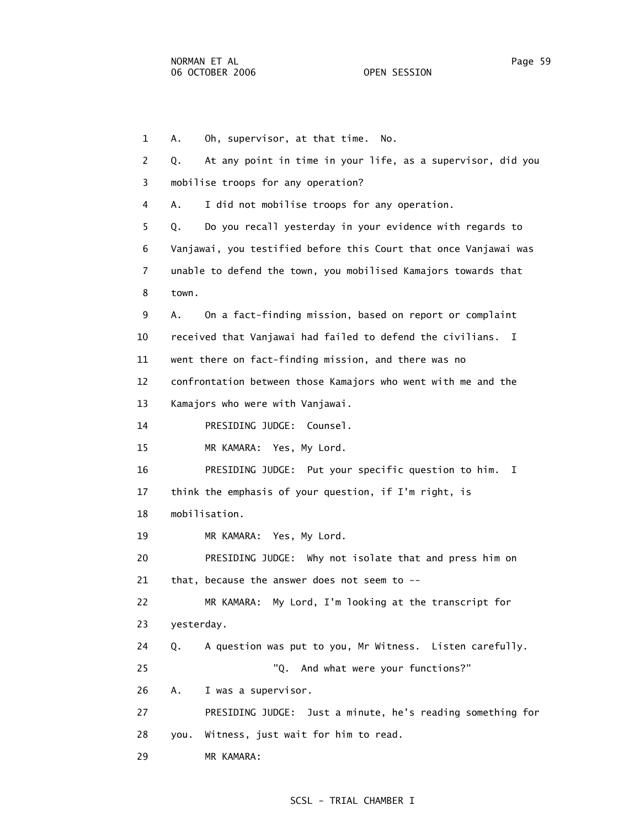1 A. Oh, supervisor, at that time. No. 2 Q. At any point in time in your life, as a supervisor, did you 3 mobilise troops for any operation? 4 A. I did not mobilise troops for any operation. 5 Q. Do you recall yesterday in your evidence with regards to 6 Vanjawai, you testified before this Court that once Vanjawai was 7 unable to defend the town, you mobilised Kamajors towards that 8 town. 9 A. On a fact-finding mission, based on report or complaint 10 received that Vanjawai had failed to defend the civilians. I 11 went there on fact-finding mission, and there was no 12 confrontation between those Kamajors who went with me and the 13 Kamajors who were with Vanjawai. 14 PRESIDING JUDGE: Counsel. 15 MR KAMARA: Yes, My Lord. 16 PRESIDING JUDGE: Put your specific question to him. I 17 think the emphasis of your question, if I'm right, is 18 mobilisation. 19 MR KAMARA: Yes, My Lord. 20 PRESIDING JUDGE: Why not isolate that and press him on 21 that, because the answer does not seem to -- 22 MR KAMARA: My Lord, I'm looking at the transcript for 23 yesterday. 24 Q. A question was put to you, Mr Witness. Listen carefully. 25 "Q. And what were your functions?" 26 A. I was a supervisor. 27 PRESIDING JUDGE: Just a minute, he's reading something for 28 you. Witness, just wait for him to read. 29 MR KAMARA: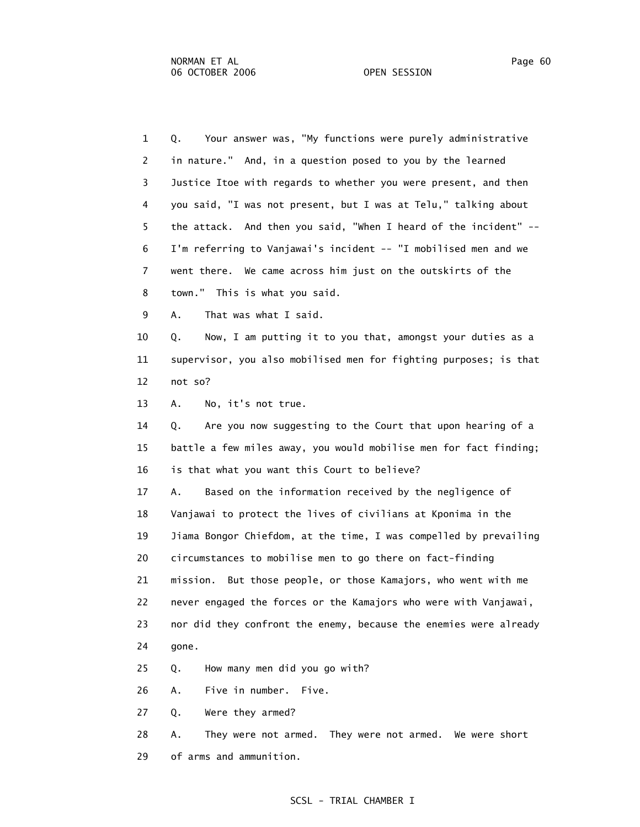| $\mathbf{1}$   | Your answer was, "My functions were purely administrative<br>Q.   |
|----------------|-------------------------------------------------------------------|
| 2              | in nature." And, in a question posed to you by the learned        |
| 3              | Justice Itoe with regards to whether you were present, and then   |
| 4              | you said, "I was not present, but I was at Telu," talking about   |
| 5              | the attack. And then you said, "When I heard of the incident" --  |
| 6              | I'm referring to Vanjawai's incident -- "I mobilised men and we   |
| $\overline{7}$ | went there. We came across him just on the outskirts of the       |
| 8              | town." This is what you said.                                     |
| 9              | That was what I said.<br>Α.                                       |
| 10             | Now, I am putting it to you that, amongst your duties as a<br>Q.  |
| 11             | supervisor, you also mobilised men for fighting purposes; is that |
| 12             | not so?                                                           |
| 13             | No, it's not true.<br>Α.                                          |
| 14             | Are you now suggesting to the Court that upon hearing of a<br>Q.  |
| 15             | battle a few miles away, you would mobilise men for fact finding; |
| 16             | is that what you want this Court to believe?                      |
| 17             | Based on the information received by the negligence of<br>Α.      |
| 18             | Vanjawai to protect the lives of civilians at Kponima in the      |
| 19             | Jiama Bongor Chiefdom, at the time, I was compelled by prevailing |
| 20             | circumstances to mobilise men to go there on fact-finding         |
| 21             | But those people, or those Kamajors, who went with me<br>mission. |
| 22             | never engaged the forces or the Kamajors who were with Vanjawai,  |
| 23             | nor did they confront the enemy, because the enemies were already |
| 24             | gone.                                                             |
| 25             | How many men did you go with?<br>Q.                               |
| 26             | Five in number. Five.<br>Α.                                       |
| 27             | Were they armed?<br>Q.                                            |
| 28             | They were not armed. They were not armed. We were short<br>Α.     |

29 of arms and ammunition.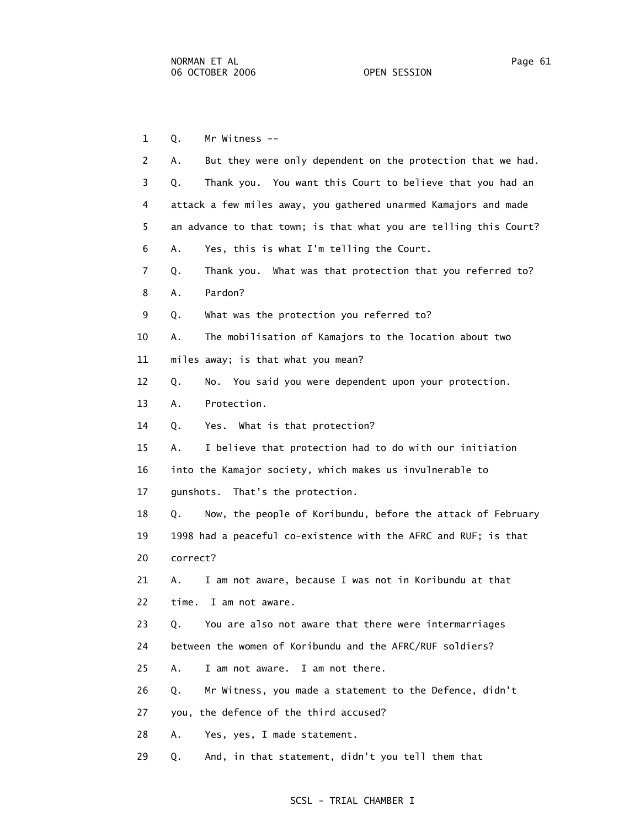1 Q. Mr Witness --

| $\overline{2}$ | But they were only dependent on the protection that we had.<br>А. |
|----------------|-------------------------------------------------------------------|
| 3              | Thank you. You want this Court to believe that you had an<br>Q.   |
| 4              | attack a few miles away, you gathered unarmed Kamajors and made   |
| 5              | an advance to that town; is that what you are telling this Court? |
| 6              | Yes, this is what I'm telling the Court.<br>Α.                    |
| $\overline{7}$ | Thank you. What was that protection that you referred to?<br>Q.   |
| 8              | Pardon?<br>Α.                                                     |
| 9              | What was the protection you referred to?<br>Q.                    |
| 10             | The mobilisation of Kamajors to the location about two<br>Α.      |
| 11             | miles away; is that what you mean?                                |
| 12             | No. You said you were dependent upon your protection.<br>Q.       |
| 13             | Protection.<br>Α.                                                 |
| 14             | Yes. What is that protection?<br>Q.                               |
| 15             | I believe that protection had to do with our initiation<br>Α.     |
| 16             | into the Kamajor society, which makes us invulnerable to          |
| 17             | gunshots. That's the protection.                                  |
| 18             | Now, the people of Koribundu, before the attack of February<br>Q. |
| 19             | 1998 had a peaceful co-existence with the AFRC and RUF; is that   |
| 20             | correct?                                                          |
| 21             | I am not aware, because I was not in Koribundu at that<br>Α.      |
| 22             | time.<br>I am not aware.                                          |
| 23             | You are also not aware that there were intermarriages<br>Q.       |
| 24             | between the women of Koribundu and the AFRC/RUF soldiers?         |
| 25             | I am not aware. I am not there.<br>Α.                             |
| 26             | Mr Witness, you made a statement to the Defence, didn't<br>Q.     |
| 27             | you, the defence of the third accused?                            |
| 28             | Yes, yes, I made statement.<br>Α.                                 |
|                |                                                                   |
| 29             | And, in that statement, didn't you tell them that<br>Q.           |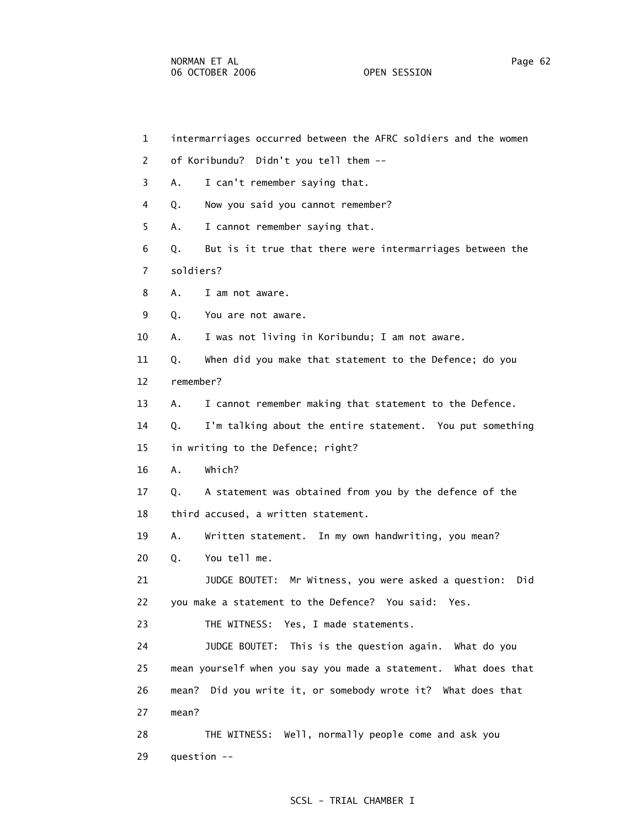1 intermarriages occurred between the AFRC soldiers and the women 2 of Koribundu? Didn't you tell them -- 3 A. I can't remember saying that. 4 Q. Now you said you cannot remember? 5 A. I cannot remember saying that. 6 Q. But is it true that there were intermarriages between the 7 soldiers? 8 A. I am not aware. 9 Q. You are not aware. 10 A. I was not living in Koribundu; I am not aware. 11 Q. When did you make that statement to the Defence; do you 12 remember? 13 A. I cannot remember making that statement to the Defence. 14 Q. I'm talking about the entire statement. You put something 15 in writing to the Defence; right? 16 A. Which? 17 Q. A statement was obtained from you by the defence of the 18 third accused, a written statement. 19 A. Written statement. In my own handwriting, you mean? 20 Q. You tell me. 21 JUDGE BOUTET: Mr Witness, you were asked a question: Did 22 you make a statement to the Defence? You said: Yes. 23 THE WITNESS: Yes, I made statements. 24 JUDGE BOUTET: This is the question again. What do you 25 mean yourself when you say you made a statement. What does that 26 mean? Did you write it, or somebody wrote it? What does that 27 mean? 28 THE WITNESS: Well, normally people come and ask you 29 question --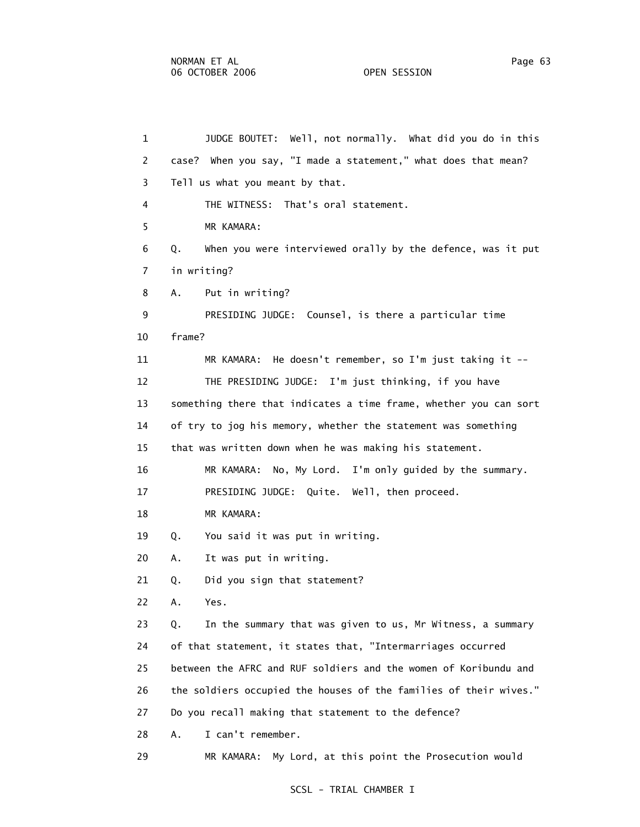1 JUDGE BOUTET: Well, not normally. What did you do in this 2 case? When you say, "I made a statement," what does that mean? 3 Tell us what you meant by that. 4 THE WITNESS: That's oral statement. 5 MR KAMARA: 6 Q. When you were interviewed orally by the defence, was it put 7 in writing? 8 A. Put in writing? 9 PRESIDING JUDGE: Counsel, is there a particular time 10 frame? 11 MR KAMARA: He doesn't remember, so I'm just taking it -- 12 THE PRESIDING JUDGE: I'm just thinking, if you have 13 something there that indicates a time frame, whether you can sort 14 of try to jog his memory, whether the statement was something 15 that was written down when he was making his statement. 16 MR KAMARA: No, My Lord. I'm only guided by the summary. 17 PRESIDING JUDGE: Quite. Well, then proceed. 18 MR KAMARA: 19 Q. You said it was put in writing. 20 A. It was put in writing. 21 Q. Did you sign that statement? 22 A. Yes. 23 Q. In the summary that was given to us, Mr Witness, a summary 24 of that statement, it states that, "Intermarriages occurred 25 between the AFRC and RUF soldiers and the women of Koribundu and 26 the soldiers occupied the houses of the families of their wives." 27 Do you recall making that statement to the defence? 28 A. I can't remember. 29 MR KAMARA: My Lord, at this point the Prosecution would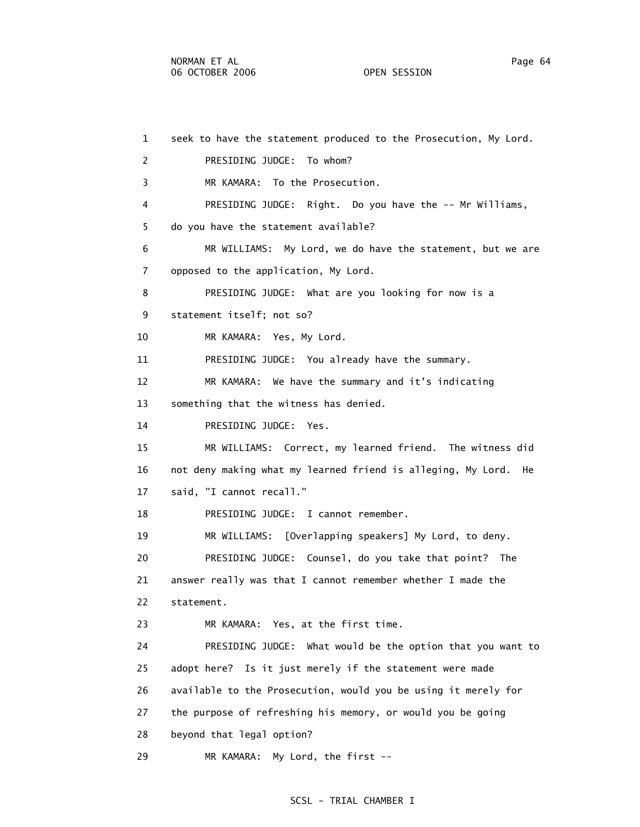1 seek to have the statement produced to the Prosecution, My Lord. 2 PRESIDING JUDGE: To whom? 3 MR KAMARA: To the Prosecution. 4 PRESIDING JUDGE: Right. Do you have the -- Mr Williams, 5 do you have the statement available? 6 MR WILLIAMS: My Lord, we do have the statement, but we are 7 opposed to the application, My Lord. 8 PRESIDING JUDGE: What are you looking for now is a 9 statement itself; not so? 10 MR KAMARA: Yes, My Lord. 11 PRESIDING JUDGE: You already have the summary. 12 MR KAMARA: We have the summary and it's indicating 13 something that the witness has denied. 14 PRESIDING JUDGE: Yes. 15 MR WILLIAMS: Correct, my learned friend. The witness did 16 not deny making what my learned friend is alleging, My Lord. He 17 said, "I cannot recall." 18 PRESIDING JUDGE: I cannot remember. 19 MR WILLIAMS: [Overlapping speakers] My Lord, to deny. 20 PRESIDING JUDGE: Counsel, do you take that point? The 21 answer really was that I cannot remember whether I made the 22 statement. 23 MR KAMARA: Yes, at the first time. 24 PRESIDING JUDGE: What would be the option that you want to 25 adopt here? Is it just merely if the statement were made 26 available to the Prosecution, would you be using it merely for 27 the purpose of refreshing his memory, or would you be going 28 beyond that legal option? 29 MR KAMARA: My Lord, the first --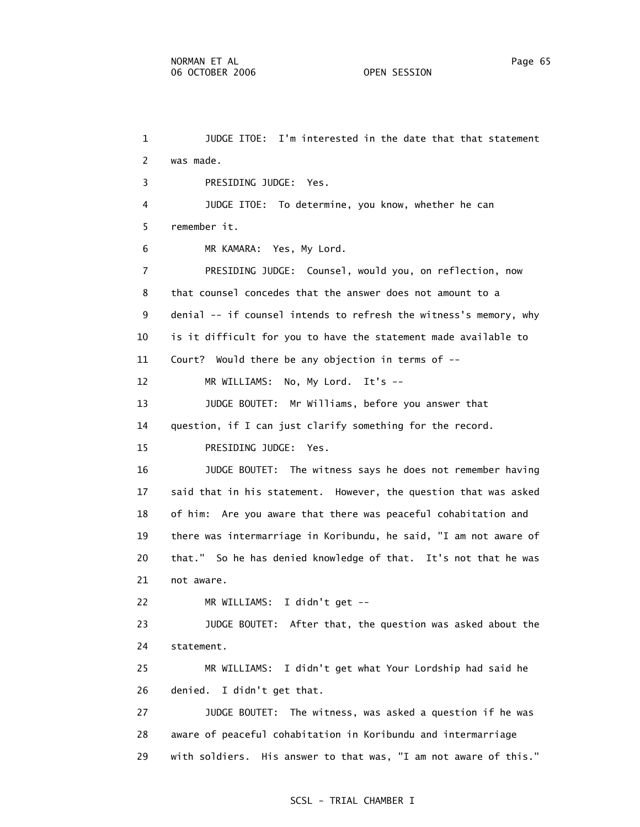1 JUDGE ITOE: I'm interested in the date that that statement 2 was made. 3 PRESIDING JUDGE: Yes. 4 JUDGE ITOE: To determine, you know, whether he can 5 remember it. 6 MR KAMARA: Yes, My Lord. 7 PRESIDING JUDGE: Counsel, would you, on reflection, now 8 that counsel concedes that the answer does not amount to a 9 denial -- if counsel intends to refresh the witness's memory, why 10 is it difficult for you to have the statement made available to 11 Court? Would there be any objection in terms of -- 12 MR WILLIAMS: No, My Lord. It's -- 13 JUDGE BOUTET: Mr Williams, before you answer that 14 question, if I can just clarify something for the record. 15 PRESIDING JUDGE: Yes. 16 JUDGE BOUTET: The witness says he does not remember having 17 said that in his statement. However, the question that was asked 18 of him: Are you aware that there was peaceful cohabitation and 19 there was intermarriage in Koribundu, he said, "I am not aware of 20 that." So he has denied knowledge of that. It's not that he was 21 not aware. 22 MR WILLIAMS: I didn't get -- 23 JUDGE BOUTET: After that, the question was asked about the 24 statement. 25 MR WILLIAMS: I didn't get what Your Lordship had said he 26 denied. I didn't get that. 27 JUDGE BOUTET: The witness, was asked a question if he was 28 aware of peaceful cohabitation in Koribundu and intermarriage 29 with soldiers. His answer to that was, "I am not aware of this."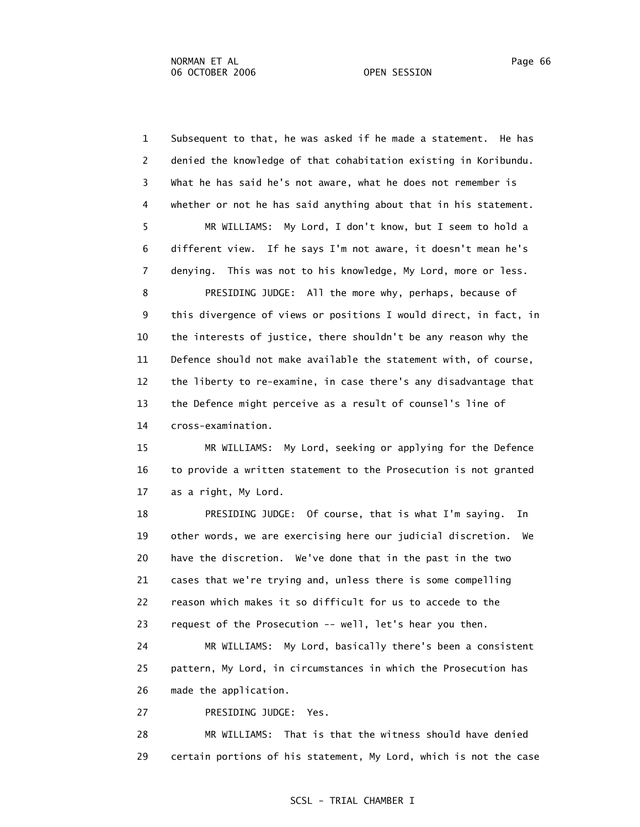1 Subsequent to that, he was asked if he made a statement. He has 2 denied the knowledge of that cohabitation existing in Koribundu. 3 What he has said he's not aware, what he does not remember is 4 whether or not he has said anything about that in his statement. 5 MR WILLIAMS: My Lord, I don't know, but I seem to hold a 6 different view. If he says I'm not aware, it doesn't mean he's 7 denying. This was not to his knowledge, My Lord, more or less. 8 PRESIDING JUDGE: All the more why, perhaps, because of 9 this divergence of views or positions I would direct, in fact, in 10 the interests of justice, there shouldn't be any reason why the 11 Defence should not make available the statement with, of course, 12 the liberty to re-examine, in case there's any disadvantage that 13 the Defence might perceive as a result of counsel's line of 14 cross-examination.

 15 MR WILLIAMS: My Lord, seeking or applying for the Defence 16 to provide a written statement to the Prosecution is not granted 17 as a right, My Lord.

 18 PRESIDING JUDGE: Of course, that is what I'm saying. In 19 other words, we are exercising here our judicial discretion. We 20 have the discretion. We've done that in the past in the two 21 cases that we're trying and, unless there is some compelling 22 reason which makes it so difficult for us to accede to the 23 request of the Prosecution -- well, let's hear you then.

 24 MR WILLIAMS: My Lord, basically there's been a consistent 25 pattern, My Lord, in circumstances in which the Prosecution has 26 made the application.

27 PRESIDING JUDGE: Yes.

 28 MR WILLIAMS: That is that the witness should have denied 29 certain portions of his statement, My Lord, which is not the case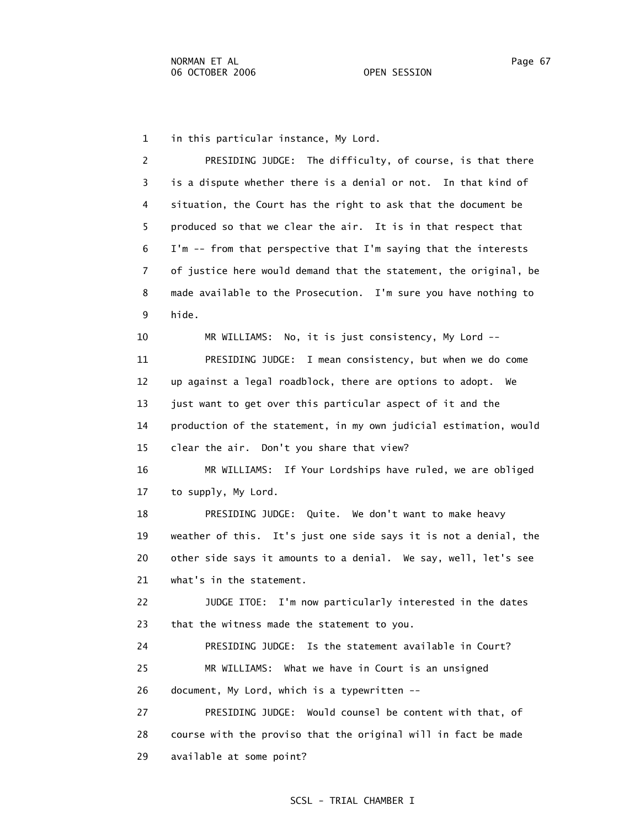1 in this particular instance, My Lord.

 2 PRESIDING JUDGE: The difficulty, of course, is that there 3 is a dispute whether there is a denial or not. In that kind of 4 situation, the Court has the right to ask that the document be 5 produced so that we clear the air. It is in that respect that 6 I'm -- from that perspective that I'm saying that the interests 7 of justice here would demand that the statement, the original, be 8 made available to the Prosecution. I'm sure you have nothing to 9 hide.

 10 MR WILLIAMS: No, it is just consistency, My Lord -- 11 PRESIDING JUDGE: I mean consistency, but when we do come 12 up against a legal roadblock, there are options to adopt. We 13 just want to get over this particular aspect of it and the 14 production of the statement, in my own judicial estimation, would 15 clear the air. Don't you share that view?

 16 MR WILLIAMS: If Your Lordships have ruled, we are obliged 17 to supply, My Lord.

 18 PRESIDING JUDGE: Quite. We don't want to make heavy 19 weather of this. It's just one side says it is not a denial, the 20 other side says it amounts to a denial. We say, well, let's see 21 what's in the statement.

 22 JUDGE ITOE: I'm now particularly interested in the dates 23 that the witness made the statement to you.

 24 PRESIDING JUDGE: Is the statement available in Court? 25 MR WILLIAMS: What we have in Court is an unsigned 26 document, My Lord, which is a typewritten --

 27 PRESIDING JUDGE: Would counsel be content with that, of 28 course with the proviso that the original will in fact be made 29 available at some point?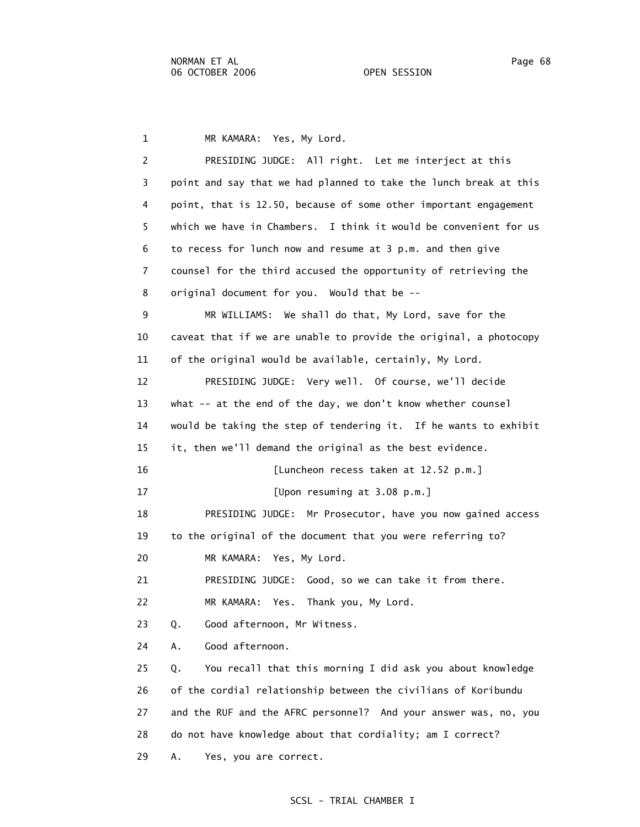1 MR KAMARA: Yes, My Lord. 2 PRESIDING JUDGE: All right. Let me interject at this 3 point and say that we had planned to take the lunch break at this 4 point, that is 12.50, because of some other important engagement 5 which we have in Chambers. I think it would be convenient for us 6 to recess for lunch now and resume at 3 p.m. and then give 7 counsel for the third accused the opportunity of retrieving the 8 original document for you. Would that be -- 9 MR WILLIAMS: We shall do that, My Lord, save for the 10 caveat that if we are unable to provide the original, a photocopy 11 of the original would be available, certainly, My Lord. 12 PRESIDING JUDGE: Very well. Of course, we'll decide 13 what -- at the end of the day, we don't know whether counsel 14 would be taking the step of tendering it. If he wants to exhibit 15 it, then we'll demand the original as the best evidence. 16 [Luncheon recess taken at 12.52 p.m.] 17 [Upon resuming at 3.08 p.m.] 18 PRESIDING JUDGE: Mr Prosecutor, have you now gained access 19 to the original of the document that you were referring to? 20 MR KAMARA: Yes, My Lord. 21 PRESIDING JUDGE: Good, so we can take it from there. 22 MR KAMARA: Yes. Thank you, My Lord. 23 Q. Good afternoon, Mr Witness. 24 A. Good afternoon. 25 Q. You recall that this morning I did ask you about knowledge 26 of the cordial relationship between the civilians of Koribundu 27 and the RUF and the AFRC personnel? And your answer was, no, you 28 do not have knowledge about that cordiality; am I correct? 29 A. Yes, you are correct.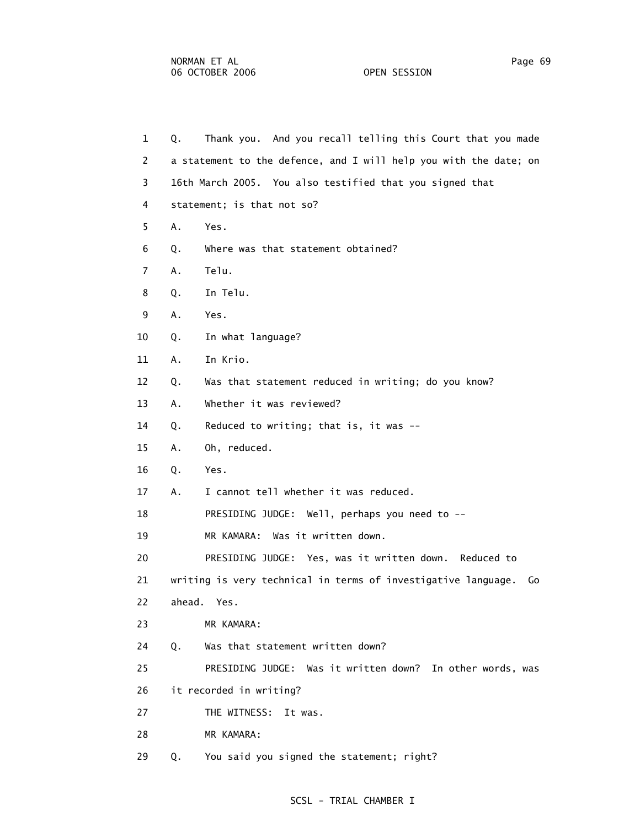| $\mathbf{1}$   | Thank you. And you recall telling this Court that you made<br>Q.    |
|----------------|---------------------------------------------------------------------|
| 2              | a statement to the defence, and I will help you with the date; on   |
| 3              | 16th March 2005. You also testified that you signed that            |
| 4              | statement; is that not so?                                          |
| 5              | Α.<br>Yes.                                                          |
| 6              | Where was that statement obtained?<br>Q.                            |
| $\overline{7}$ | Telu.<br>Α.                                                         |
| 8              | In Telu.<br>Q.                                                      |
| 9              | Yes.<br>Α.                                                          |
| 10             | In what language?<br>Q.                                             |
| 11             | In Krio.<br>Α.                                                      |
| 12             | Was that statement reduced in writing; do you know?<br>Q.           |
| 13             | Whether it was reviewed?<br>Α.                                      |
| 14             | Reduced to writing; that is, it was $-$ -<br>Q.                     |
| 15             | Oh, reduced.<br>Α.                                                  |
| 16             | Yes.<br>Q.                                                          |
| 17             | I cannot tell whether it was reduced.<br>Α.                         |
| 18             | PRESIDING JUDGE: Well, perhaps you need to --                       |
| 19             | MR KAMARA: Was it written down.                                     |
| 20             | PRESIDING JUDGE: Yes, was it written down. Reduced to               |
| 21             | writing is very technical in terms of investigative language.<br>Go |
| 22             | ahead. Yes.                                                         |
| 23             | MR KAMARA:                                                          |
| 24             | Was that statement written down?<br>Q.                              |
| 25             | PRESIDING JUDGE: Was it written down? In other words, was           |
| 26             | it recorded in writing?                                             |
| 27             | THE WITNESS:<br>It was.                                             |
| 28             | MR KAMARA:                                                          |
| 29             | You said you signed the statement; right?<br>Q.                     |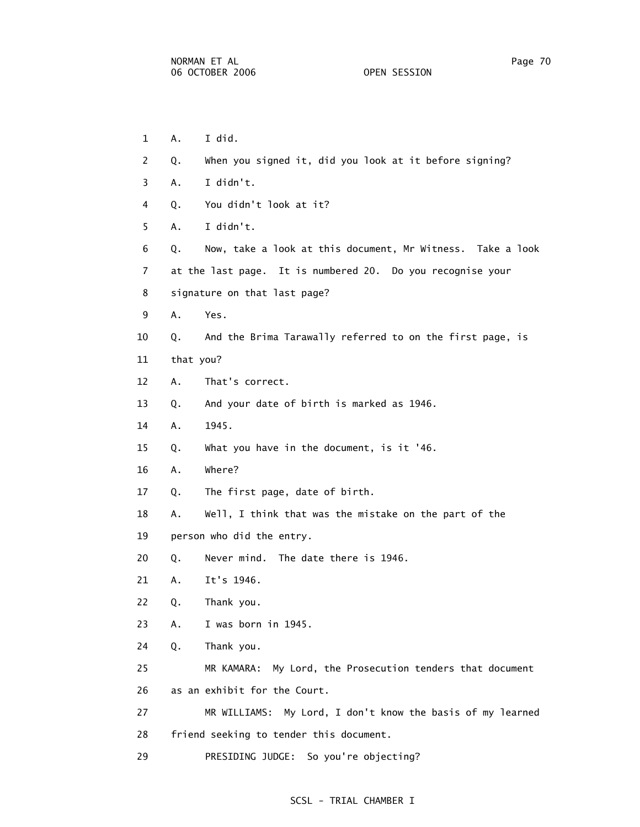- 1 A. I did. 2 Q. When you signed it, did you look at it before signing? 3 A. I didn't. 4 Q. You didn't look at it? 5 A. I didn't. 6 Q. Now, take a look at this document, Mr Witness. Take a look 7 at the last page. It is numbered 20. Do you recognise your 8 signature on that last page? 9 A. Yes. 10 Q. And the Brima Tarawally referred to on the first page, is 11 that you? 12 A. That's correct. 13 Q. And your date of birth is marked as 1946. 14 A. 1945. 15 Q. What you have in the document, is it '46. 16 A. Where? 17 Q. The first page, date of birth. 18 A. Well, I think that was the mistake on the part of the 19 person who did the entry. 20 Q. Never mind. The date there is 1946. 21 A. It's 1946. 22 Q. Thank you. 23 A. I was born in 1945. 24 Q. Thank you. 25 MR KAMARA: My Lord, the Prosecution tenders that document 26 as an exhibit for the Court. 27 MR WILLIAMS: My Lord, I don't know the basis of my learned 28 friend seeking to tender this document.
- 29 PRESIDING JUDGE: So you're objecting?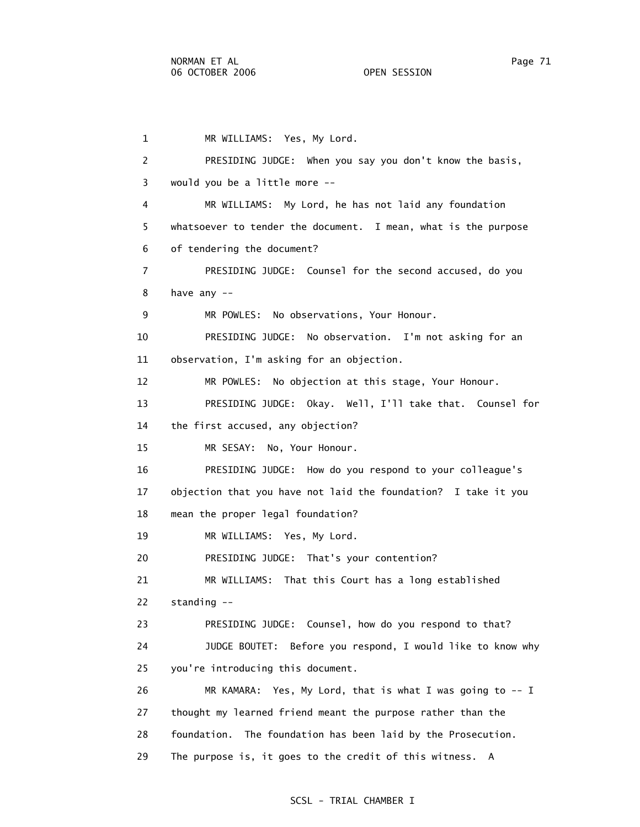1 MR WILLIAMS: Yes, My Lord. 2 PRESIDING JUDGE: When you say you don't know the basis, 3 would you be a little more -- 4 MR WILLIAMS: My Lord, he has not laid any foundation 5 whatsoever to tender the document. I mean, what is the purpose 6 of tendering the document? 7 PRESIDING JUDGE: Counsel for the second accused, do you 8 have any -- 9 MR POWLES: No observations, Your Honour. 10 PRESIDING JUDGE: No observation. I'm not asking for an 11 observation, I'm asking for an objection. 12 MR POWLES: No objection at this stage, Your Honour. 13 PRESIDING JUDGE: Okay. Well, I'll take that. Counsel for 14 the first accused, any objection? 15 MR SESAY: No, Your Honour. 16 PRESIDING JUDGE: How do you respond to your colleague's 17 objection that you have not laid the foundation? I take it you 18 mean the proper legal foundation? 19 MR WILLIAMS: Yes, My Lord. 20 PRESIDING JUDGE: That's your contention? 21 MR WILLIAMS: That this Court has a long established 22 standing -- 23 PRESIDING JUDGE: Counsel, how do you respond to that? 24 JUDGE BOUTET: Before you respond, I would like to know why 25 you're introducing this document. 26 MR KAMARA: Yes, My Lord, that is what I was going to -- I 27 thought my learned friend meant the purpose rather than the 28 foundation. The foundation has been laid by the Prosecution. 29 The purpose is, it goes to the credit of this witness. A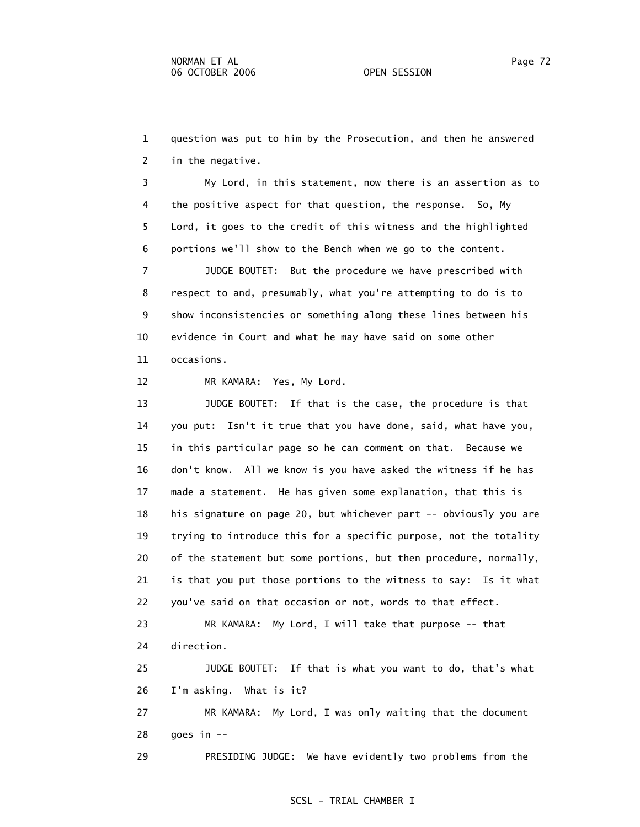1 question was put to him by the Prosecution, and then he answered 2 in the negative.

 3 My Lord, in this statement, now there is an assertion as to 4 the positive aspect for that question, the response. So, My 5 Lord, it goes to the credit of this witness and the highlighted 6 portions we'll show to the Bench when we go to the content.

 7 JUDGE BOUTET: But the procedure we have prescribed with 8 respect to and, presumably, what you're attempting to do is to 9 show inconsistencies or something along these lines between his 10 evidence in Court and what he may have said on some other 11 occasions.

12 MR KAMARA: Yes, My Lord.

 13 JUDGE BOUTET: If that is the case, the procedure is that 14 you put: Isn't it true that you have done, said, what have you, 15 in this particular page so he can comment on that. Because we 16 don't know. All we know is you have asked the witness if he has 17 made a statement. He has given some explanation, that this is 18 his signature on page 20, but whichever part -- obviously you are 19 trying to introduce this for a specific purpose, not the totality 20 of the statement but some portions, but then procedure, normally, 21 is that you put those portions to the witness to say: Is it what 22 you've said on that occasion or not, words to that effect.

 23 MR KAMARA: My Lord, I will take that purpose -- that 24 direction.

 25 JUDGE BOUTET: If that is what you want to do, that's what 26 I'm asking. What is it?

 27 MR KAMARA: My Lord, I was only waiting that the document 28 goes in --

29 PRESIDING JUDGE: We have evidently two problems from the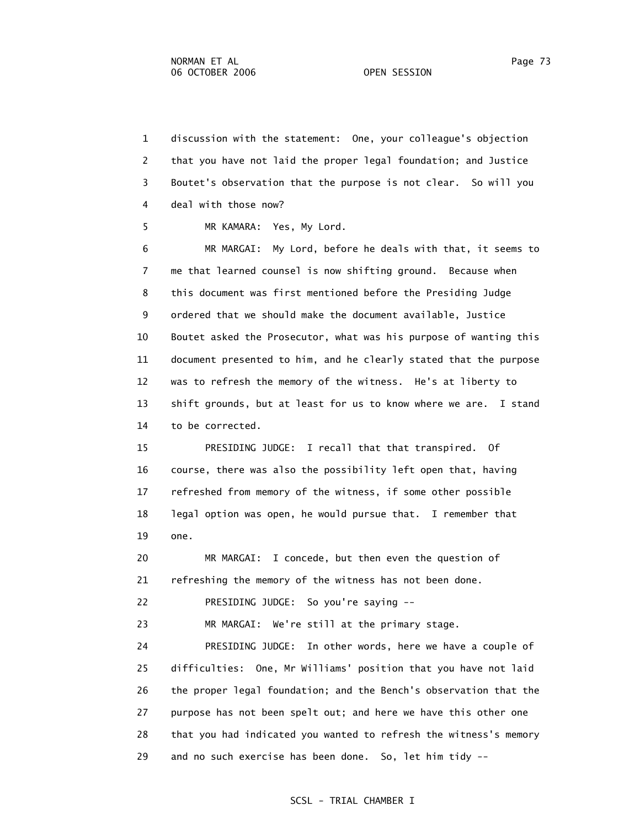1 discussion with the statement: One, your colleague's objection 2 that you have not laid the proper legal foundation; and Justice 3 Boutet's observation that the purpose is not clear. So will you 4 deal with those now?

5 MR KAMARA: Yes, My Lord.

 6 MR MARGAI: My Lord, before he deals with that, it seems to 7 me that learned counsel is now shifting ground. Because when 8 this document was first mentioned before the Presiding Judge 9 ordered that we should make the document available, Justice 10 Boutet asked the Prosecutor, what was his purpose of wanting this 11 document presented to him, and he clearly stated that the purpose 12 was to refresh the memory of the witness. He's at liberty to 13 shift grounds, but at least for us to know where we are. I stand 14 to be corrected.

 15 PRESIDING JUDGE: I recall that that transpired. Of 16 course, there was also the possibility left open that, having 17 refreshed from memory of the witness, if some other possible 18 legal option was open, he would pursue that. I remember that 19 one.

 20 MR MARGAI: I concede, but then even the question of 21 refreshing the memory of the witness has not been done.

22 PRESIDING JUDGE: So you're saying --

23 MR MARGAI: We're still at the primary stage.

 24 PRESIDING JUDGE: In other words, here we have a couple of 25 difficulties: One, Mr Williams' position that you have not laid 26 the proper legal foundation; and the Bench's observation that the 27 purpose has not been spelt out; and here we have this other one 28 that you had indicated you wanted to refresh the witness's memory 29 and no such exercise has been done. So, let him tidy --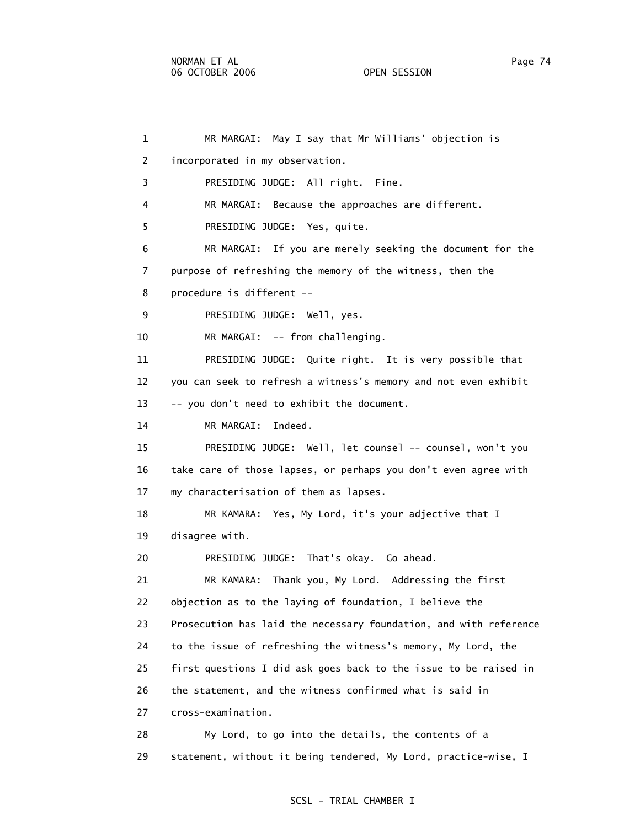1 MR MARGAI: May I say that Mr Williams' objection is 2 incorporated in my observation. 3 PRESIDING JUDGE: All right. Fine. 4 MR MARGAI: Because the approaches are different. 5 PRESIDING JUDGE: Yes, quite. 6 MR MARGAI: If you are merely seeking the document for the 7 purpose of refreshing the memory of the witness, then the 8 procedure is different -- 9 PRESIDING JUDGE: Well, yes. 10 MR MARGAI: -- from challenging. 11 PRESIDING JUDGE: Quite right. It is very possible that 12 you can seek to refresh a witness's memory and not even exhibit 13 -- you don't need to exhibit the document. 14 MR MARGAI: Indeed. 15 PRESIDING JUDGE: Well, let counsel -- counsel, won't you 16 take care of those lapses, or perhaps you don't even agree with 17 my characterisation of them as lapses. 18 MR KAMARA: Yes, My Lord, it's your adjective that I 19 disagree with. 20 PRESIDING JUDGE: That's okay. Go ahead. 21 MR KAMARA: Thank you, My Lord. Addressing the first 22 objection as to the laying of foundation, I believe the 23 Prosecution has laid the necessary foundation, and with reference 24 to the issue of refreshing the witness's memory, My Lord, the 25 first questions I did ask goes back to the issue to be raised in 26 the statement, and the witness confirmed what is said in 27 cross-examination. 28 My Lord, to go into the details, the contents of a 29 statement, without it being tendered, My Lord, practice-wise, I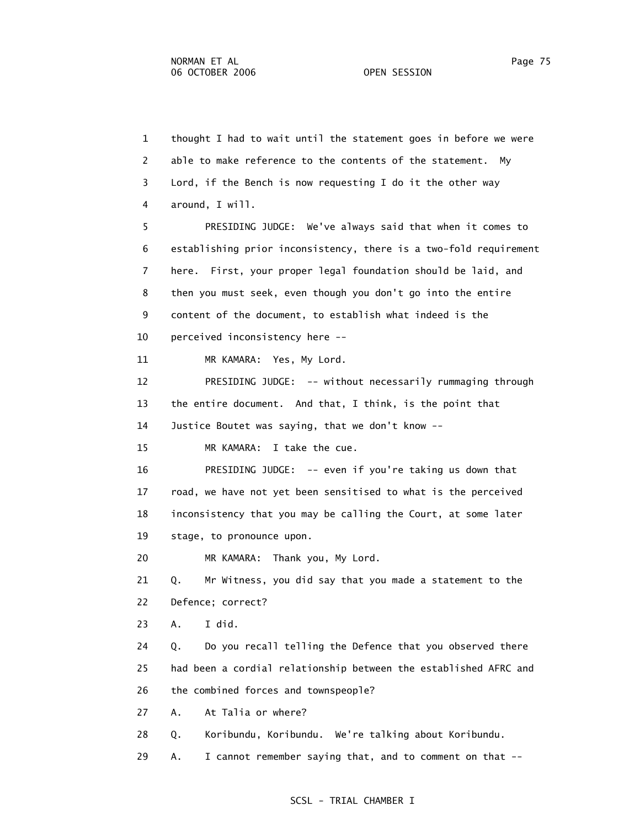1 thought I had to wait until the statement goes in before we were 2 able to make reference to the contents of the statement. My 3 Lord, if the Bench is now requesting I do it the other way 4 around, I will. 5 PRESIDING JUDGE: We've always said that when it comes to 6 establishing prior inconsistency, there is a two-fold requirement 7 here. First, your proper legal foundation should be laid, and 8 then you must seek, even though you don't go into the entire 9 content of the document, to establish what indeed is the 10 perceived inconsistency here -- 11 MR KAMARA: Yes, My Lord. 12 PRESIDING JUDGE: -- without necessarily rummaging through 13 the entire document. And that, I think, is the point that 14 Justice Boutet was saying, that we don't know -- 15 MR KAMARA: I take the cue. 16 PRESIDING JUDGE: -- even if you're taking us down that 17 road, we have not yet been sensitised to what is the perceived 18 inconsistency that you may be calling the Court, at some later 19 stage, to pronounce upon. 20 MR KAMARA: Thank you, My Lord. 21 Q. Mr Witness, you did say that you made a statement to the 22 Defence; correct? 23 A. I did. 24 Q. Do you recall telling the Defence that you observed there 25 had been a cordial relationship between the established AFRC and 26 the combined forces and townspeople? 27 A. At Talia or where? 28 Q. Koribundu, Koribundu. We're talking about Koribundu. 29 A. I cannot remember saying that, and to comment on that --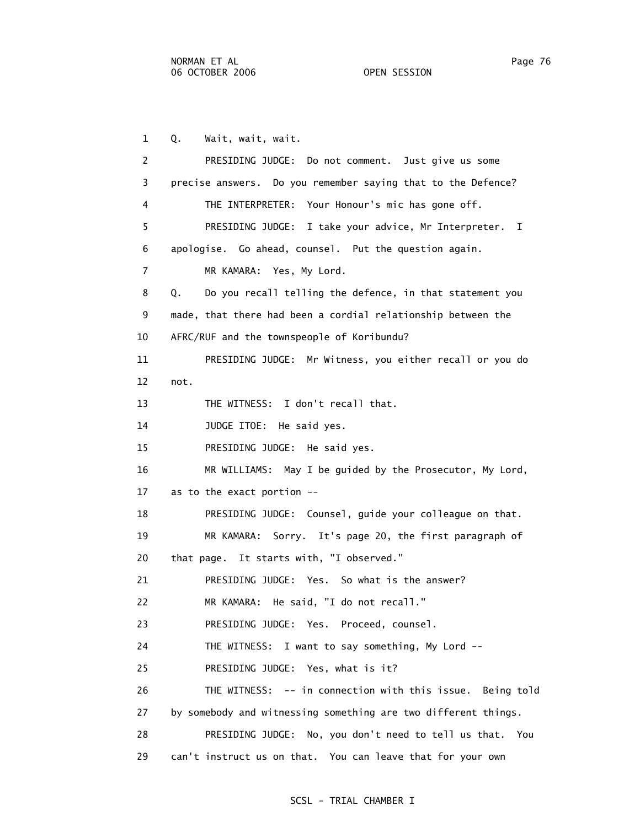1 Q. Wait, wait, wait. 2 PRESIDING JUDGE: Do not comment. Just give us some 3 precise answers. Do you remember saying that to the Defence? 4 THE INTERPRETER: Your Honour's mic has gone off. 5 PRESIDING JUDGE: I take your advice, Mr Interpreter. I 6 apologise. Go ahead, counsel. Put the question again. 7 MR KAMARA: Yes, My Lord. 8 Q. Do you recall telling the defence, in that statement you 9 made, that there had been a cordial relationship between the 10 AFRC/RUF and the townspeople of Koribundu? 11 PRESIDING JUDGE: Mr Witness, you either recall or you do 12 not. 13 THE WITNESS: I don't recall that. 14 JUDGE ITOE: He said yes. 15 PRESIDING JUDGE: He said yes. 16 MR WILLIAMS: May I be guided by the Prosecutor, My Lord, 17 as to the exact portion -- 18 PRESIDING JUDGE: Counsel, guide your colleague on that. 19 MR KAMARA: Sorry. It's page 20, the first paragraph of 20 that page. It starts with, "I observed." 21 PRESIDING JUDGE: Yes. So what is the answer? 22 MR KAMARA: He said, "I do not recall." 23 PRESIDING JUDGE: Yes. Proceed, counsel. 24 THE WITNESS: I want to say something, My Lord -- 25 PRESIDING JUDGE: Yes, what is it? 26 THE WITNESS: -- in connection with this issue. Being told 27 by somebody and witnessing something are two different things. 28 PRESIDING JUDGE: No, you don't need to tell us that. You 29 can't instruct us on that. You can leave that for your own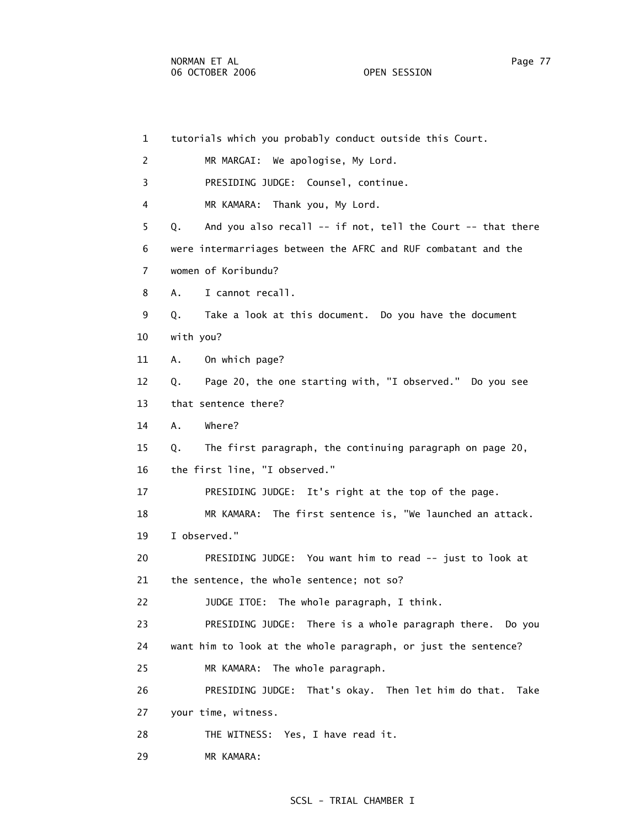1 tutorials which you probably conduct outside this Court. 2 MR MARGAI: We apologise, My Lord. 3 PRESIDING JUDGE: Counsel, continue. 4 MR KAMARA: Thank you, My Lord. 5 Q. And you also recall -- if not, tell the Court -- that there 6 were intermarriages between the AFRC and RUF combatant and the 7 women of Koribundu? 8 A. I cannot recall. 9 Q. Take a look at this document. Do you have the document 10 with you? 11 A. On which page? 12 Q. Page 20, the one starting with, "I observed." Do you see 13 that sentence there? 14 A. Where? 15 Q. The first paragraph, the continuing paragraph on page 20, 16 the first line, "I observed." 17 PRESIDING JUDGE: It's right at the top of the page. 18 MR KAMARA: The first sentence is, "We launched an attack. 19 I observed." 20 PRESIDING JUDGE: You want him to read -- just to look at 21 the sentence, the whole sentence; not so? 22 JUDGE ITOE: The whole paragraph, I think. 23 PRESIDING JUDGE: There is a whole paragraph there. Do you 24 want him to look at the whole paragraph, or just the sentence? 25 MR KAMARA: The whole paragraph. 26 PRESIDING JUDGE: That's okay. Then let him do that. Take 27 your time, witness. 28 THE WITNESS: Yes, I have read it.

29 MR KAMARA: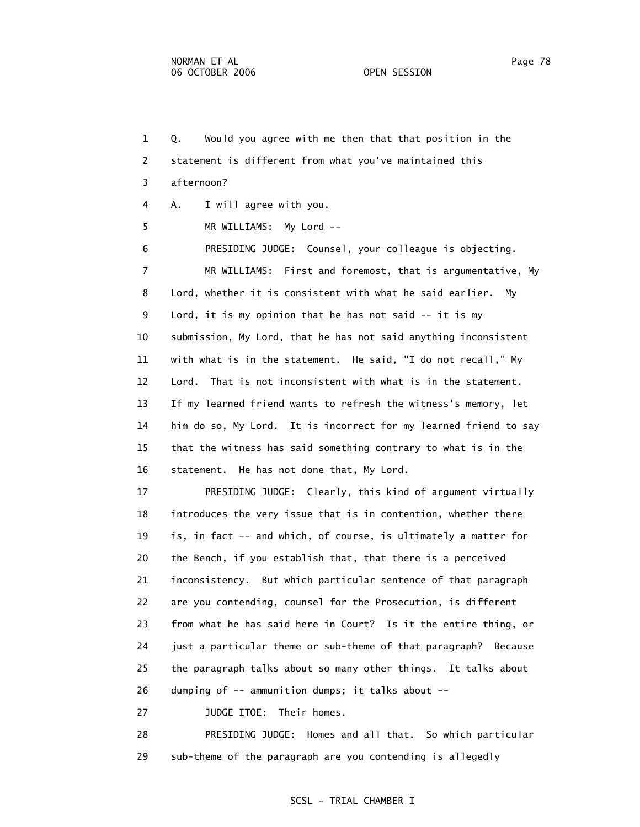1 Q. Would you agree with me then that that position in the 2 statement is different from what you've maintained this 3 afternoon? 4 A. I will agree with you. 5 MR WILLIAMS: My Lord -- 6 PRESIDING JUDGE: Counsel, your colleague is objecting. 7 MR WILLIAMS: First and foremost, that is argumentative, My 8 Lord, whether it is consistent with what he said earlier. My 9 Lord, it is my opinion that he has not said -- it is my 10 submission, My Lord, that he has not said anything inconsistent 11 with what is in the statement. He said, "I do not recall," My 12 Lord. That is not inconsistent with what is in the statement. 13 If my learned friend wants to refresh the witness's memory, let 14 him do so, My Lord. It is incorrect for my learned friend to say 15 that the witness has said something contrary to what is in the 16 statement. He has not done that, My Lord. 17 PRESIDING JUDGE: Clearly, this kind of argument virtually 18 introduces the very issue that is in contention, whether there 19 is, in fact -- and which, of course, is ultimately a matter for 20 the Bench, if you establish that, that there is a perceived 21 inconsistency. But which particular sentence of that paragraph 22 are you contending, counsel for the Prosecution, is different 23 from what he has said here in Court? Is it the entire thing, or 24 just a particular theme or sub-theme of that paragraph? Because 25 the paragraph talks about so many other things. It talks about 26 dumping of -- ammunition dumps; it talks about -- 27 JUDGE ITOE: Their homes.

 28 PRESIDING JUDGE: Homes and all that. So which particular 29 sub-theme of the paragraph are you contending is allegedly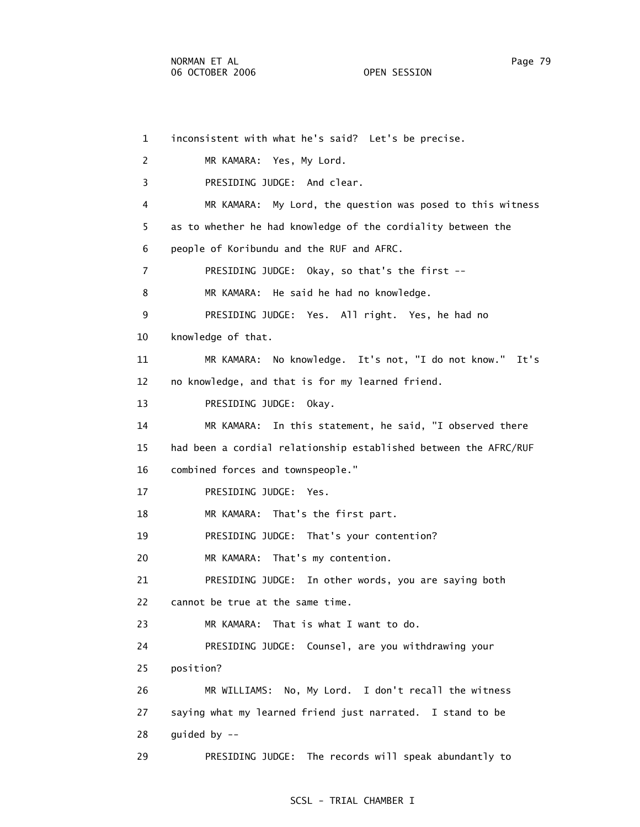1 inconsistent with what he's said? Let's be precise. 2 MR KAMARA: Yes, My Lord. 3 PRESIDING JUDGE: And clear. 4 MR KAMARA: My Lord, the question was posed to this witness 5 as to whether he had knowledge of the cordiality between the 6 people of Koribundu and the RUF and AFRC. 7 PRESIDING JUDGE: Okay, so that's the first -- 8 MR KAMARA: He said he had no knowledge. 9 PRESIDING JUDGE: Yes. All right. Yes, he had no 10 knowledge of that. 11 MR KAMARA: No knowledge. It's not, "I do not know." It's 12 no knowledge, and that is for my learned friend. 13 PRESIDING JUDGE: Okay. 14 MR KAMARA: In this statement, he said, "I observed there 15 had been a cordial relationship established between the AFRC/RUF 16 combined forces and townspeople." 17 PRESIDING JUDGE: Yes. 18 MR KAMARA: That's the first part. 19 PRESIDING JUDGE: That's your contention? 20 MR KAMARA: That's my contention. 21 PRESIDING JUDGE: In other words, you are saying both 22 cannot be true at the same time. 23 MR KAMARA: That is what I want to do. 24 PRESIDING JUDGE: Counsel, are you withdrawing your 25 position? 26 MR WILLIAMS: No, My Lord. I don't recall the witness 27 saying what my learned friend just narrated. I stand to be 28 guided by -- 29 PRESIDING JUDGE: The records will speak abundantly to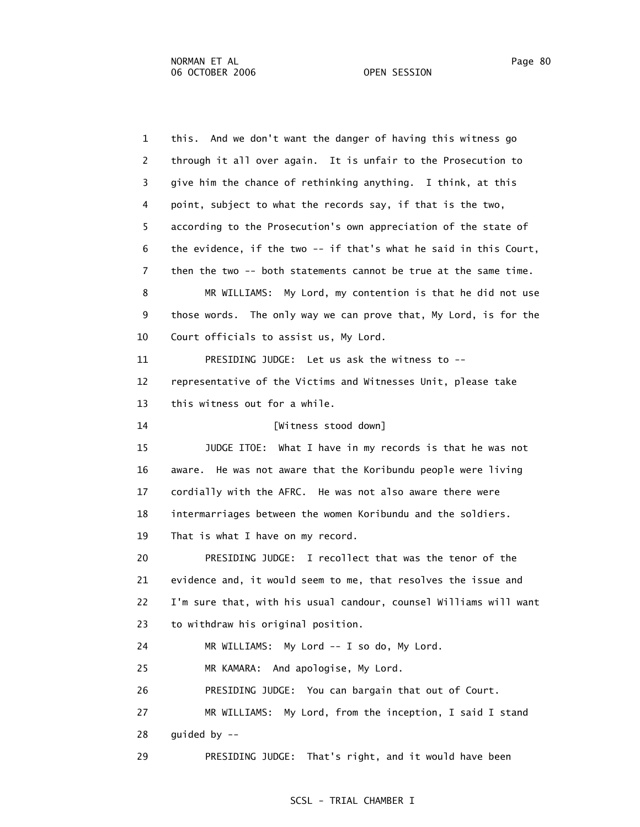1 this. And we don't want the danger of having this witness go 2 through it all over again. It is unfair to the Prosecution to 3 give him the chance of rethinking anything. I think, at this 4 point, subject to what the records say, if that is the two, 5 according to the Prosecution's own appreciation of the state of 6 the evidence, if the two -- if that's what he said in this Court, 7 then the two -- both statements cannot be true at the same time. 8 MR WILLIAMS: My Lord, my contention is that he did not use 9 those words. The only way we can prove that, My Lord, is for the 10 Court officials to assist us, My Lord. 11 PRESIDING JUDGE: Let us ask the witness to -- 12 representative of the Victims and Witnesses Unit, please take 13 this witness out for a while. 14 [Witness stood down] 15 JUDGE ITOE: What I have in my records is that he was not 16 aware. He was not aware that the Koribundu people were living 17 cordially with the AFRC. He was not also aware there were 18 intermarriages between the women Koribundu and the soldiers. 19 That is what I have on my record. 20 PRESIDING JUDGE: I recollect that was the tenor of the 21 evidence and, it would seem to me, that resolves the issue and 22 I'm sure that, with his usual candour, counsel Williams will want 23 to withdraw his original position. 24 MR WILLIAMS: My Lord -- I so do, My Lord. 25 MR KAMARA: And apologise, My Lord. 26 PRESIDING JUDGE: You can bargain that out of Court. 27 MR WILLIAMS: My Lord, from the inception, I said I stand 28 guided by -- 29 PRESIDING JUDGE: That's right, and it would have been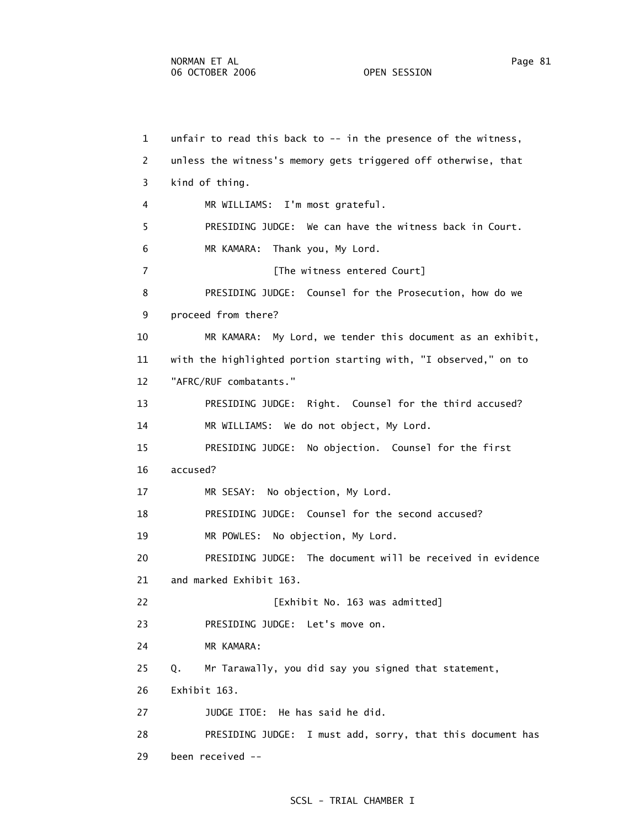1 unfair to read this back to -- in the presence of the witness, 2 unless the witness's memory gets triggered off otherwise, that 3 kind of thing. 4 MR WILLIAMS: I'm most grateful. 5 PRESIDING JUDGE: We can have the witness back in Court. 6 MR KAMARA: Thank you, My Lord. 7 **Fig. 2** [The witness entered Court] 8 PRESIDING JUDGE: Counsel for the Prosecution, how do we 9 proceed from there? 10 MR KAMARA: My Lord, we tender this document as an exhibit, 11 with the highlighted portion starting with, "I observed," on to 12 "AFRC/RUF combatants." 13 PRESIDING JUDGE: Right. Counsel for the third accused? 14 MR WILLIAMS: We do not object, My Lord. 15 PRESIDING JUDGE: No objection. Counsel for the first 16 accused? 17 MR SESAY: No objection, My Lord. 18 PRESIDING JUDGE: Counsel for the second accused? 19 MR POWLES: No objection, My Lord. 20 PRESIDING JUDGE: The document will be received in evidence 21 and marked Exhibit 163. 22 [Exhibit No. 163 was admitted] 23 PRESIDING JUDGE: Let's move on. 24 MR KAMARA: 25 Q. Mr Tarawally, you did say you signed that statement, 26 Exhibit 163. 27 JUDGE ITOE: He has said he did. 28 PRESIDING JUDGE: I must add, sorry, that this document has 29 been received --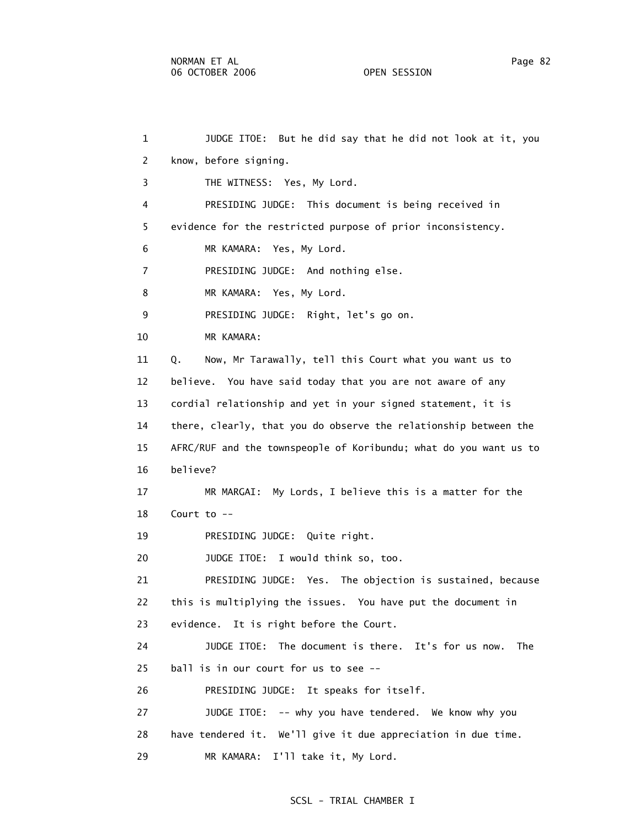1 JUDGE ITOE: But he did say that he did not look at it, you 2 know, before signing. 3 THE WITNESS: Yes, My Lord. 4 PRESIDING JUDGE: This document is being received in 5 evidence for the restricted purpose of prior inconsistency. 6 MR KAMARA: Yes, My Lord. 7 PRESIDING JUDGE: And nothing else. 8 MR KAMARA: Yes, My Lord. 9 PRESIDING JUDGE: Right, let's go on. 10 MR KAMARA: 11 Q. Now, Mr Tarawally, tell this Court what you want us to 12 believe. You have said today that you are not aware of any 13 cordial relationship and yet in your signed statement, it is 14 there, clearly, that you do observe the relationship between the 15 AFRC/RUF and the townspeople of Koribundu; what do you want us to 16 believe? 17 MR MARGAI: My Lords, I believe this is a matter for the 18 Court to -- 19 PRESIDING JUDGE: Quite right. 20 JUDGE ITOE: I would think so, too. 21 PRESIDING JUDGE: Yes. The objection is sustained, because 22 this is multiplying the issues. You have put the document in 23 evidence. It is right before the Court. 24 JUDGE ITOE: The document is there. It's for us now. The 25 ball is in our court for us to see -- 26 PRESIDING JUDGE: It speaks for itself. 27 JUDGE ITOE: -- why you have tendered. We know why you 28 have tendered it. We'll give it due appreciation in due time. 29 MR KAMARA: I'll take it, My Lord.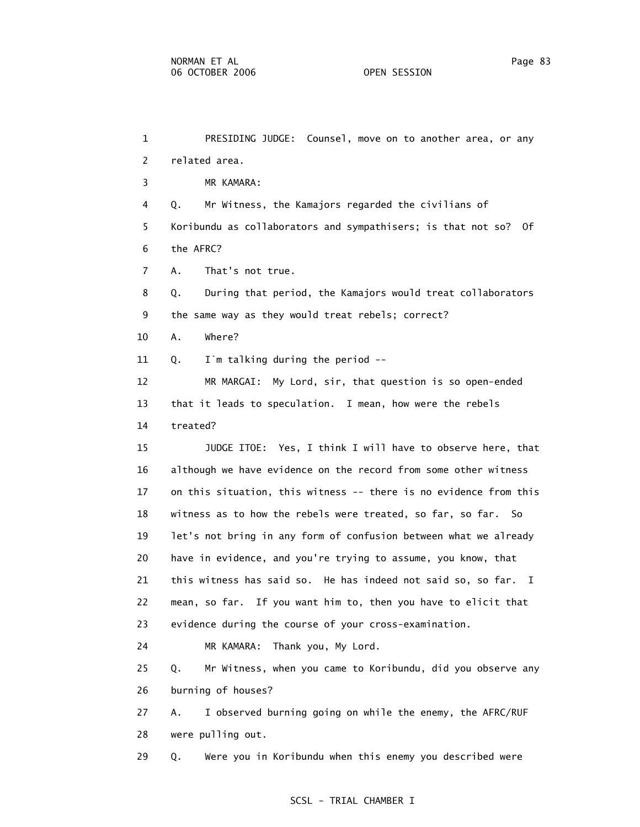1 PRESIDING JUDGE: Counsel, move on to another area, or any 2 related area. 3 MR KAMARA: 4 Q. Mr Witness, the Kamajors regarded the civilians of 5 Koribundu as collaborators and sympathisers; is that not so? Of 6 the AFRC? 7 A. That's not true. 8 Q. During that period, the Kamajors would treat collaborators 9 the same way as they would treat rebels; correct? 10 A. Where? 11 Q. I`m talking during the period -- 12 MR MARGAI: My Lord, sir, that question is so open-ended 13 that it leads to speculation. I mean, how were the rebels 14 treated? 15 JUDGE ITOE: Yes, I think I will have to observe here, that 16 although we have evidence on the record from some other witness 17 on this situation, this witness -- there is no evidence from this 18 witness as to how the rebels were treated, so far, so far. So 19 let's not bring in any form of confusion between what we already 20 have in evidence, and you're trying to assume, you know, that 21 this witness has said so. He has indeed not said so, so far. I 22 mean, so far. If you want him to, then you have to elicit that 23 evidence during the course of your cross-examination. 24 MR KAMARA: Thank you, My Lord. 25 Q. Mr Witness, when you came to Koribundu, did you observe any 26 burning of houses? 27 A. I observed burning going on while the enemy, the AFRC/RUF 28 were pulling out. 29 Q. Were you in Koribundu when this enemy you described were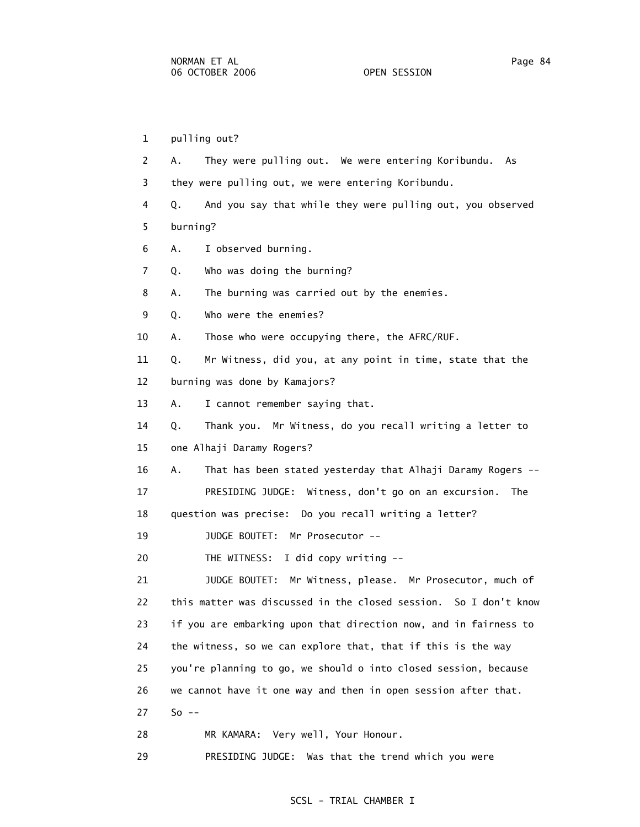1 pulling out? 2 A. They were pulling out. We were entering Koribundu. As 3 they were pulling out, we were entering Koribundu. 4 Q. And you say that while they were pulling out, you observed 5 burning? 6 A. I observed burning. 7 Q. Who was doing the burning? 8 A. The burning was carried out by the enemies. 9 Q. Who were the enemies? 10 A. Those who were occupying there, the AFRC/RUF. 11 Q. Mr Witness, did you, at any point in time, state that the 12 burning was done by Kamajors? 13 A. I cannot remember saying that. 14 Q. Thank you. Mr Witness, do you recall writing a letter to 15 one Alhaji Daramy Rogers? 16 A. That has been stated yesterday that Alhaji Daramy Rogers -- 17 PRESIDING JUDGE: Witness, don't go on an excursion. The 18 question was precise: Do you recall writing a letter? 19 JUDGE BOUTET: Mr Prosecutor -- 20 THE WITNESS: I did copy writing -- 21 JUDGE BOUTET: Mr Witness, please. Mr Prosecutor, much of 22 this matter was discussed in the closed session. So I don't know 23 if you are embarking upon that direction now, and in fairness to 24 the witness, so we can explore that, that if this is the way 25 you're planning to go, we should o into closed session, because 26 we cannot have it one way and then in open session after that. 27 So -- 28 MR KAMARA: Very well, Your Honour.

29 PRESIDING JUDGE: Was that the trend which you were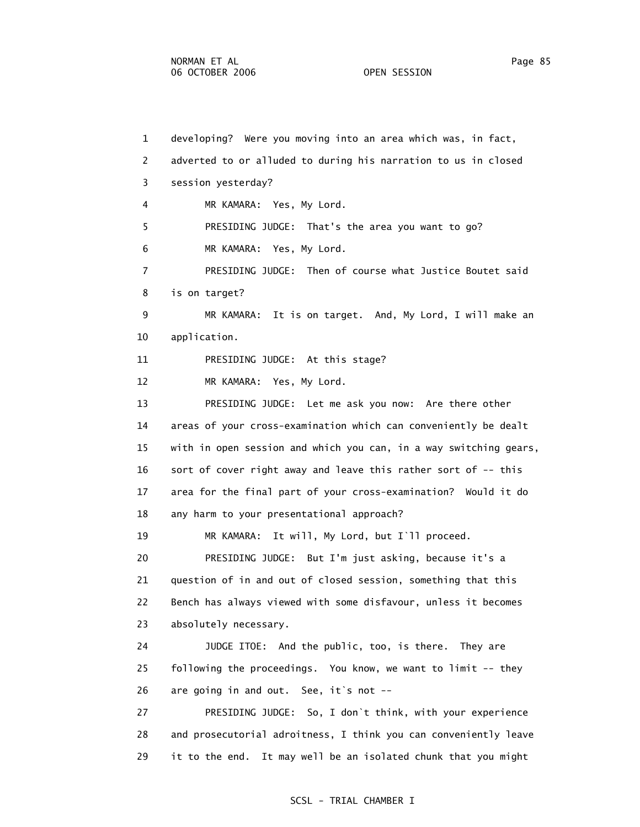1 developing? Were you moving into an area which was, in fact, 2 adverted to or alluded to during his narration to us in closed 3 session yesterday? 4 MR KAMARA: Yes, My Lord. 5 PRESIDING JUDGE: That's the area you want to go? 6 MR KAMARA: Yes, My Lord. 7 PRESIDING JUDGE: Then of course what Justice Boutet said 8 is on target? 9 MR KAMARA: It is on target. And, My Lord, I will make an 10 application. 11 PRESIDING JUDGE: At this stage? 12 MR KAMARA: Yes, My Lord. 13 PRESIDING JUDGE: Let me ask you now: Are there other 14 areas of your cross-examination which can conveniently be dealt 15 with in open session and which you can, in a way switching gears, 16 sort of cover right away and leave this rather sort of -- this 17 area for the final part of your cross-examination? Would it do 18 any harm to your presentational approach? 19 MR KAMARA: It will, My Lord, but I`ll proceed. 20 PRESIDING JUDGE: But I'm just asking, because it's a 21 question of in and out of closed session, something that this 22 Bench has always viewed with some disfavour, unless it becomes 23 absolutely necessary. 24 JUDGE ITOE: And the public, too, is there. They are 25 following the proceedings. You know, we want to limit -- they 26 are going in and out. See, it's not -- 27 PRESIDING JUDGE: So, I don`t think, with your experience 28 and prosecutorial adroitness, I think you can conveniently leave 29 it to the end. It may well be an isolated chunk that you might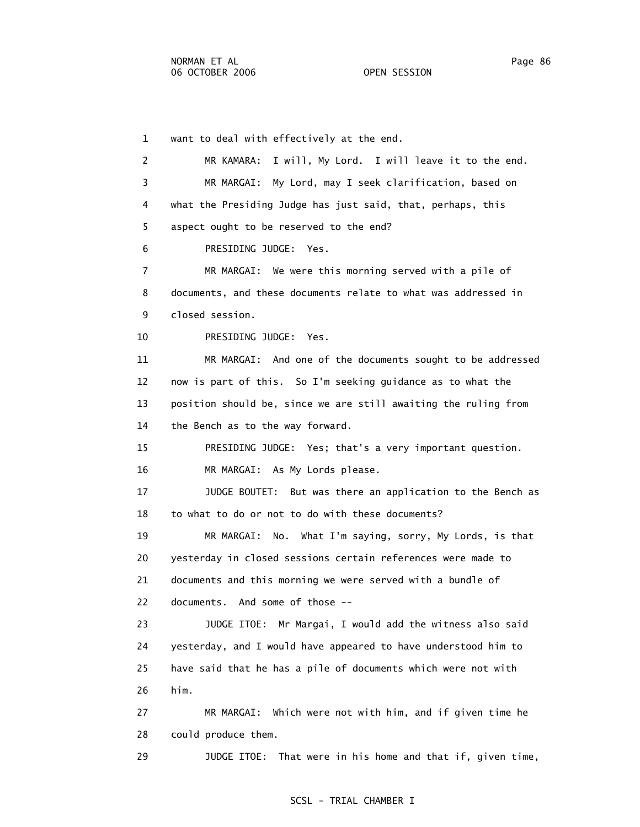1 want to deal with effectively at the end. 2 MR KAMARA: I will, My Lord. I will leave it to the end. 3 MR MARGAI: My Lord, may I seek clarification, based on 4 what the Presiding Judge has just said, that, perhaps, this 5 aspect ought to be reserved to the end? 6 PRESIDING JUDGE: Yes. 7 MR MARGAI: We were this morning served with a pile of 8 documents, and these documents relate to what was addressed in 9 closed session. 10 PRESIDING JUDGE: Yes. 11 MR MARGAI: And one of the documents sought to be addressed 12 now is part of this. So I'm seeking guidance as to what the 13 position should be, since we are still awaiting the ruling from 14 the Bench as to the way forward. 15 PRESIDING JUDGE: Yes; that's a very important question. 16 MR MARGAI: As My Lords please. 17 JUDGE BOUTET: But was there an application to the Bench as 18 to what to do or not to do with these documents? 19 MR MARGAI: No. What I'm saying, sorry, My Lords, is that 20 yesterday in closed sessions certain references were made to 21 documents and this morning we were served with a bundle of 22 documents. And some of those -- 23 JUDGE ITOE: Mr Margai, I would add the witness also said 24 yesterday, and I would have appeared to have understood him to 25 have said that he has a pile of documents which were not with 26 him. 27 MR MARGAI: Which were not with him, and if given time he 28 could produce them.

29 JUDGE ITOE: That were in his home and that if, given time,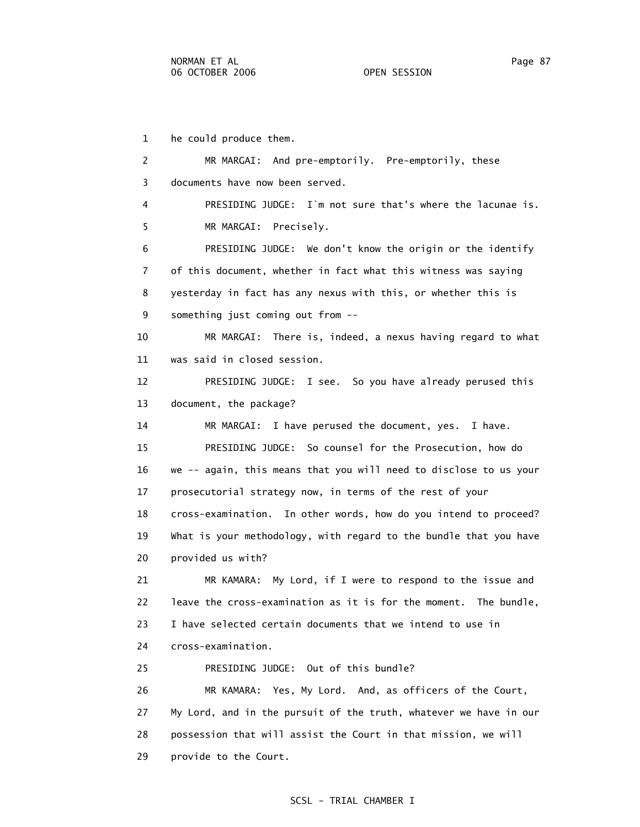1 he could produce them. 2 MR MARGAI: And pre-emptorily. Pre-emptorily, these 3 documents have now been served. 4 PRESIDING JUDGE: I`m not sure that's where the lacunae is. 5 MR MARGAI: Precisely. 6 PRESIDING JUDGE: We don't know the origin or the identify 7 of this document, whether in fact what this witness was saying 8 yesterday in fact has any nexus with this, or whether this is 9 something just coming out from -- 10 MR MARGAI: There is, indeed, a nexus having regard to what 11 was said in closed session. 12 PRESIDING JUDGE: I see. So you have already perused this 13 document, the package? 14 MR MARGAI: I have perused the document, yes. I have. 15 PRESIDING JUDGE: So counsel for the Prosecution, how do 16 we -- again, this means that you will need to disclose to us your 17 prosecutorial strategy now, in terms of the rest of your 18 cross-examination. In other words, how do you intend to proceed? 19 What is your methodology, with regard to the bundle that you have 20 provided us with? 21 MR KAMARA: My Lord, if I were to respond to the issue and 22 leave the cross-examination as it is for the moment. The bundle, 23 I have selected certain documents that we intend to use in 24 cross-examination. 25 PRESIDING JUDGE: Out of this bundle? 26 MR KAMARA: Yes, My Lord. And, as officers of the Court, 27 My Lord, and in the pursuit of the truth, whatever we have in our 28 possession that will assist the Court in that mission, we will 29 provide to the Court.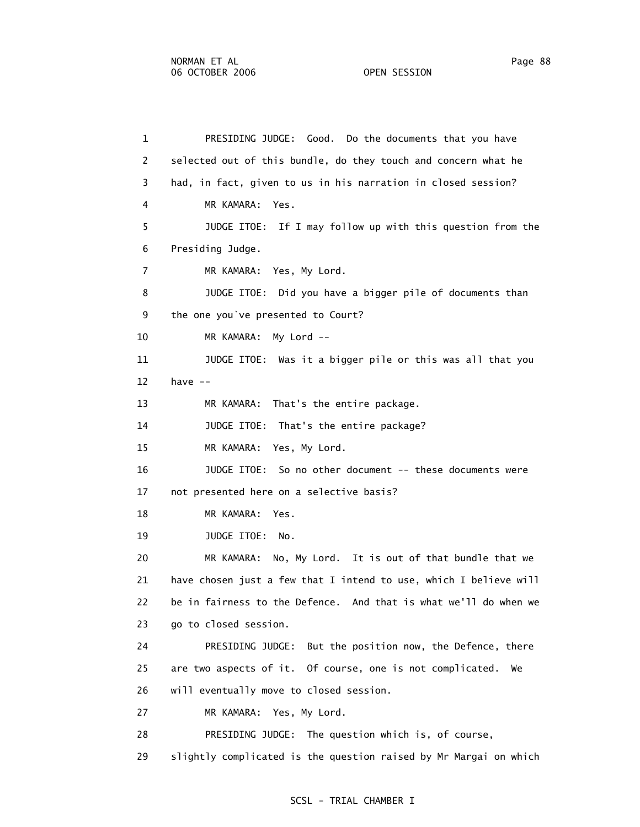1 PRESIDING JUDGE: Good. Do the documents that you have 2 selected out of this bundle, do they touch and concern what he 3 had, in fact, given to us in his narration in closed session? 4 MR KAMARA: Yes. 5 JUDGE ITOE: If I may follow up with this question from the 6 Presiding Judge. 7 MR KAMARA: Yes, My Lord. 8 JUDGE ITOE: Did you have a bigger pile of documents than 9 the one you`ve presented to Court? 10 MR KAMARA: My Lord -- 11 JUDGE ITOE: Was it a bigger pile or this was all that you 12 have -- 13 MR KAMARA: That's the entire package. 14 JUDGE ITOE: That's the entire package? 15 MR KAMARA: Yes, My Lord. 16 JUDGE ITOE: So no other document -- these documents were 17 not presented here on a selective basis? 18 MR KAMARA: Yes. 19 JUDGE ITOE: No. 20 MR KAMARA: No, My Lord. It is out of that bundle that we 21 have chosen just a few that I intend to use, which I believe will 22 be in fairness to the Defence. And that is what we'll do when we 23 go to closed session. 24 PRESIDING JUDGE: But the position now, the Defence, there 25 are two aspects of it. Of course, one is not complicated. We 26 will eventually move to closed session. 27 MR KAMARA: Yes, My Lord. 28 PRESIDING JUDGE: The question which is, of course, 29 slightly complicated is the question raised by Mr Margai on which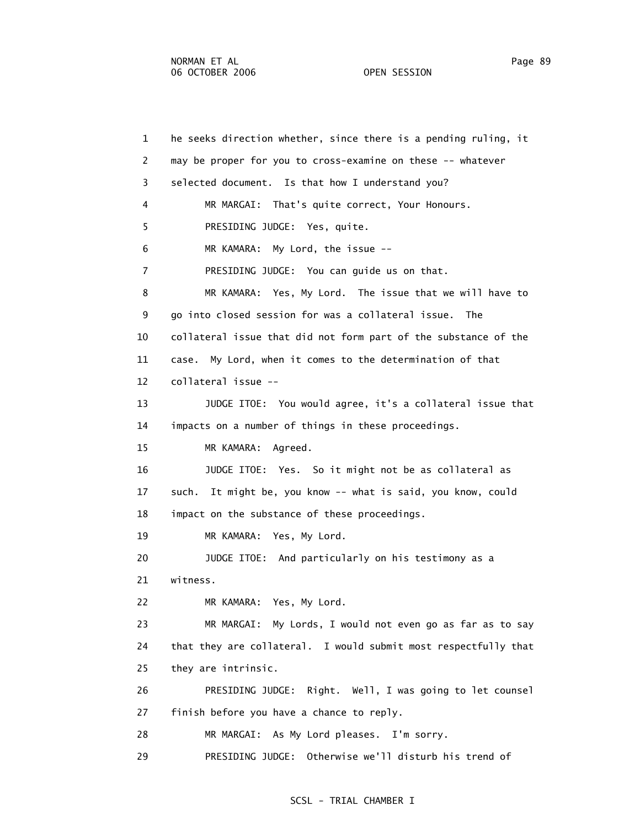1 he seeks direction whether, since there is a pending ruling, it 2 may be proper for you to cross-examine on these -- whatever 3 selected document. Is that how I understand you? 4 MR MARGAI: That's quite correct, Your Honours. 5 PRESIDING JUDGE: Yes, quite. 6 MR KAMARA: My Lord, the issue -- 7 PRESIDING JUDGE: You can guide us on that. 8 MR KAMARA: Yes, My Lord. The issue that we will have to 9 go into closed session for was a collateral issue. The 10 collateral issue that did not form part of the substance of the 11 case. My Lord, when it comes to the determination of that 12 collateral issue -- 13 JUDGE ITOE: You would agree, it's a collateral issue that 14 impacts on a number of things in these proceedings. 15 MR KAMARA: Agreed. 16 JUDGE ITOE: Yes. So it might not be as collateral as 17 such. It might be, you know -- what is said, you know, could 18 impact on the substance of these proceedings. 19 MR KAMARA: Yes, My Lord. 20 JUDGE ITOE: And particularly on his testimony as a 21 witness. 22 MR KAMARA: Yes, My Lord. 23 MR MARGAI: My Lords, I would not even go as far as to say 24 that they are collateral. I would submit most respectfully that 25 they are intrinsic. 26 PRESIDING JUDGE: Right. Well, I was going to let counsel 27 finish before you have a chance to reply. 28 MR MARGAI: As My Lord pleases. I'm sorry. 29 PRESIDING JUDGE: Otherwise we'll disturb his trend of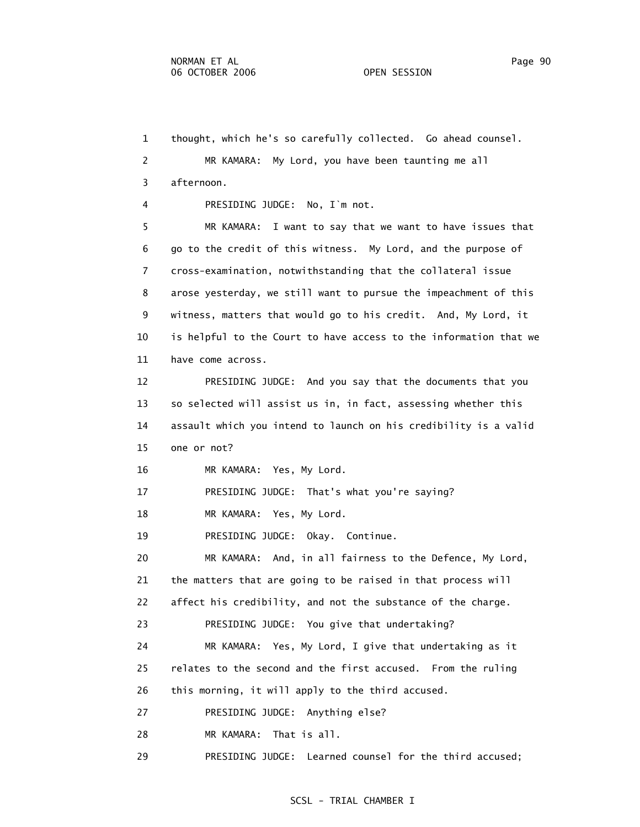1 thought, which he's so carefully collected. Go ahead counsel. 2 MR KAMARA: My Lord, you have been taunting me all 3 afternoon. 4 PRESIDING JUDGE: No, I`m not. 5 MR KAMARA: I want to say that we want to have issues that 6 go to the credit of this witness. My Lord, and the purpose of 7 cross-examination, notwithstanding that the collateral issue 8 arose yesterday, we still want to pursue the impeachment of this 9 witness, matters that would go to his credit. And, My Lord, it 10 is helpful to the Court to have access to the information that we 11 have come across. 12 PRESIDING JUDGE: And you say that the documents that you 13 so selected will assist us in, in fact, assessing whether this 14 assault which you intend to launch on his credibility is a valid 15 one or not? 16 MR KAMARA: Yes, My Lord. 17 PRESIDING JUDGE: That's what you're saying? 18 MR KAMARA: Yes, My Lord. 19 PRESIDING JUDGE: Okay. Continue. 20 MR KAMARA: And, in all fairness to the Defence, My Lord, 21 the matters that are going to be raised in that process will 22 affect his credibility, and not the substance of the charge. 23 PRESIDING JUDGE: You give that undertaking? 24 MR KAMARA: Yes, My Lord, I give that undertaking as it 25 relates to the second and the first accused. From the ruling 26 this morning, it will apply to the third accused. 27 PRESIDING JUDGE: Anything else? 28 MR KAMARA: That is all. 29 PRESIDING JUDGE: Learned counsel for the third accused;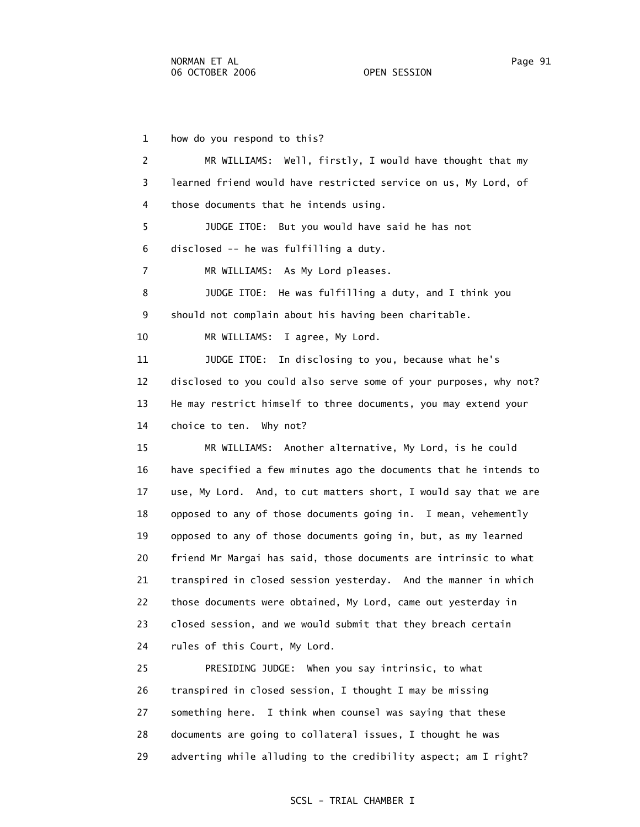1 how do you respond to this? 2 MR WILLIAMS: Well, firstly, I would have thought that my 3 learned friend would have restricted service on us, My Lord, of 4 those documents that he intends using. 5 JUDGE ITOE: But you would have said he has not 6 disclosed -- he was fulfilling a duty. 7 MR WILLIAMS: As My Lord pleases. 8 JUDGE ITOE: He was fulfilling a duty, and I think you 9 should not complain about his having been charitable. 10 MR WILLIAMS: I agree, My Lord. 11 JUDGE ITOE: In disclosing to you, because what he's 12 disclosed to you could also serve some of your purposes, why not? 13 He may restrict himself to three documents, you may extend your 14 choice to ten. Why not? 15 MR WILLIAMS: Another alternative, My Lord, is he could 16 have specified a few minutes ago the documents that he intends to 17 use, My Lord. And, to cut matters short, I would say that we are 18 opposed to any of those documents going in. I mean, vehemently 19 opposed to any of those documents going in, but, as my learned 20 friend Mr Margai has said, those documents are intrinsic to what 21 transpired in closed session yesterday. And the manner in which 22 those documents were obtained, My Lord, came out yesterday in 23 closed session, and we would submit that they breach certain 24 rules of this Court, My Lord. 25 PRESIDING JUDGE: When you say intrinsic, to what 26 transpired in closed session, I thought I may be missing

 27 something here. I think when counsel was saying that these 28 documents are going to collateral issues, I thought he was

29 adverting while alluding to the credibility aspect; am I right?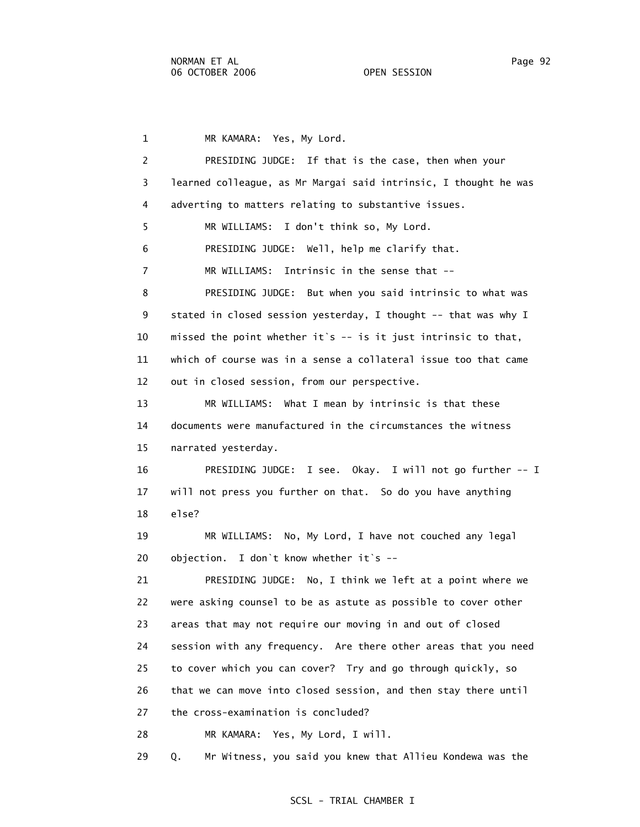1 MR KAMARA: Yes, My Lord. 2 PRESIDING JUDGE: If that is the case, then when your 3 learned colleague, as Mr Margai said intrinsic, I thought he was 4 adverting to matters relating to substantive issues. 5 MR WILLIAMS: I don't think so, My Lord. 6 PRESIDING JUDGE: Well, help me clarify that. 7 MR WILLIAMS: Intrinsic in the sense that -- 8 PRESIDING JUDGE: But when you said intrinsic to what was 9 stated in closed session yesterday, I thought -- that was why I 10 missed the point whether it`s -- is it just intrinsic to that, 11 which of course was in a sense a collateral issue too that came 12 out in closed session, from our perspective. 13 MR WILLIAMS: What I mean by intrinsic is that these 14 documents were manufactured in the circumstances the witness 15 narrated yesterday. 16 PRESIDING JUDGE: I see. Okay. I will not go further -- I 17 will not press you further on that. So do you have anything 18 else? 19 MR WILLIAMS: No, My Lord, I have not couched any legal 20 objection. I don`t know whether it`s -- 21 PRESIDING JUDGE: No, I think we left at a point where we 22 were asking counsel to be as astute as possible to cover other 23 areas that may not require our moving in and out of closed 24 session with any frequency. Are there other areas that you need 25 to cover which you can cover? Try and go through quickly, so 26 that we can move into closed session, and then stay there until 27 the cross-examination is concluded? 28 MR KAMARA: Yes, My Lord, I will. 29 Q. Mr Witness, you said you knew that Allieu Kondewa was the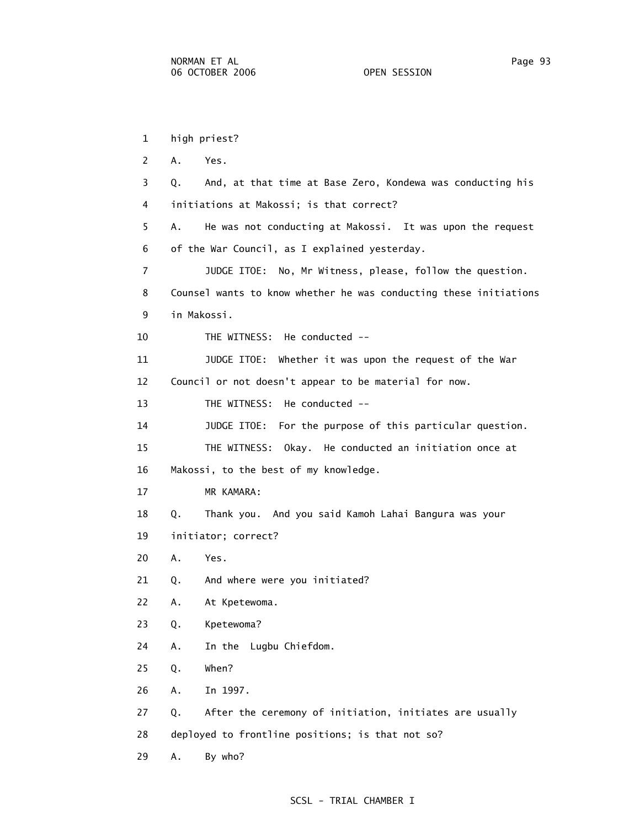1 high priest? 2 A. Yes. 3 Q. And, at that time at Base Zero, Kondewa was conducting his 4 initiations at Makossi; is that correct? 5 A. He was not conducting at Makossi. It was upon the request 6 of the War Council, as I explained yesterday. 7 JUDGE ITOE: No, Mr Witness, please, follow the question. 8 Counsel wants to know whether he was conducting these initiations 9 in Makossi. 10 THE WITNESS: He conducted -- 11 JUDGE ITOE: Whether it was upon the request of the War 12 Council or not doesn't appear to be material for now. 13 THE WITNESS: He conducted -- 14 JUDGE ITOE: For the purpose of this particular question. 15 THE WITNESS: Okay. He conducted an initiation once at 16 Makossi, to the best of my knowledge. 17 MR KAMARA: 18 Q. Thank you. And you said Kamoh Lahai Bangura was your 19 initiator; correct? 20 A. Yes. 21 Q. And where were you initiated? 22 A. At Kpetewoma. 23 Q. Kpetewoma? 24 A. In the Lugbu Chiefdom. 25 Q. When? 26 A. In 1997. 27 Q. After the ceremony of initiation, initiates are usually 28 deployed to frontline positions; is that not so? 29 A. By who?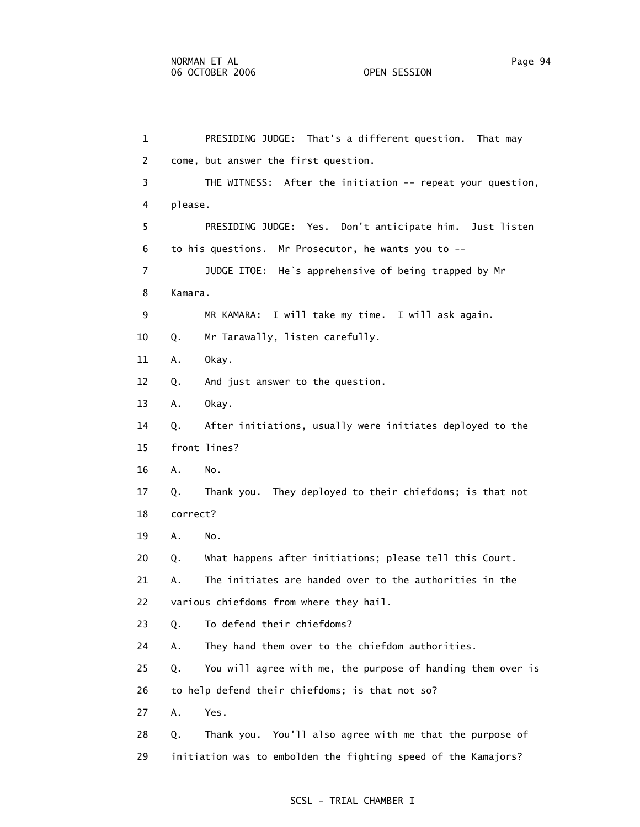| 1              | PRESIDING JUDGE: That's a different question. That may            |  |
|----------------|-------------------------------------------------------------------|--|
| 2              | come, but answer the first question.                              |  |
| 3              | THE WITNESS: After the initiation -- repeat your question,        |  |
| 4              | please.                                                           |  |
| 5              | PRESIDING JUDGE: Yes. Don't anticipate him. Just listen           |  |
| 6              | to his questions. Mr Prosecutor, he wants you to --               |  |
| $\overline{7}$ | JUDGE ITOE: He's apprehensive of being trapped by Mr              |  |
| 8              | Kamara.                                                           |  |
| 9              | MR KAMARA: I will take my time. I will ask again.                 |  |
| 10             | Mr Tarawally, listen carefully.<br>Q.                             |  |
| 11             | Okay.<br>Α.                                                       |  |
| 12             | And just answer to the question.<br>Q.                            |  |
| 13             | Okay.<br>Α.                                                       |  |
| 14             | After initiations, usually were initiates deployed to the<br>Q.   |  |
| 15             | front lines?                                                      |  |
| 16             | Α.<br>No.                                                         |  |
| 17             | Thank you. They deployed to their chiefdoms; is that not<br>Q.    |  |
| 18             | correct?                                                          |  |
| 19             | No.<br>Α.                                                         |  |
| 20             | What happens after initiations; please tell this Court.<br>Q.     |  |
| 21             | The initiates are handed over to the authorities in the<br>А.     |  |
| 22             | various chiefdoms from where they hail.                           |  |
| 23             | To defend their chiefdoms?<br>Q.                                  |  |
| 24             | They hand them over to the chiefdom authorities.<br>Α.            |  |
| 25             | You will agree with me, the purpose of handing them over is<br>Q. |  |
| 26             | to help defend their chiefdoms; is that not so?                   |  |
| 27             | Yes.<br>Α.                                                        |  |
| 28             | Thank you. You'll also agree with me that the purpose of<br>Q.    |  |
| 29             | initiation was to embolden the fighting speed of the Kamajors?    |  |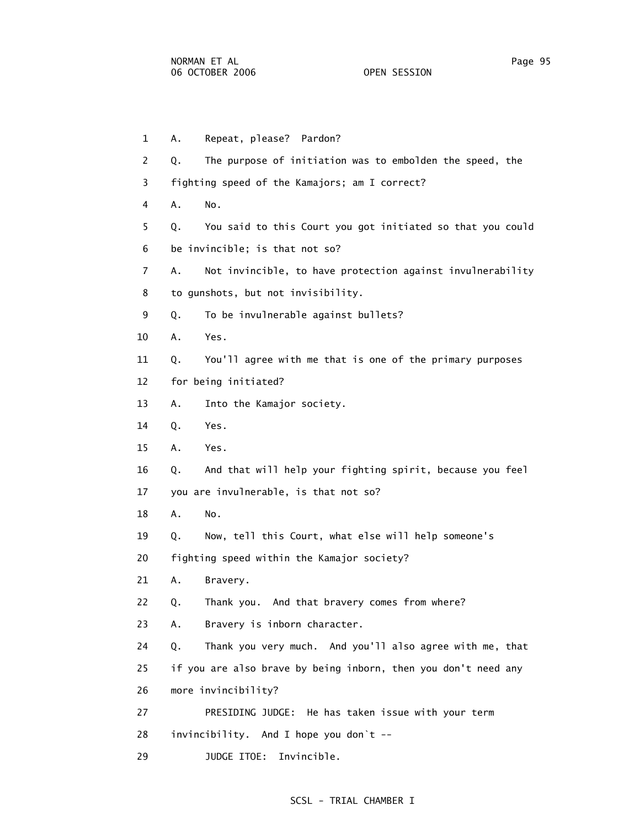1 A. Repeat, please? Pardon? 2 Q. The purpose of initiation was to embolden the speed, the 3 fighting speed of the Kamajors; am I correct? 4 A. No. 5 Q. You said to this Court you got initiated so that you could 6 be invincible; is that not so? 7 A. Not invincible, to have protection against invulnerability 8 to gunshots, but not invisibility. 9 Q. To be invulnerable against bullets? 10 A. Yes. 11 Q. You'll agree with me that is one of the primary purposes 12 for being initiated? 13 A. Into the Kamajor society. 14 Q. Yes. 15 A. Yes. 16 Q. And that will help your fighting spirit, because you feel 17 you are invulnerable, is that not so? 18 A. No. 19 Q. Now, tell this Court, what else will help someone's 20 fighting speed within the Kamajor society? 21 A. Bravery. 22 Q. Thank you. And that bravery comes from where? 23 A. Bravery is inborn character. 24 Q. Thank you very much. And you'll also agree with me, that 25 if you are also brave by being inborn, then you don't need any 26 more invincibility? 27 PRESIDING JUDGE: He has taken issue with your term 28 invincibility. And I hope you don`t --

29 JUDGE ITOE: Invincible.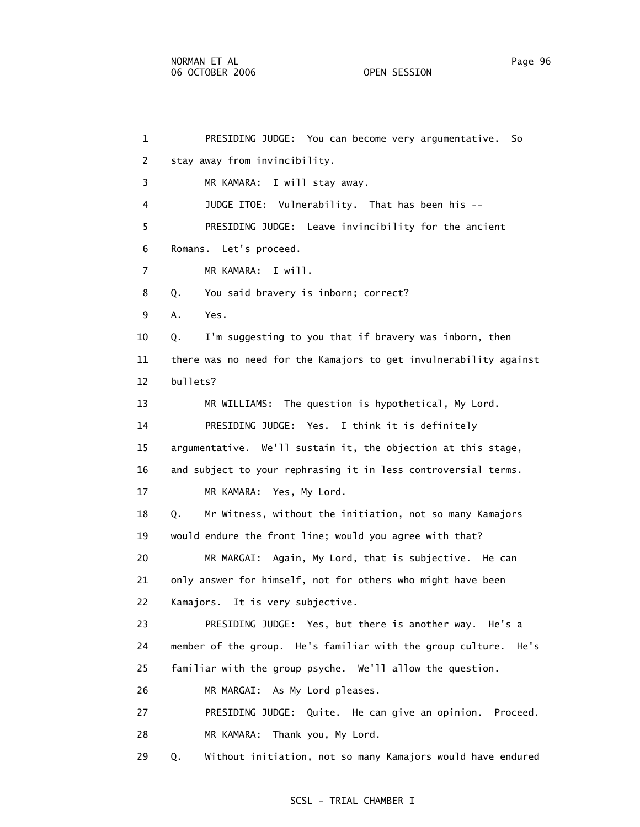1 PRESIDING JUDGE: You can become very argumentative. So 2 stay away from invincibility. 3 MR KAMARA: I will stay away. 4 JUDGE ITOE: Vulnerability. That has been his -- 5 PRESIDING JUDGE: Leave invincibility for the ancient 6 Romans. Let's proceed. 7 MR KAMARA: I will. 8 Q. You said bravery is inborn; correct? 9 A. Yes. 10 Q. I'm suggesting to you that if bravery was inborn, then 11 there was no need for the Kamajors to get invulnerability against 12 bullets? 13 MR WILLIAMS: The question is hypothetical, My Lord. 14 PRESIDING JUDGE: Yes. I think it is definitely 15 argumentative. We'll sustain it, the objection at this stage, 16 and subject to your rephrasing it in less controversial terms. 17 MR KAMARA: Yes, My Lord. 18 Q. Mr Witness, without the initiation, not so many Kamajors 19 would endure the front line; would you agree with that? 20 MR MARGAI: Again, My Lord, that is subjective. He can 21 only answer for himself, not for others who might have been 22 Kamajors. It is very subjective. 23 PRESIDING JUDGE: Yes, but there is another way. He's a 24 member of the group. He's familiar with the group culture. He's 25 familiar with the group psyche. We'll allow the question. 26 MR MARGAI: As My Lord pleases. 27 PRESIDING JUDGE: Quite. He can give an opinion. Proceed. 28 MR KAMARA: Thank you, My Lord. 29 Q. Without initiation, not so many Kamajors would have endured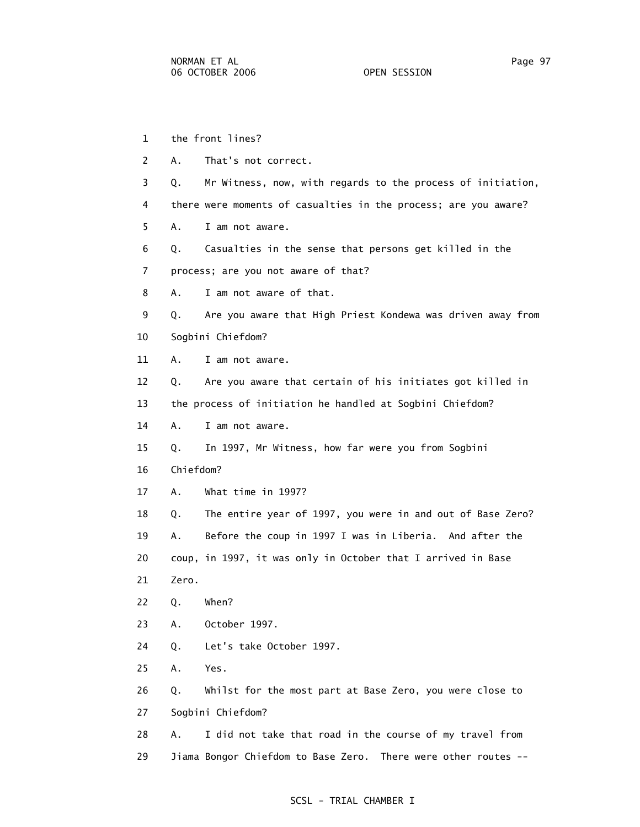- 1 the front lines? 2 A. That's not correct. 3 Q. Mr Witness, now, with regards to the process of initiation, 4 there were moments of casualties in the process; are you aware? 5 A. I am not aware. 6 Q. Casualties in the sense that persons get killed in the 7 process; are you not aware of that? 8 A. I am not aware of that. 9 Q. Are you aware that High Priest Kondewa was driven away from 10 Sogbini Chiefdom? 11 A. I am not aware. 12 Q. Are you aware that certain of his initiates got killed in 13 the process of initiation he handled at Sogbini Chiefdom? 14 A. I am not aware. 15 Q. In 1997, Mr Witness, how far were you from Sogbini 16 Chiefdom? 17 A. What time in 1997? 18 Q. The entire year of 1997, you were in and out of Base Zero? 19 A. Before the coup in 1997 I was in Liberia. And after the 20 coup, in 1997, it was only in October that I arrived in Base 21 Zero. 22 Q. When? 23 A. October 1997. 24 Q. Let's take October 1997. 25 A. Yes. 26 Q. Whilst for the most part at Base Zero, you were close to 27 Sogbini Chiefdom? 28 A. I did not take that road in the course of my travel from
	- 29 Jiama Bongor Chiefdom to Base Zero. There were other routes --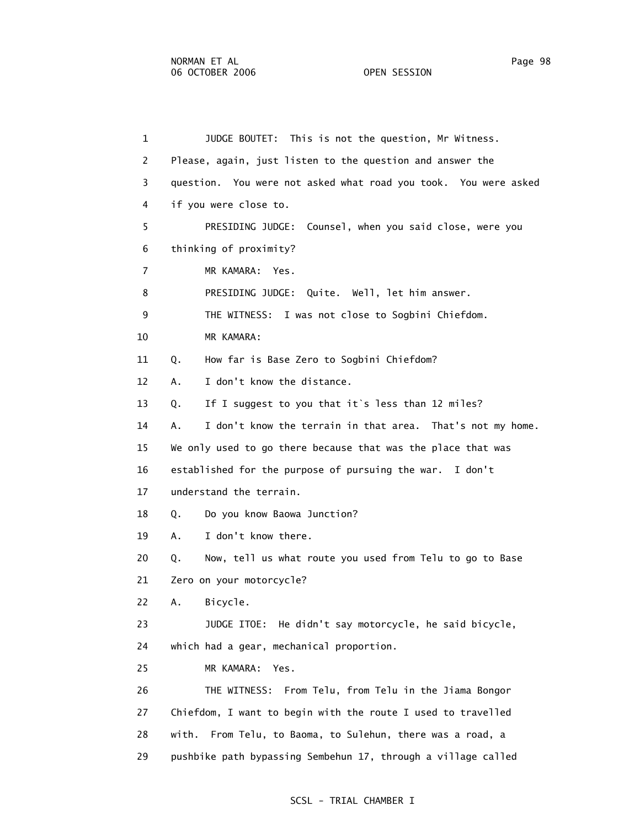1 JUDGE BOUTET: This is not the question, Mr Witness. 2 Please, again, just listen to the question and answer the 3 question. You were not asked what road you took. You were asked 4 if you were close to. 5 PRESIDING JUDGE: Counsel, when you said close, were you 6 thinking of proximity? 7 MR KAMARA: Yes. 8 PRESIDING JUDGE: Quite. Well, let him answer. 9 THE WITNESS: I was not close to Sogbini Chiefdom. 10 MR KAMARA: 11 Q. How far is Base Zero to Sogbini Chiefdom? 12 A. I don't know the distance. 13 Q. If I suggest to you that it`s less than 12 miles? 14 A. I don't know the terrain in that area. That's not my home. 15 We only used to go there because that was the place that was 16 established for the purpose of pursuing the war. I don't 17 understand the terrain. 18 Q. Do you know Baowa Junction? 19 A. I don't know there. 20 Q. Now, tell us what route you used from Telu to go to Base 21 Zero on your motorcycle? 22 A. Bicycle. 23 JUDGE ITOE: He didn't say motorcycle, he said bicycle, 24 which had a gear, mechanical proportion. 25 MR KAMARA: Yes. 26 THE WITNESS: From Telu, from Telu in the Jiama Bongor 27 Chiefdom, I want to begin with the route I used to travelled 28 with. From Telu, to Baoma, to Sulehun, there was a road, a 29 pushbike path bypassing Sembehun 17, through a village called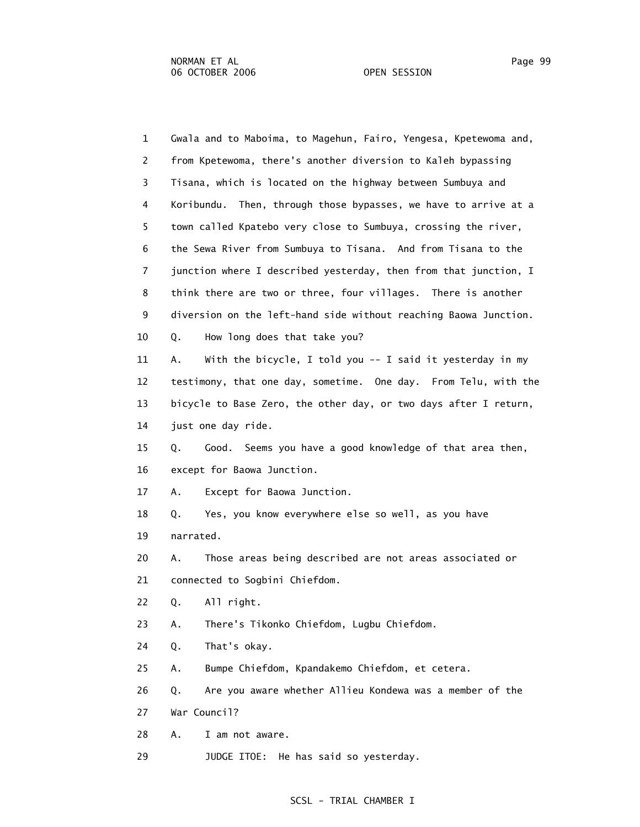1 Gwala and to Maboima, to Magehun, Fairo, Yengesa, Kpetewoma and, 2 from Kpetewoma, there's another diversion to Kaleh bypassing 3 Tisana, which is located on the highway between Sumbuya and 4 Koribundu. Then, through those bypasses, we have to arrive at a 5 town called Kpatebo very close to Sumbuya, crossing the river, 6 the Sewa River from Sumbuya to Tisana. And from Tisana to the 7 junction where I described yesterday, then from that junction, I 8 think there are two or three, four villages. There is another 9 diversion on the left-hand side without reaching Baowa Junction. 10 Q. How long does that take you? 11 A. With the bicycle, I told you -- I said it yesterday in my 12 testimony, that one day, sometime. One day. From Telu, with the 13 bicycle to Base Zero, the other day, or two days after I return, 14 just one day ride. 15 Q. Good. Seems you have a good knowledge of that area then, 16 except for Baowa Junction. 17 A. Except for Baowa Junction. 18 Q. Yes, you know everywhere else so well, as you have 19 narrated. 20 A. Those areas being described are not areas associated or 21 connected to Sogbini Chiefdom. 22 Q. All right. 23 A. There's Tikonko Chiefdom, Lugbu Chiefdom. 24 Q. That's okay. 25 A. Bumpe Chiefdom, Kpandakemo Chiefdom, et cetera. 26 Q. Are you aware whether Allieu Kondewa was a member of the 27 War Council? 28 A. I am not aware.

29 JUDGE ITOE: He has said so yesterday.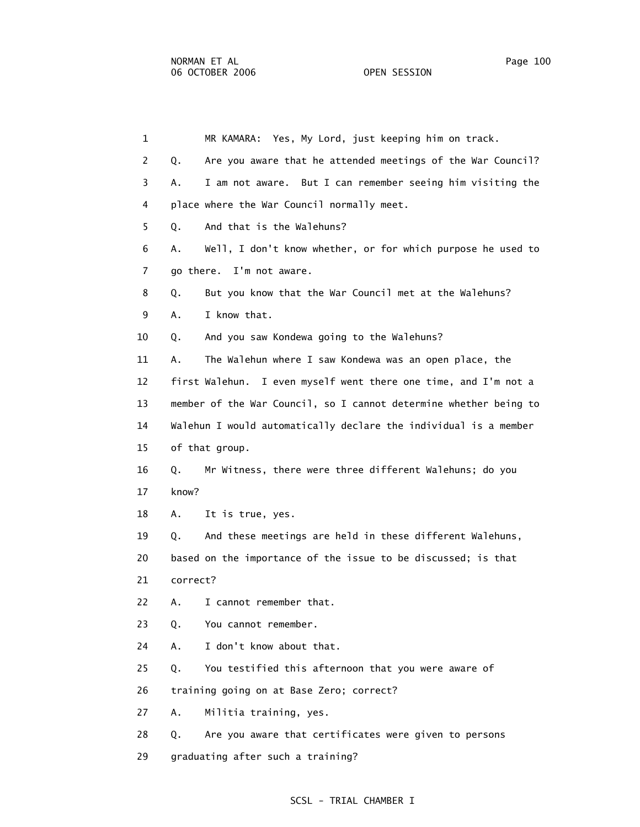| $\mathbf{1}$   | MR KAMARA: Yes, My Lord, just keeping him on track.               |
|----------------|-------------------------------------------------------------------|
| $\overline{2}$ | Are you aware that he attended meetings of the War Council?<br>Q. |
| 3              | I am not aware. But I can remember seeing him visiting the<br>Α.  |
| 4              | place where the War Council normally meet.                        |
| 5              | And that is the Walehuns?<br>Q.                                   |
| 6              | Well, I don't know whether, or for which purpose he used to<br>Α. |
| $\overline{7}$ | go there. I'm not aware.                                          |
| 8              | But you know that the War Council met at the Walehuns?<br>Q.      |
| 9              | I know that.<br>Α.                                                |
| 10             | And you saw Kondewa going to the Walehuns?<br>Q.                  |
| 11             | The Walehun where I saw Kondewa was an open place, the<br>Α.      |
| 12             | first Walehun. I even myself went there one time, and I'm not a   |
| 13             | member of the War Council, so I cannot determine whether being to |
| 14             | Walehun I would automatically declare the individual is a member  |
| 15             | of that group.                                                    |
| 16             | Mr Witness, there were three different Walehuns; do you<br>Q.     |
| 17             | know?                                                             |
| 18             | Α.<br>It is true, yes.                                            |
| 19             | And these meetings are held in these different Walehuns,<br>Q.    |

 20 based on the importance of the issue to be discussed; is that 21 correct?

22 A. I cannot remember that.

23 Q. You cannot remember.

24 A. I don't know about that.

25 Q. You testified this afternoon that you were aware of

26 training going on at Base Zero; correct?

27 A. Militia training, yes.

28 Q. Are you aware that certificates were given to persons

29 graduating after such a training?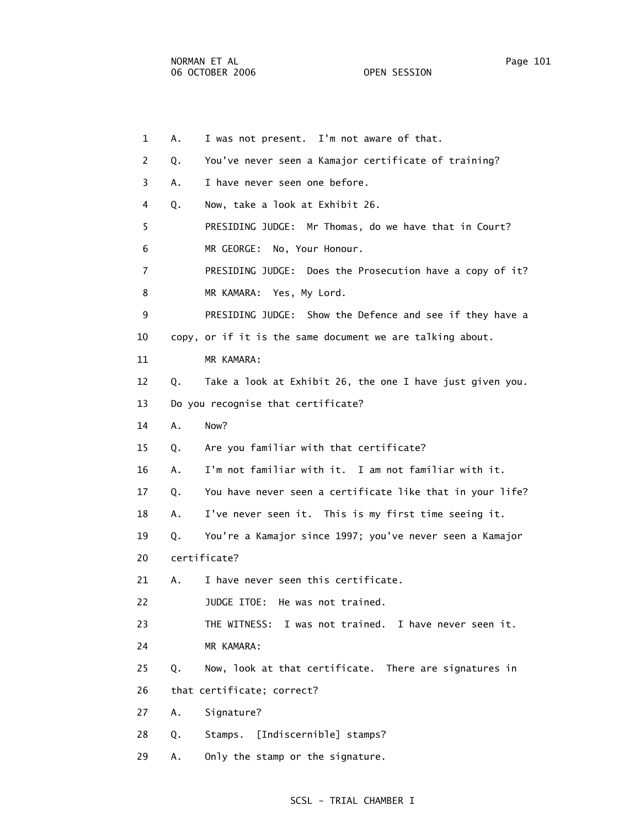1 A. I was not present. I'm not aware of that. 2 Q. You've never seen a Kamajor certificate of training? 3 A. I have never seen one before. 4 Q. Now, take a look at Exhibit 26. 5 PRESIDING JUDGE: Mr Thomas, do we have that in Court? 6 MR GEORGE: No, Your Honour. 7 PRESIDING JUDGE: Does the Prosecution have a copy of it? 8 MR KAMARA: Yes, My Lord. 9 PRESIDING JUDGE: Show the Defence and see if they have a 10 copy, or if it is the same document we are talking about. 11 MR KAMARA: 12 Q. Take a look at Exhibit 26, the one I have just given you. 13 Do you recognise that certificate? 14 A. Now? 15 Q. Are you familiar with that certificate? 16 A. I'm not familiar with it. I am not familiar with it. 17 Q. You have never seen a certificate like that in your life? 18 A. I've never seen it. This is my first time seeing it. 19 Q. You're a Kamajor since 1997; you've never seen a Kamajor 20 certificate? 21 A. I have never seen this certificate. 22 JUDGE ITOE: He was not trained. 23 THE WITNESS: I was not trained. I have never seen it. 24 MR KAMARA: 25 Q. Now, look at that certificate. There are signatures in 26 that certificate; correct? 27 A. Signature? 28 Q. Stamps. [Indiscernible] stamps?

## SCSL - TRIAL CHAMBER I

29 A. Only the stamp or the signature.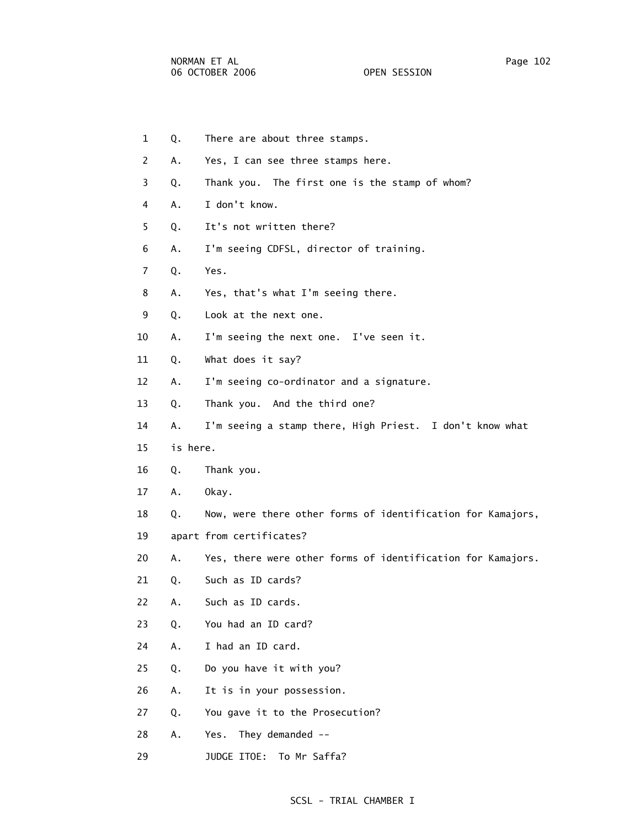- 1 Q. There are about three stamps. 2 A. Yes, I can see three stamps here. 3 Q. Thank you. The first one is the stamp of whom? 4 A. I don't know. 5 Q. It's not written there? 6 A. I'm seeing CDFSL, director of training. 7 Q. Yes. 8 A. Yes, that's what I'm seeing there. 9 Q. Look at the next one. 10 A. I'm seeing the next one. I've seen it. 11 Q. What does it say? 12 A. I'm seeing co-ordinator and a signature. 13 Q. Thank you. And the third one? 14 A. I'm seeing a stamp there, High Priest. I don't know what 15 is here. 16 Q. Thank you. 17 A. Okay. 18 Q. Now, were there other forms of identification for Kamajors, 19 apart from certificates? 20 A. Yes, there were other forms of identification for Kamajors. 21 Q. Such as ID cards? 22 A. Such as ID cards. 23 Q. You had an ID card? 24 A. I had an ID card. 25 Q. Do you have it with you? 26 A. It is in your possession. 27 Q. You gave it to the Prosecution? 28 A. Yes. They demanded --
- 29 JUDGE ITOE: To Mr Saffa?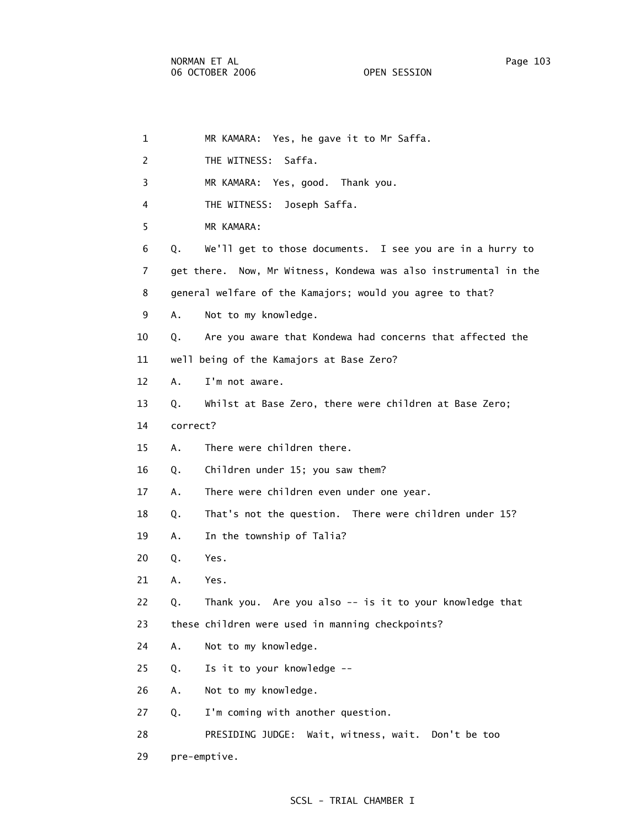| $\mathbf{1}$ | MR KAMARA: Yes, he gave it to Mr Saffa.                          |
|--------------|------------------------------------------------------------------|
| 2            | THE WITNESS: Saffa.                                              |
| 3            | MR KAMARA: Yes, good. Thank you.                                 |
| 4            | THE WITNESS:<br>Joseph Saffa.                                    |
| 5            | MR KAMARA:                                                       |
| 6            | We'll get to those documents. I see you are in a hurry to<br>Q.  |
| 7            | get there. Now, Mr Witness, Kondewa was also instrumental in the |
| 8            | general welfare of the Kamajors; would you agree to that?        |
| 9            | Α.<br>Not to my knowledge.                                       |
| 10           | Are you aware that Kondewa had concerns that affected the<br>Q.  |
| 11           | well being of the Kamajors at Base Zero?                         |
| 12           | I'm not aware.<br>A.                                             |
| 13           | Whilst at Base Zero, there were children at Base Zero;<br>Q.     |
| 14           | correct?                                                         |
| 15           | There were children there.<br>А.                                 |
| 16           | Children under 15; you saw them?<br>Q.                           |
| 17           | There were children even under one year.<br>А.                   |
| 18           | That's not the question. There were children under 15?<br>Q.     |
| 19           | In the township of Talia?<br>Α.                                  |
| 20           | Yes.<br>Q.                                                       |
| 21           | Α.<br>Yes.                                                       |
| 22           | Thank you. Are you also -- is it to your knowledge that<br>Q.    |
| 23           | these children were used in manning checkpoints?                 |
| 24           | Α.<br>Not to my knowledge.                                       |
| 25           | Is it to your knowledge --<br>Q.                                 |
| 26           | Not to my knowledge.<br>Α.                                       |
| 27           | I'm coming with another question.<br>Q.                          |
| 28           | PRESIDING JUDGE: Wait, witness, wait. Don't be too               |
| 29           | pre-emptive.                                                     |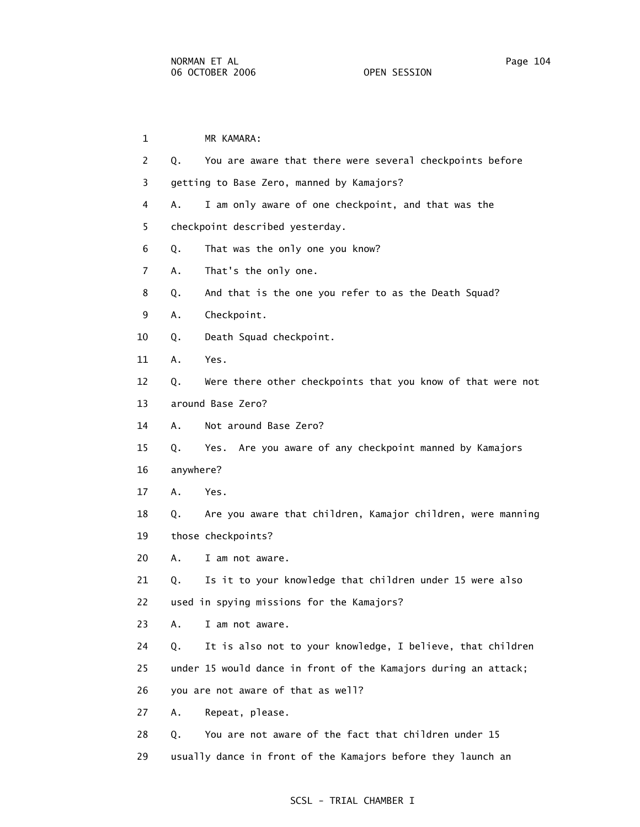| $\mathbf{1}$   |           | MR KAMARA:                                                      |
|----------------|-----------|-----------------------------------------------------------------|
| 2              | Q.        | You are aware that there were several checkpoints before        |
| 3              |           | getting to Base Zero, manned by Kamajors?                       |
| 4              | Α.        | I am only aware of one checkpoint, and that was the             |
| 5              |           | checkpoint described yesterday.                                 |
| 6              | Q.        | That was the only one you know?                                 |
| $\overline{7}$ | Α.        | That's the only one.                                            |
| 8              | Q.        | And that is the one you refer to as the Death Squad?            |
| 9              | Α.        | Checkpoint.                                                     |
| 10             | Q.        | Death Squad checkpoint.                                         |
| 11             | Α.        | Yes.                                                            |
| 12             | Q.        | Were there other checkpoints that you know of that were not     |
| 13             |           | around Base Zero?                                               |
| 14             | А.        | Not around Base Zero?                                           |
| 15             | Q.        | Are you aware of any checkpoint manned by Kamajors<br>Yes.      |
| 16             | anywhere? |                                                                 |
| 17             | Α.        | Yes.                                                            |
| 18             | Q.        | Are you aware that children, Kamajor children, were manning     |
| 19             |           | those checkpoints?                                              |
| 20             | Α.        | I am not aware.                                                 |
| 21             | Q.        | Is it to your knowledge that children under 15 were also        |
| 22             |           | used in spying missions for the Kamajors?                       |
| 23             | А.        | I am not aware.                                                 |
| 24             | Q.        | It is also not to your knowledge, I believe, that children      |
| 25             |           | under 15 would dance in front of the Kamajors during an attack; |
| 26             |           | you are not aware of that as well?                              |
| 27             | Α.        | Repeat, please.                                                 |
| 28             | Q.        | You are not aware of the fact that children under 15            |
| 29             |           | usually dance in front of the Kamajors before they launch an    |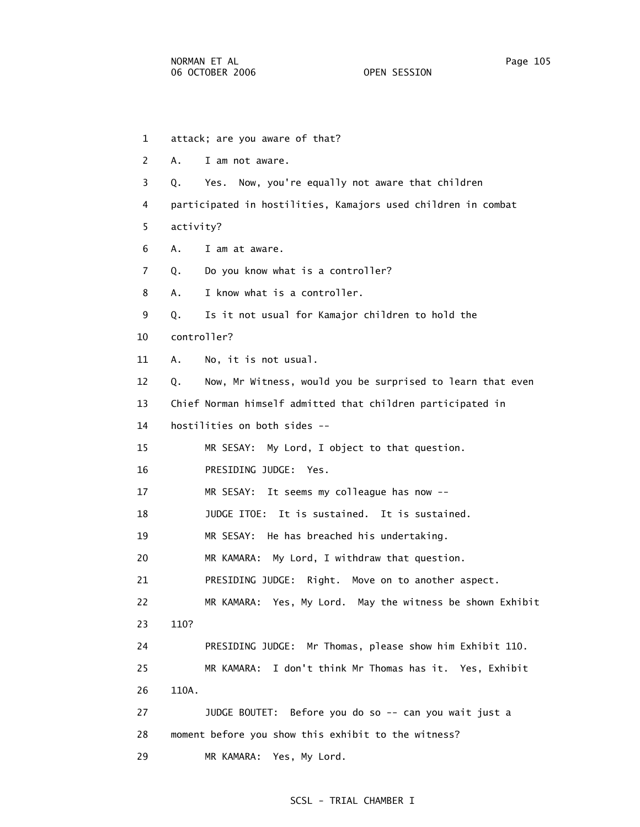- 1 attack; are you aware of that? 2 A. I am not aware. 3 Q. Yes. Now, you're equally not aware that children 4 participated in hostilities, Kamajors used children in combat 5 activity? 6 A. I am at aware. 7 Q. Do you know what is a controller? 8 A. I know what is a controller. 9 Q. Is it not usual for Kamajor children to hold the 10 controller? 11 A. No, it is not usual. 12 Q. Now, Mr Witness, would you be surprised to learn that even 13 Chief Norman himself admitted that children participated in 14 hostilities on both sides -- 15 MR SESAY: My Lord, I object to that question. 16 PRESIDING JUDGE: Yes. 17 MR SESAY: It seems my colleague has now -- 18 JUDGE ITOE: It is sustained. It is sustained. 19 MR SESAY: He has breached his undertaking. 20 MR KAMARA: My Lord, I withdraw that question. 21 PRESIDING JUDGE: Right. Move on to another aspect. 22 MR KAMARA: Yes, My Lord. May the witness be shown Exhibit 23 110? 24 PRESIDING JUDGE: Mr Thomas, please show him Exhibit 110. 25 MR KAMARA: I don't think Mr Thomas has it. Yes, Exhibit 26 110A. 27 JUDGE BOUTET: Before you do so -- can you wait just a 28 moment before you show this exhibit to the witness?
- 29 MR KAMARA: Yes, My Lord.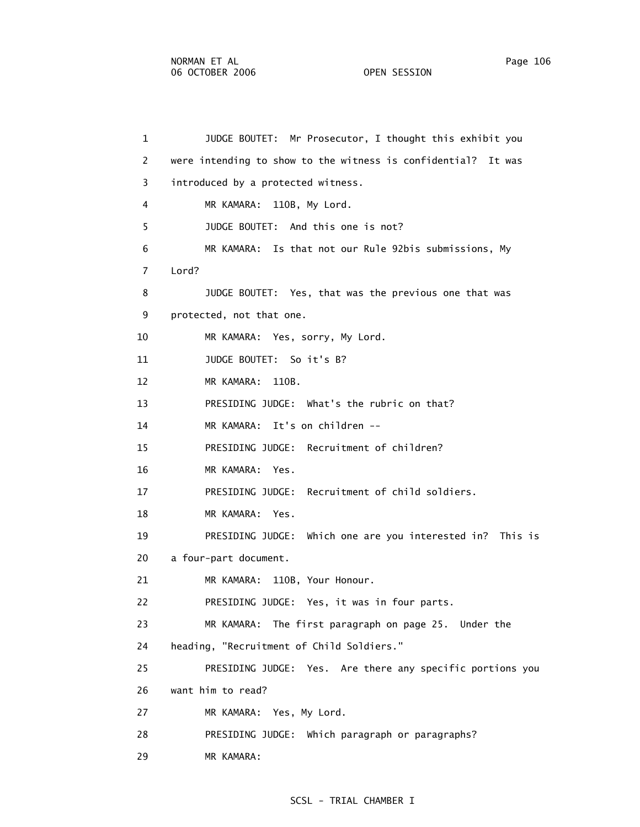1 JUDGE BOUTET: Mr Prosecutor, I thought this exhibit you 2 were intending to show to the witness is confidential? It was 3 introduced by a protected witness. 4 MR KAMARA: 110B, My Lord. 5 JUDGE BOUTET: And this one is not? 6 MR KAMARA: Is that not our Rule 92bis submissions, My 7 Lord? 8 JUDGE BOUTET: Yes, that was the previous one that was 9 protected, not that one. 10 MR KAMARA: Yes, sorry, My Lord. 11 JUDGE BOUTET: So it's B? 12 MR KAMARA: 110B. 13 PRESIDING JUDGE: What's the rubric on that? 14 MR KAMARA: It's on children -- 15 PRESIDING JUDGE: Recruitment of children? 16 MR KAMARA: Yes. 17 PRESIDING JUDGE: Recruitment of child soldiers. 18 MR KAMARA: Yes. 19 PRESIDING JUDGE: Which one are you interested in? This is 20 a four-part document. 21 MR KAMARA: 110B, Your Honour. 22 PRESIDING JUDGE: Yes, it was in four parts. 23 MR KAMARA: The first paragraph on page 25. Under the 24 heading, "Recruitment of Child Soldiers." 25 PRESIDING JUDGE: Yes. Are there any specific portions you 26 want him to read? 27 MR KAMARA: Yes, My Lord. 28 PRESIDING JUDGE: Which paragraph or paragraphs? 29 MR KAMARA: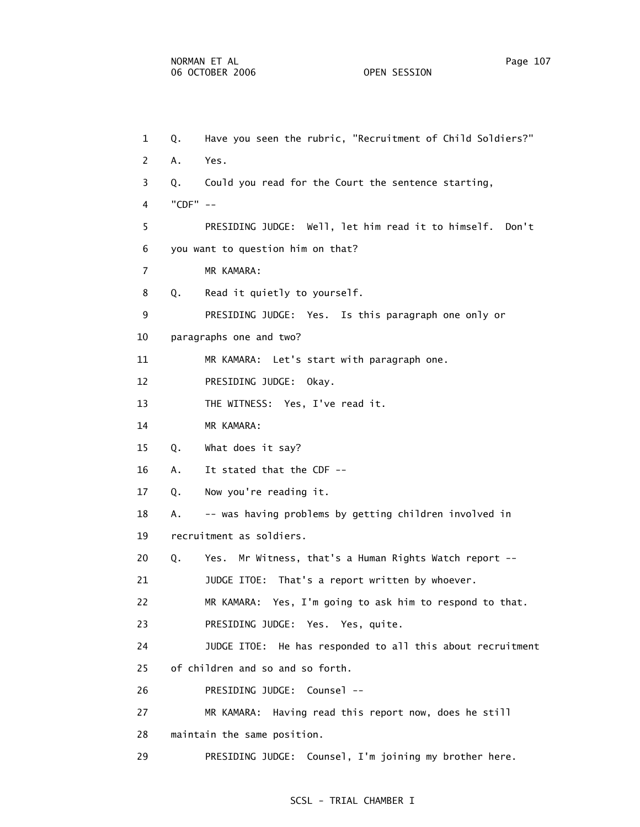1 Q. Have you seen the rubric, "Recruitment of Child Soldiers?" 2 A. Yes. 3 Q. Could you read for the Court the sentence starting, 4 "CDF" -- 5 PRESIDING JUDGE: Well, let him read it to himself. Don't 6 you want to question him on that? 7 MR KAMARA: 8 Q. Read it quietly to yourself. 9 PRESIDING JUDGE: Yes. Is this paragraph one only or 10 paragraphs one and two? 11 MR KAMARA: Let's start with paragraph one. 12 PRESIDING JUDGE: Okay. 13 THE WITNESS: Yes, I've read it. 14 MR KAMARA: 15 Q. What does it say? 16 A. It stated that the CDF -- 17 Q. Now you're reading it. 18 A. -- was having problems by getting children involved in 19 recruitment as soldiers. 20 Q. Yes. Mr Witness, that's a Human Rights Watch report -- 21 JUDGE ITOE: That's a report written by whoever. 22 MR KAMARA: Yes, I'm going to ask him to respond to that. 23 PRESIDING JUDGE: Yes. Yes, quite. 24 JUDGE ITOE: He has responded to all this about recruitment 25 of children and so and so forth. 26 PRESIDING JUDGE: Counsel -- 27 MR KAMARA: Having read this report now, does he still 28 maintain the same position. 29 PRESIDING JUDGE: Counsel, I'm joining my brother here.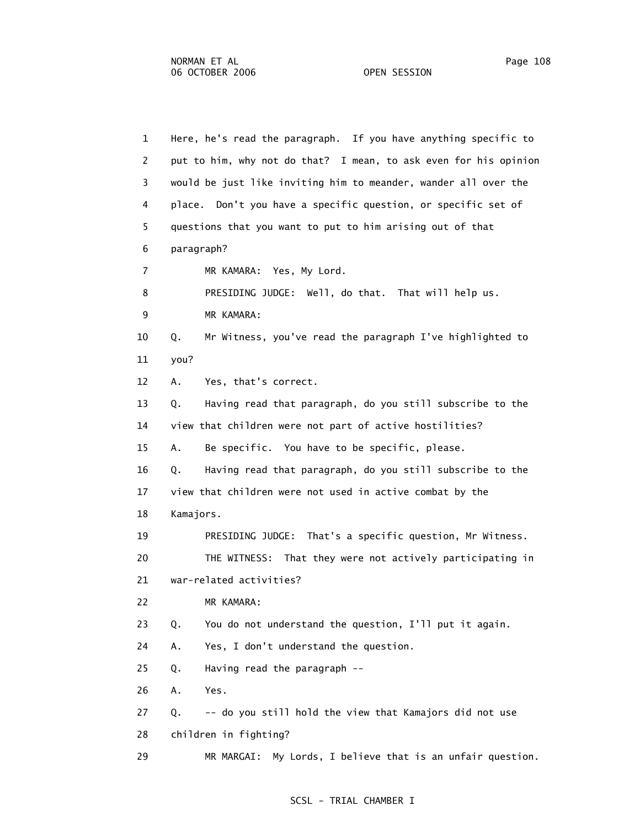1 Here, he's read the paragraph. If you have anything specific to 2 put to him, why not do that? I mean, to ask even for his opinion 3 would be just like inviting him to meander, wander all over the 4 place. Don't you have a specific question, or specific set of 5 questions that you want to put to him arising out of that 6 paragraph? 7 MR KAMARA: Yes, My Lord. 8 PRESIDING JUDGE: Well, do that. That will help us. 9 MR KAMARA: 10 Q. Mr Witness, you've read the paragraph I've highlighted to 11 you? 12 A. Yes, that's correct. 13 Q. Having read that paragraph, do you still subscribe to the 14 view that children were not part of active hostilities? 15 A. Be specific. You have to be specific, please. 16 Q. Having read that paragraph, do you still subscribe to the 17 view that children were not used in active combat by the 18 Kamajors. 19 PRESIDING JUDGE: That's a specific question, Mr Witness. 20 THE WITNESS: That they were not actively participating in 21 war-related activities? 22 MR KAMARA: 23 Q. You do not understand the question, I'll put it again. 24 A. Yes, I don't understand the question. 25 Q. Having read the paragraph -- 26 A. Yes. 27 Q. -- do you still hold the view that Kamajors did not use 28 children in fighting?

## SCSL - TRIAL CHAMBER I

29 MR MARGAI: My Lords, I believe that is an unfair question.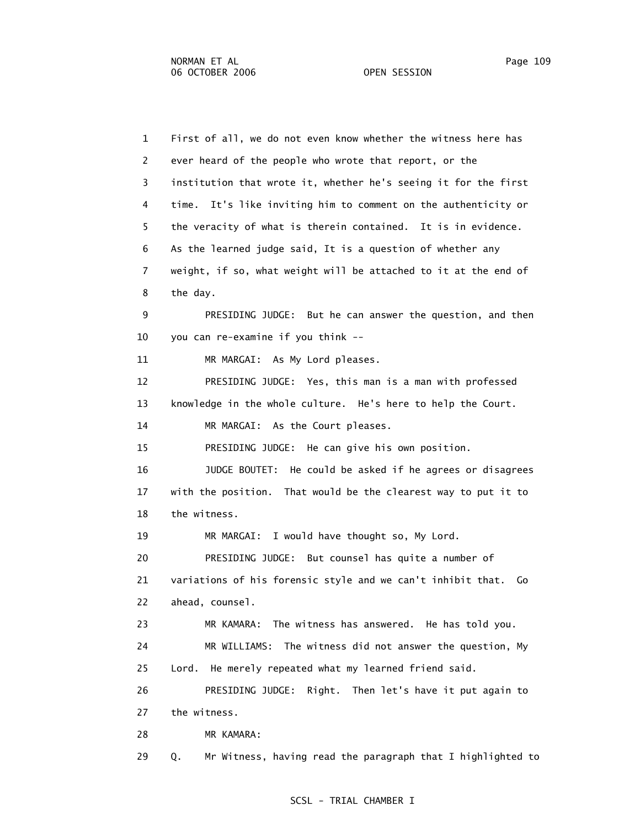1 First of all, we do not even know whether the witness here has 2 ever heard of the people who wrote that report, or the 3 institution that wrote it, whether he's seeing it for the first 4 time. It's like inviting him to comment on the authenticity or 5 the veracity of what is therein contained. It is in evidence. 6 As the learned judge said, It is a question of whether any 7 weight, if so, what weight will be attached to it at the end of 8 the day. 9 PRESIDING JUDGE: But he can answer the question, and then 10 you can re-examine if you think -- 11 MR MARGAI: As My Lord pleases. 12 PRESIDING JUDGE: Yes, this man is a man with professed 13 knowledge in the whole culture. He's here to help the Court. 14 MR MARGAI: As the Court pleases. 15 PRESIDING JUDGE: He can give his own position. 16 JUDGE BOUTET: He could be asked if he agrees or disagrees 17 with the position. That would be the clearest way to put it to 18 the witness. 19 MR MARGAI: I would have thought so, My Lord. 20 PRESIDING JUDGE: But counsel has quite a number of 21 variations of his forensic style and we can't inhibit that. Go 22 ahead, counsel. 23 MR KAMARA: The witness has answered. He has told you. 24 MR WILLIAMS: The witness did not answer the question, My 25 Lord. He merely repeated what my learned friend said. 26 PRESIDING JUDGE: Right. Then let's have it put again to 27 the witness. 28 MR KAMARA: 29 Q. Mr Witness, having read the paragraph that I highlighted to

## SCSL - TRIAL CHAMBER I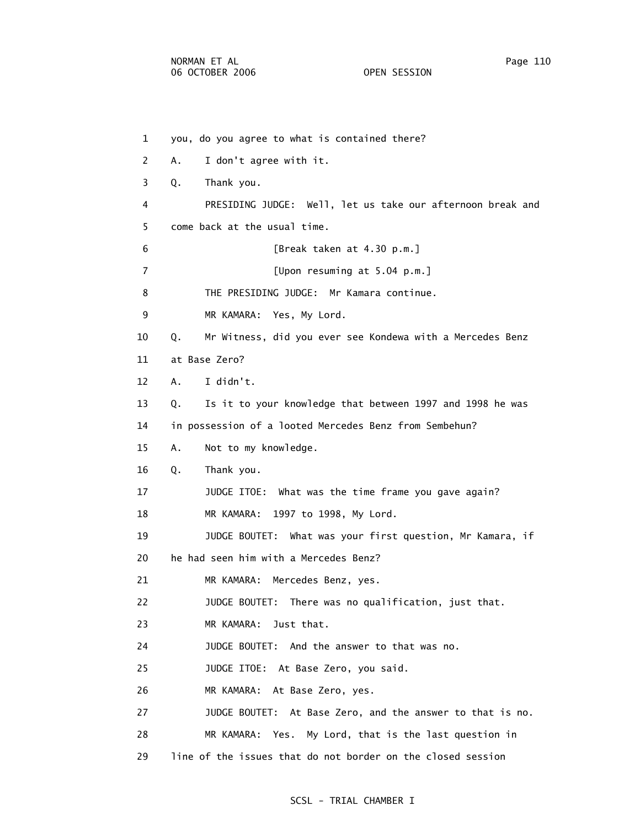1 you, do you agree to what is contained there? 2 A. I don't agree with it. 3 Q. Thank you. 4 PRESIDING JUDGE: Well, let us take our afternoon break and 5 come back at the usual time. 6 [Break taken at 4.30 p.m.] 7 [Upon resuming at 5.04 p.m.] 8 THE PRESIDING JUDGE: Mr Kamara continue. 9 MR KAMARA: Yes, My Lord. 10 Q. Mr Witness, did you ever see Kondewa with a Mercedes Benz 11 at Base Zero? 12 A. I didn't. 13 Q. Is it to your knowledge that between 1997 and 1998 he was 14 in possession of a looted Mercedes Benz from Sembehun? 15 A. Not to my knowledge. 16 Q. Thank you. 17 JUDGE ITOE: What was the time frame you gave again? 18 MR KAMARA: 1997 to 1998, My Lord. 19 JUDGE BOUTET: What was your first question, Mr Kamara, if 20 he had seen him with a Mercedes Benz? 21 MR KAMARA: Mercedes Benz, yes. 22 JUDGE BOUTET: There was no qualification, just that. 23 MR KAMARA: Just that. 24 JUDGE BOUTET: And the answer to that was no. 25 JUDGE ITOE: At Base Zero, you said. 26 MR KAMARA: At Base Zero, yes. 27 JUDGE BOUTET: At Base Zero, and the answer to that is no. 28 MR KAMARA: Yes. My Lord, that is the last question in 29 line of the issues that do not border on the closed session

## SCSL - TRIAL CHAMBER I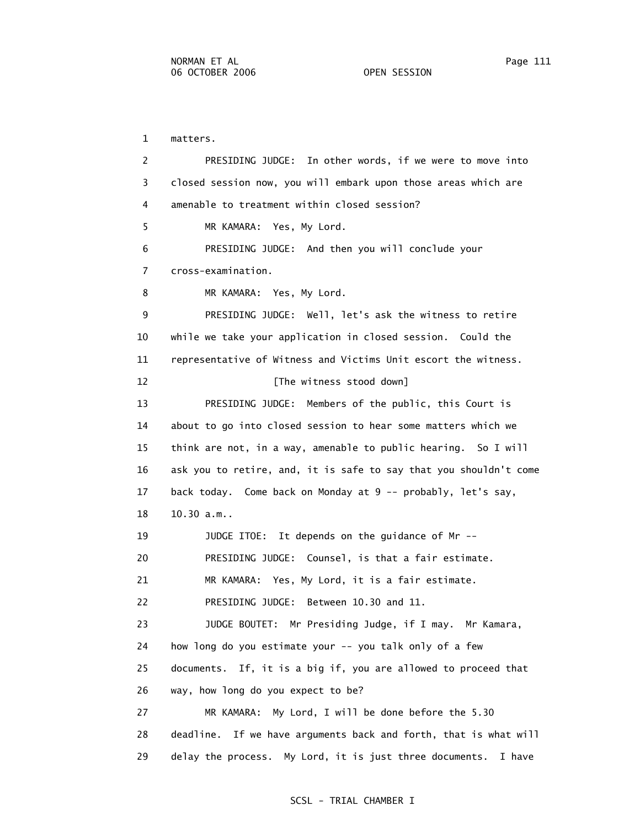1 matters. 2 PRESIDING JUDGE: In other words, if we were to move into 3 closed session now, you will embark upon those areas which are 4 amenable to treatment within closed session? 5 MR KAMARA: Yes, My Lord. 6 PRESIDING JUDGE: And then you will conclude your 7 cross-examination. 8 MR KAMARA: Yes, My Lord. 9 PRESIDING JUDGE: Well, let's ask the witness to retire 10 while we take your application in closed session. Could the 11 representative of Witness and Victims Unit escort the witness. 12 **Interval** The witness stood down 13 PRESIDING JUDGE: Members of the public, this Court is 14 about to go into closed session to hear some matters which we 15 think are not, in a way, amenable to public hearing. So I will 16 ask you to retire, and, it is safe to say that you shouldn't come 17 back today. Come back on Monday at 9 -- probably, let's say, 18 10.30 a.m.. 19 JUDGE ITOE: It depends on the guidance of Mr -- 20 PRESIDING JUDGE: Counsel, is that a fair estimate. 21 MR KAMARA: Yes, My Lord, it is a fair estimate. 22 PRESIDING JUDGE: Between 10.30 and 11. 23 JUDGE BOUTET: Mr Presiding Judge, if I may. Mr Kamara, 24 how long do you estimate your -- you talk only of a few 25 documents. If, it is a big if, you are allowed to proceed that 26 way, how long do you expect to be? 27 MR KAMARA: My Lord, I will be done before the 5.30 28 deadline. If we have arguments back and forth, that is what will 29 delay the process. My Lord, it is just three documents. I have

## SCSL - TRIAL CHAMBER I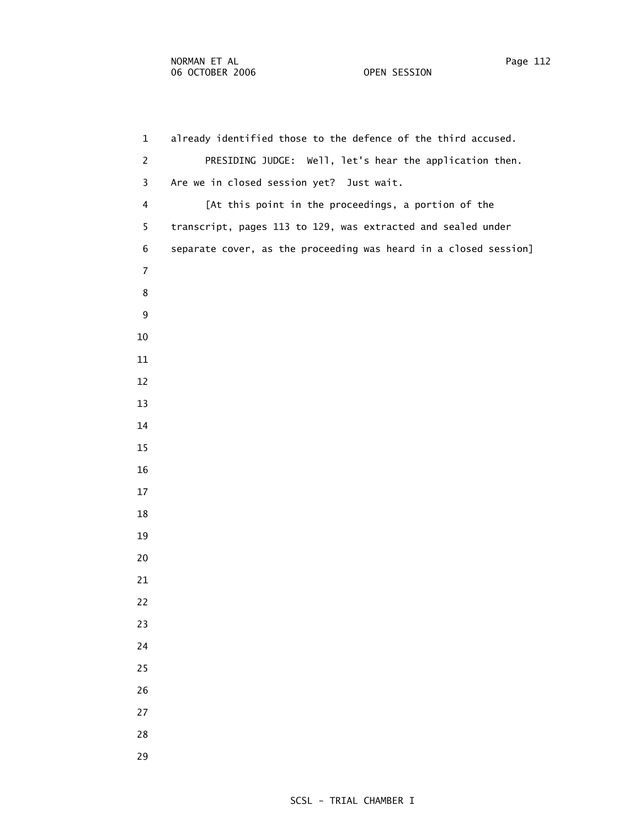1 already identified those to the defence of the third accused. 2 PRESIDING JUDGE: Well, let's hear the application then. 3 Are we in closed session yet? Just wait. 4 [At this point in the proceedings, a portion of the 5 transcript, pages 113 to 129, was extracted and sealed under 6 separate cover, as the proceeding was heard in a closed session]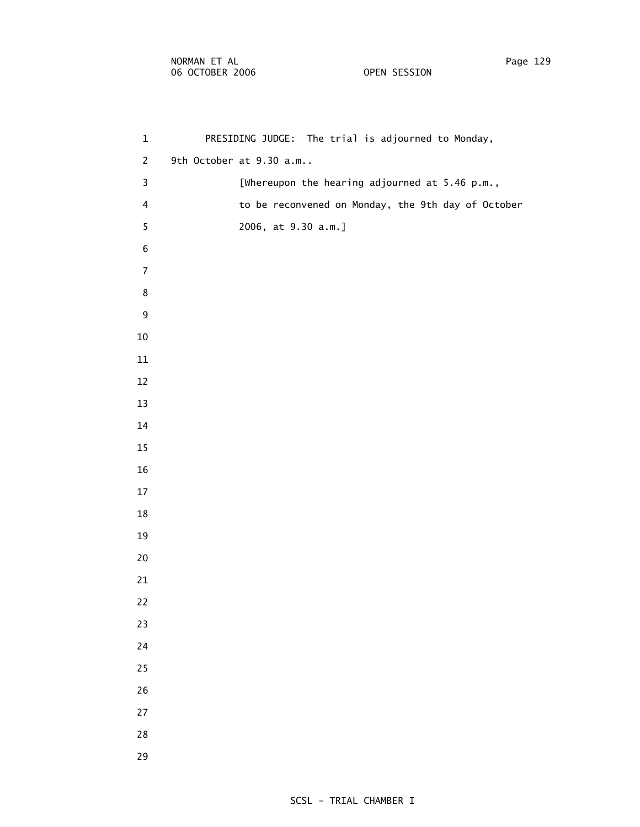| $\mathbf{1}$ | PRESIDING JUDGE: The trial is adjourned to Monday, |
|--------------|----------------------------------------------------|
| 2            | 9th October at 9.30 a.m.,                          |
| 3            | [Whereupon the hearing adjourned at $5.46$ p.m.,   |

- 4 to be reconvened on Monday, the 9th day of October
- 5 2006, at 9.30 a.m.]
- 
- -
	-
	-
	-
	-
	-
	-
	-
	-
	-
	-
	-
	-
	-
	-
	-
	-
	-
	-
	-
	-
	-
	-
	-